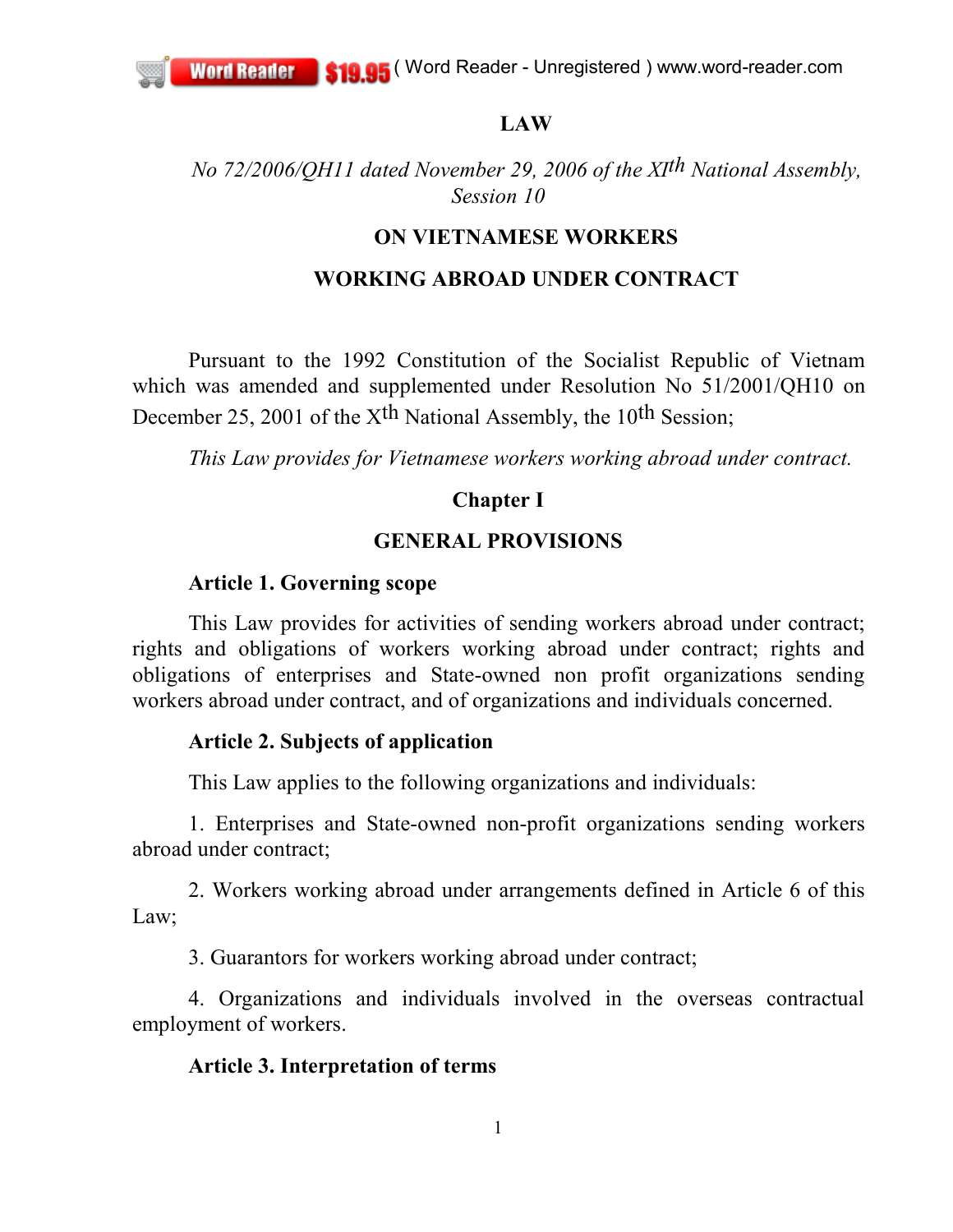#### **LAW**

*No 72/2006/QH11 dated November 29, 2006 of the XIth National Assembly, Session 10*

#### **ON VIETNAMESE WORKERS**

#### **WORKING ABROAD UNDER CONTRACT**

Pursuant to the 1992 Constitution of the Socialist Republic of Vietnam which was amended and supplemented under Resolution No 51/2001/QH10 on December 25, 2001 of the X<sup>th</sup> National Assembly, the 10<sup>th</sup> Session;

*This Law provides for Vietnamese workers working abroad under contract.*

#### **Chapter I**

### **GENERAL PROVISIONS**

#### **Article 1. Governing scope**

This Law provides for activities of sending workers abroad under contract; rights and obligations of workers working abroad under contract; rights and obligations of enterprises and State-owned non profit organizations sending workers abroad under contract, and of organizations and individuals concerned.

#### **Article 2. Subjects of application**

This Law applies to the following organizations and individuals:

1. Enterprises and State-owned non-profit organizations sending workers abroad under contract;

2. Workers working abroad under arrangements defined in Article 6 of this Law;

3. Guarantors for workers working abroad under contract;

4. Organizations and individuals involved in the overseas contractual employment of workers.

### **Article 3. Interpretation of terms**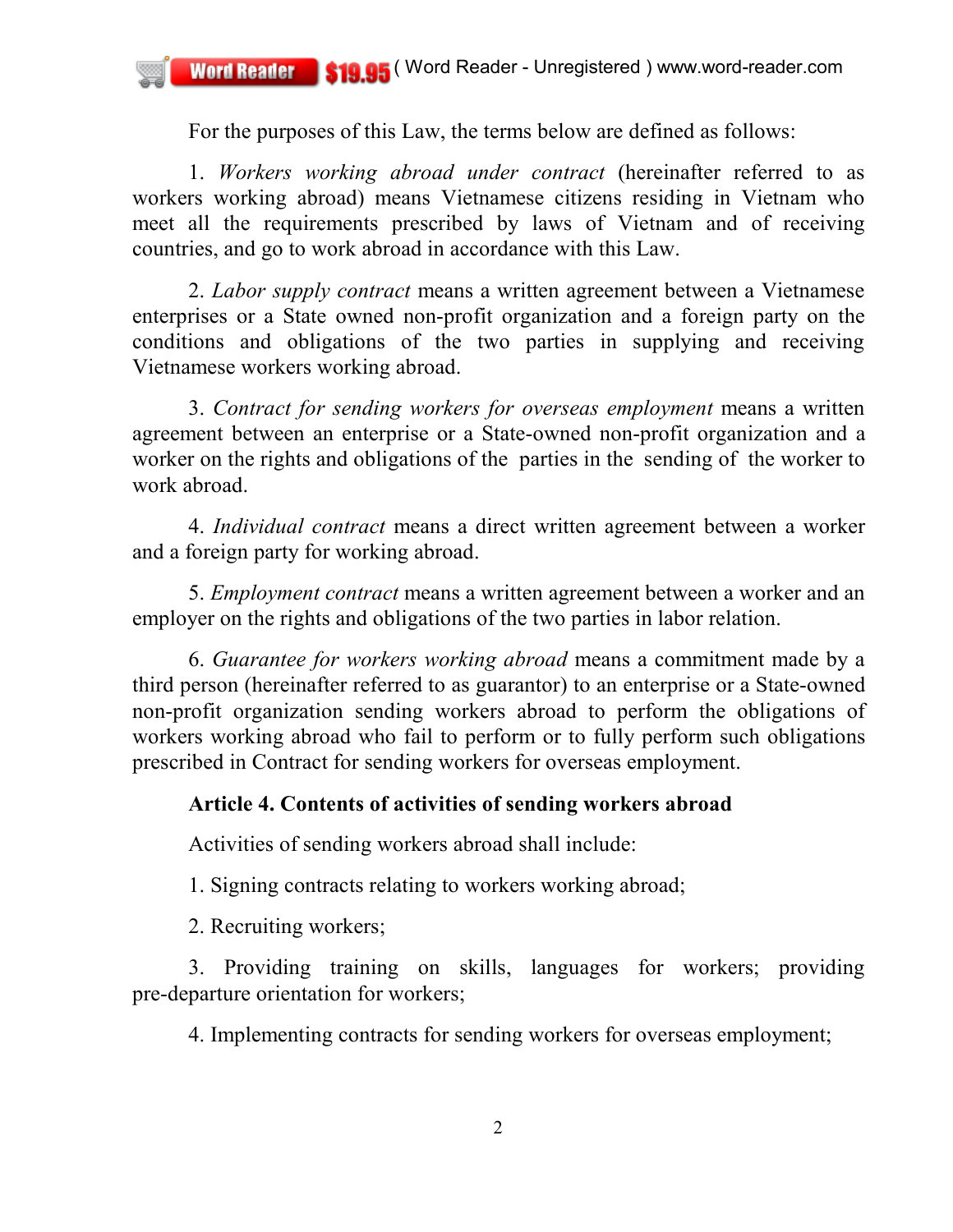For the purposes of this Law, the terms below are defined as follows:

1. *Workers working abroad under contract* (hereinafter referred to as workers working abroad) means Vietnamese citizens residing in Vietnam who meet all the requirements prescribed by laws of Vietnam and of receiving countries, and go to work abroad in accordance with this Law.

2. *Labor supply contract* means a written agreement between a Vietnamese enterprises or a State owned non-profit organization and a foreign party on the conditions and obligations of the two parties in supplying and receiving Vietnamese workers working abroad.

3. *Contract for sending workers for overseas employment* means a written agreement between an enterprise or a State-owned non-profit organization and a worker on the rights and obligations of the parties in the sending of the worker to work abroad.

4. *Individual contract* means a direct written agreement between a worker and a foreign party for working abroad.

5. *Employment contract* means a written agreement between a worker and an employer on the rights and obligations of the two parties in labor relation.

6. *Guarantee for workers working abroad* means a commitment made by a third person (hereinafter referred to as guarantor) to an enterprise or a State-owned non-profit organization sending workers abroad to perform the obligations of workers working abroad who fail to perform or to fully perform such obligations prescribed in Contract for sending workers for overseas employment.

# **Article 4. Contents of activities of sending workers abroad**

Activities of sending workers abroad shall include:

1. Signing contracts relating to workers working abroad;

2. Recruiting workers;

3. Providing training on skills, languages for workers; providing pre-departure orientation for workers;

4. Implementing contracts for sending workers for overseas employment;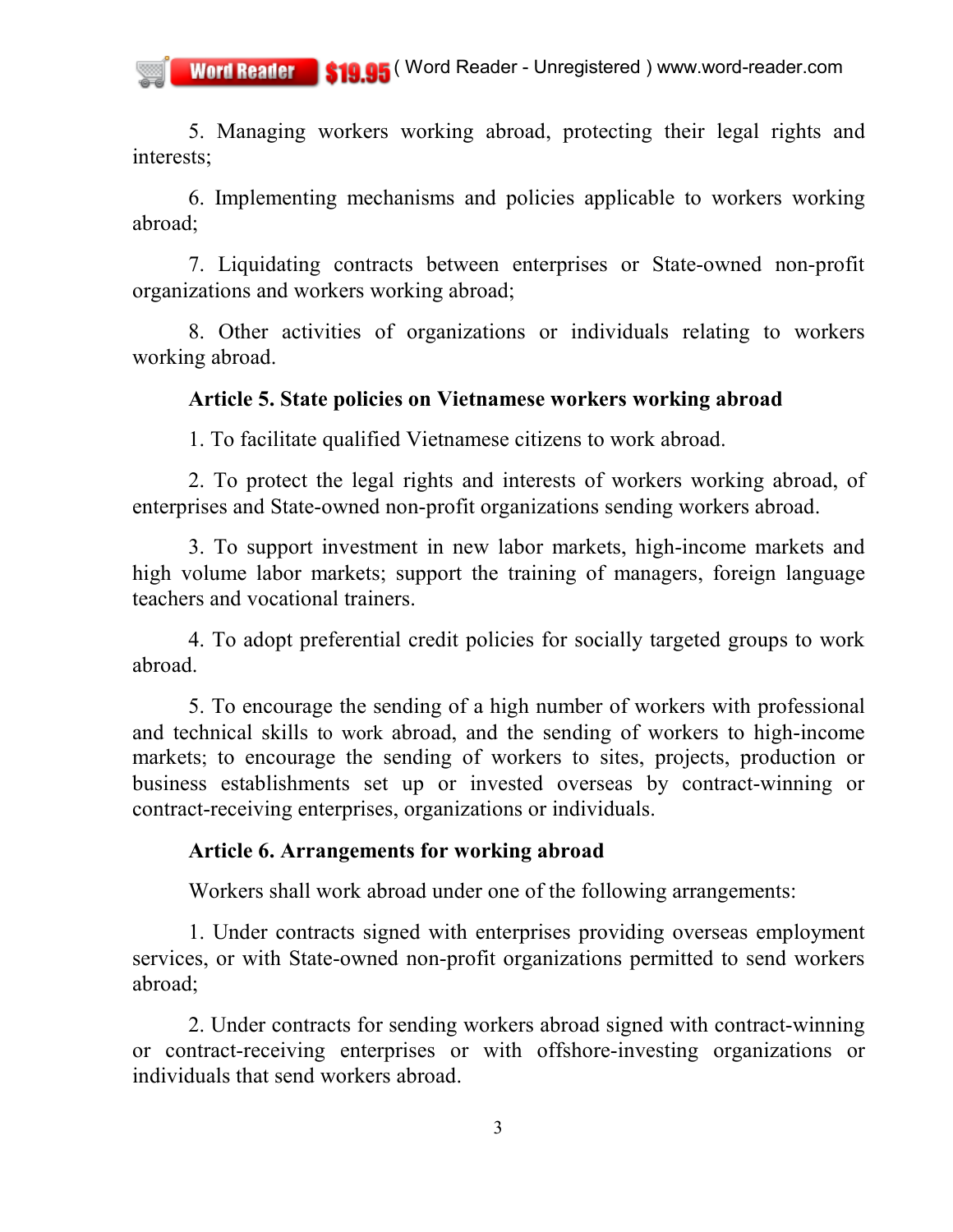5. Managing workers working abroad, protecting their legal rights and interests;

6. Implementing mechanisms and policies applicable to workers working abroad;

7. Liquidating contracts between enterprises or State-owned non-profit organizations and workers working abroad;

8. Other activities of organizations or individuals relating to workers working abroad.

### **Article 5. State policies on Vietnamese workers working abroad**

1. To facilitate qualified Vietnamese citizens to work abroad.

2. To protect the legal rights and interests of workers working abroad, of enterprises and State-owned non-profit organizations sending workers abroad.

3. To support investment in new labor markets, high-income markets and high volume labor markets; support the training of managers, foreign language teachers and vocational trainers.

4. To adopt preferential credit policies for socially targeted groups to work abroad.

5. To encourage the sending of a high number of workers with professional and technical skills to work abroad, and the sending of workers to high-income markets; to encourage the sending of workers to sites, projects, production or business establishments set up or invested overseas by contract-winning or contract-receiving enterprises, organizations or individuals.

### **Article 6. Arrangements for working abroad**

Workers shall work abroad under one of the following arrangements:

1. Under contracts signed with enterprises providing overseas employment services, or with State-owned non-profit organizations permitted to send workers abroad;

2. Under contracts for sending workers abroad signed with contract-winning or contract-receiving enterprises or with offshore-investing organizations or individuals that send workers abroad.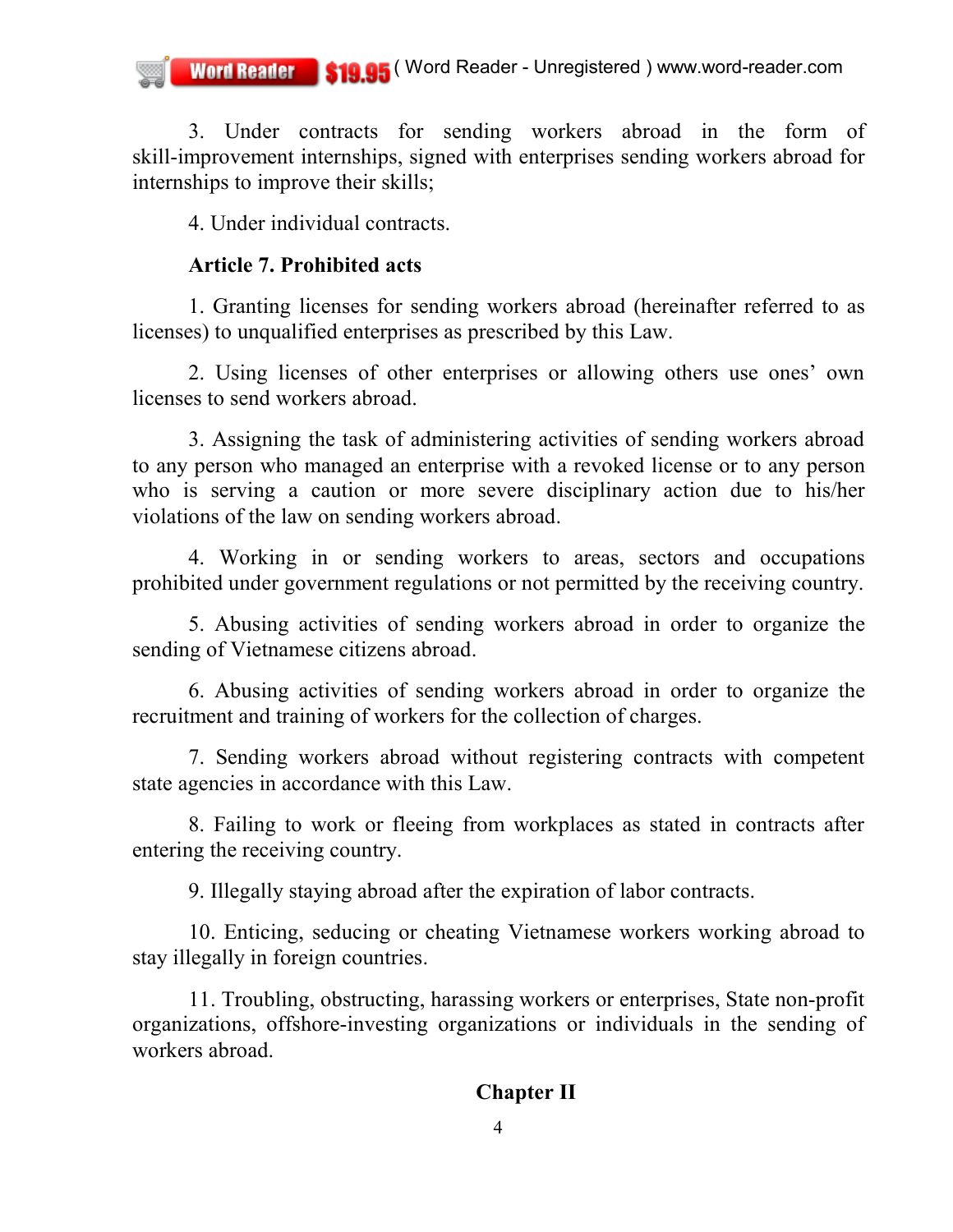3. Under contracts for sending workers abroad in the form of skill-improvement internships, signed with enterprises sending workers abroad for internships to improve their skills;

4. Under individual contracts.

## **Article 7. Prohibited acts**

1. Granting licenses for sending workers abroad (hereinafter referred to as licenses) to unqualified enterprises as prescribed by this Law.

2. Using licenses of other enterprises or allowing others use ones' own licenses to send workers abroad.

3. Assigning the task of administering activities of sending workers abroad to any person who managed an enterprise with a revoked license or to any person who is serving a caution or more severe disciplinary action due to his/her violations of the law on sending workers abroad.

4. Working in or sending workers to areas, sectors and occupations prohibited under government regulations or not permitted by the receiving country.

5. Abusing activities of sending workers abroad in order to organize the sending of Vietnamese citizens abroad.

6. Abusing activities of sending workers abroad in order to organize the recruitment and training of workers for the collection of charges.

7. Sending workers abroad without registering contracts with competent state agencies in accordance with this Law.

8. Failing to work or fleeing from workplaces as stated in contracts after entering the receiving country.

9. Illegally staying abroad after the expiration of labor contracts.

10. Enticing, seducing or cheating Vietnamese workers working abroad to stay illegally in foreign countries.

11. Troubling, obstructing, harassing workers or enterprises, State non-profit organizations, offshore-investing organizations or individuals in the sending of workers abroad.

# **Chapter II**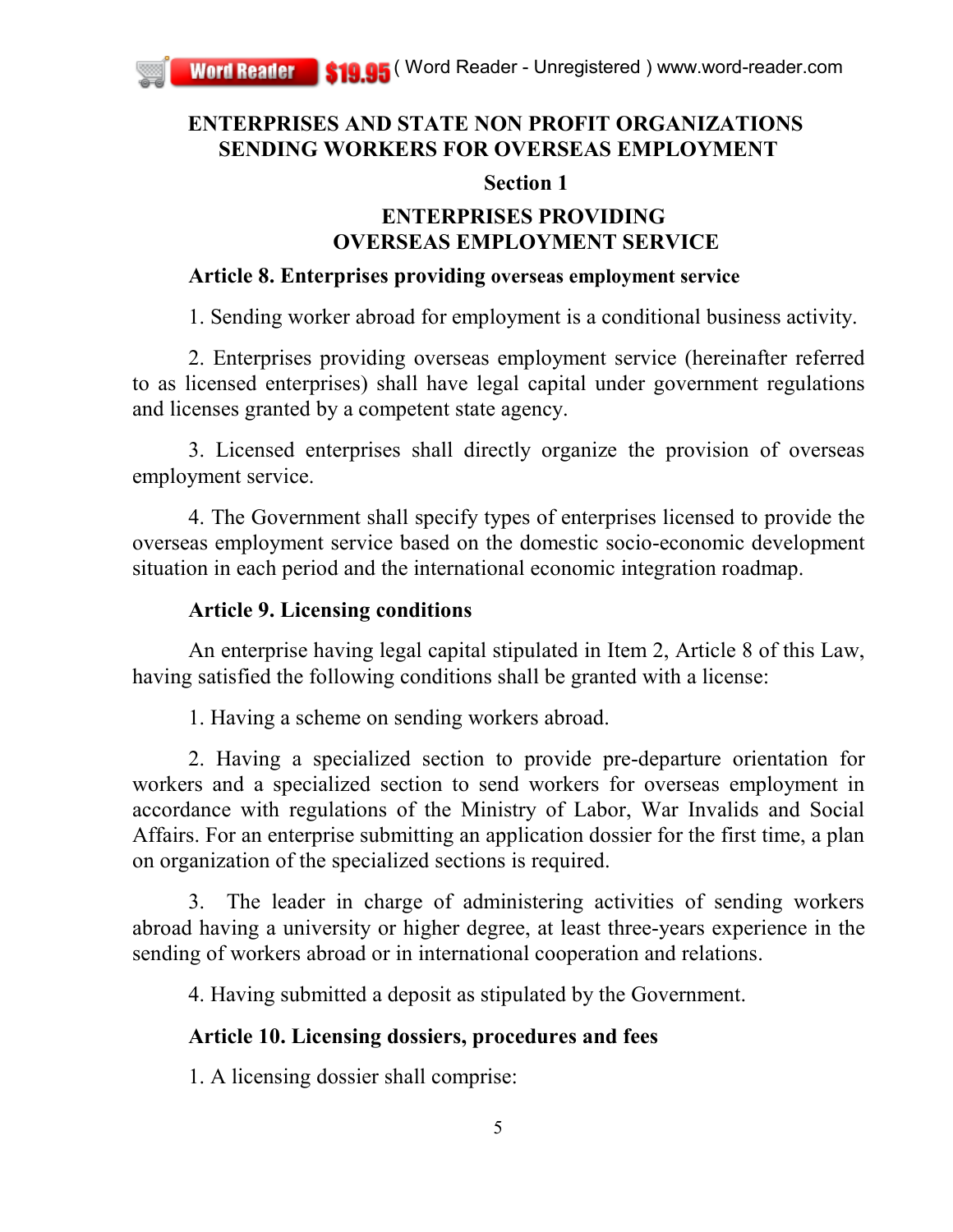# **ENTERPRISES AND STATE NON PROFIT ORGANIZATIONS SENDING WORKERS FOR OVERSEAS EMPLOYMENT**

## **Section 1**

# **ENTERPRISES PROVIDING OVERSEAS EMPLOYMENT SERVICE**

# **Article 8. Enterprises providing overseas employment service**

1. Sending worker abroad for employment is a conditional business activity.

2. Enterprises providing overseas employment service (hereinafter referred to as licensed enterprises) shall have legal capital under government regulations and licenses granted by a competent state agency.

3. Licensed enterprises shall directly organize the provision of overseas employment service.

4. The Government shall specify types of enterprises licensed to provide the overseas employment service based on the domestic socio-economic development situation in each period and the international economic integration roadmap.

# **Article 9. Licensing conditions**

An enterprise having legal capital stipulated in Item 2, Article 8 of this Law, having satisfied the following conditions shall be granted with a license:

1. Having a scheme on sending workers abroad.

2. Having a specialized section to provide pre-departure orientation for workers and a specialized section to send workers for overseas employment in accordance with regulations of the Ministry of Labor, War Invalids and Social Affairs. For an enterprise submitting an application dossier for the first time, a plan on organization of the specialized sections is required.

3. The leader in charge of administering activities of sending workers abroad having a university or higher degree, at least three-years experience in the sending of workers abroad or in international cooperation and relations.

4. Having submitted a deposit as stipulated by the Government.

# **Article 10. Licensing dossiers, procedures and fees**

1. A licensing dossier shall comprise: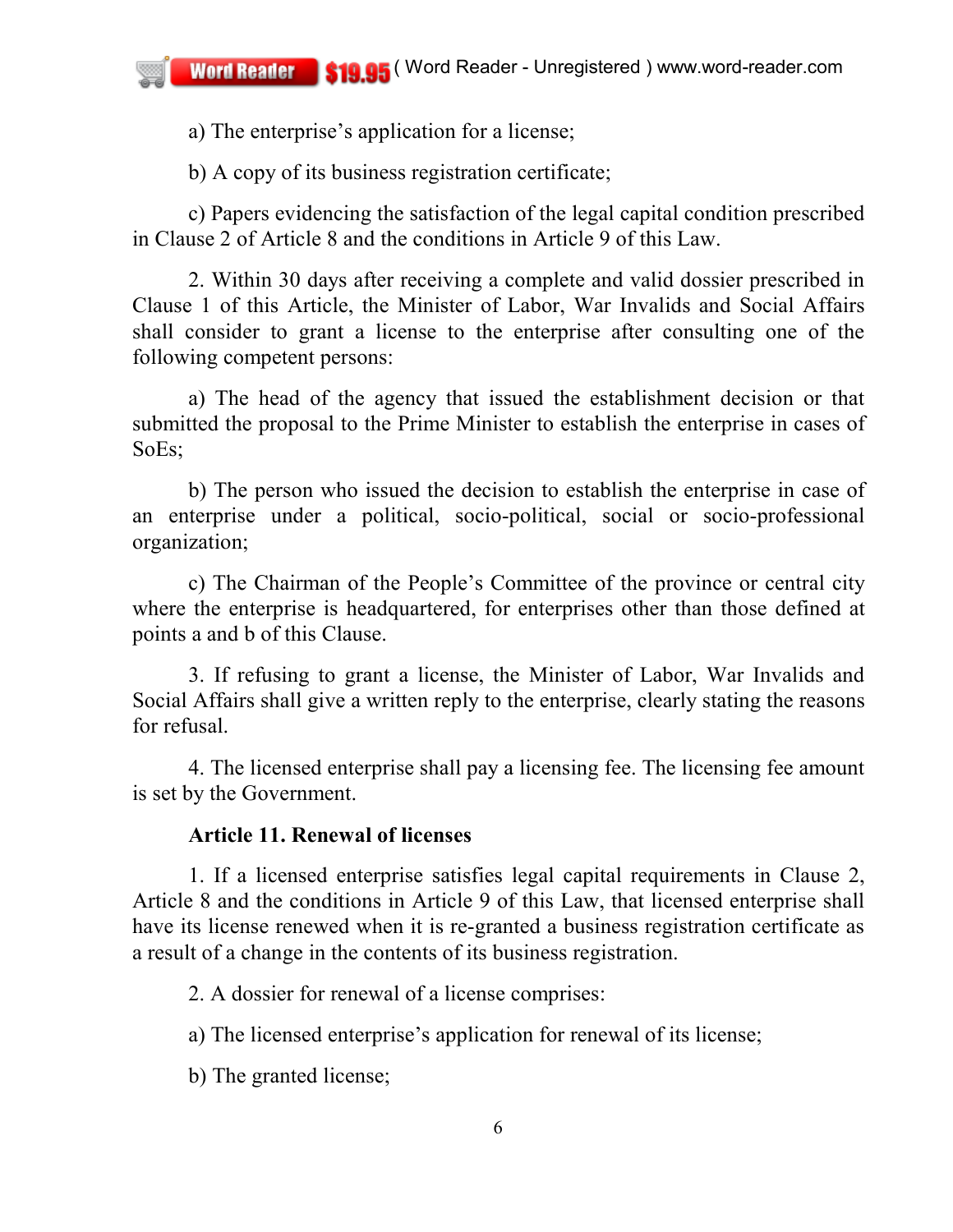a) The enterprise's application for a license;

b) A copy of its business registration certificate;

c) Papers evidencing the satisfaction of the legal capital condition prescribed in Clause 2 of Article 8 and the conditions in Article 9 of this Law.

2. Within 30 days after receiving a complete and valid dossier prescribed in Clause 1 of this Article, the Minister of Labor, War Invalids and Social Affairs shall consider to grant a license to the enterprise after consulting one of the following competent persons:

a) The head of the agency that issued the establishment decision or that submitted the proposal to the Prime Minister to establish the enterprise in cases of SoEs;

b) The person who issued the decision to establish the enterprise in case of an enterprise under a political, socio-political, social or socio-professional organization;

c) The Chairman of the People's Committee of the province or central city where the enterprise is headquartered, for enterprises other than those defined at points a and b of this Clause.

3. If refusing to grant a license, the Minister of Labor, War Invalids and Social Affairs shall give a written reply to the enterprise, clearly stating the reasons for refusal.

4. The licensed enterprise shall pay a licensing fee. The licensing fee amount is set by the Government.

## **Article 11. Renewal of licenses**

1. If a licensed enterprise satisfies legal capital requirements in Clause 2, Article 8 and the conditions in Article 9 of this Law, that licensed enterprise shall have its license renewed when it is re-granted a business registration certificate as a result of a change in the contents of its business registration.

2. A dossier for renewal of a license comprises:

a) The licensed enterprise's application for renewal of its license;

b) The granted license;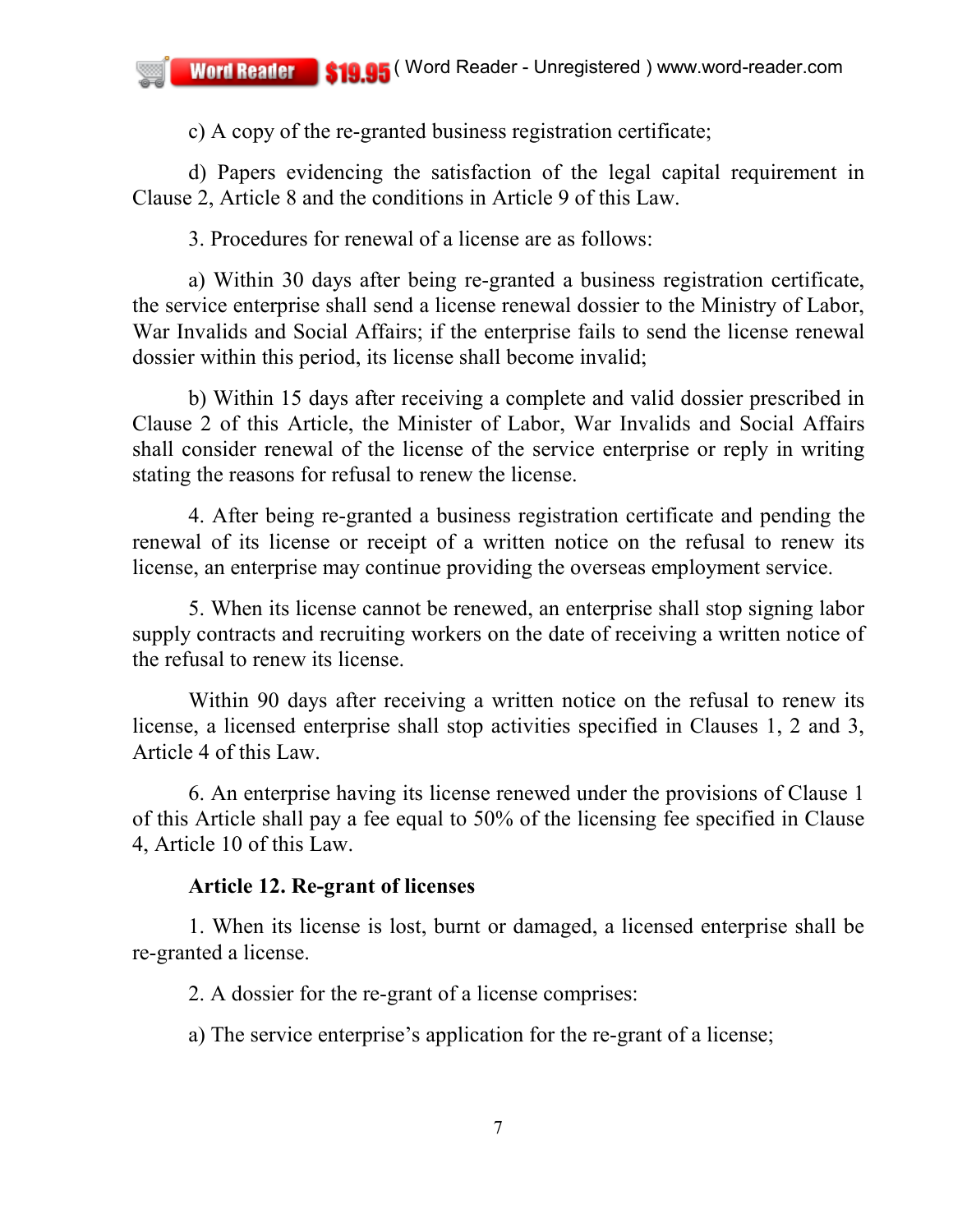c) A copy of the re-granted business registration certificate;

d) Papers evidencing the satisfaction of the legal capital requirement in Clause 2, Article 8 and the conditions in Article 9 of this Law.

3. Procedures for renewal of a license are as follows:

a) Within 30 days after being re-granted a business registration certificate, the service enterprise shall send a license renewal dossier to the Ministry of Labor, War Invalids and Social Affairs; if the enterprise fails to send the license renewal dossier within this period, its license shall become invalid;

b) Within 15 days after receiving a complete and valid dossier prescribed in Clause 2 of this Article, the Minister of Labor, War Invalids and Social Affairs shall consider renewal of the license of the service enterprise or reply in writing stating the reasons for refusal to renew the license.

4. After being re-granted a business registration certificate and pending the renewal of its license or receipt of a written notice on the refusal to renew its license, an enterprise may continue providing the overseas employment service.

5. When its license cannot be renewed, an enterprise shall stop signing labor supply contracts and recruiting workers on the date of receiving a written notice of the refusal to renew its license.

Within 90 days after receiving a written notice on the refusal to renew its license, a licensed enterprise shall stop activities specified in Clauses 1, 2 and 3, Article 4 of this Law.

6. An enterprise having its license renewed under the provisions of Clause 1 of this Article shall pay a fee equal to 50% of the licensing fee specified in Clause 4, Article 10 of this Law.

## **Article 12. Re-grant of licenses**

1. When its license is lost, burnt or damaged, a licensed enterprise shall be re-granted a license.

2. A dossier for the re-grant of a license comprises:

a) The service enterprise's application for the re-grant of a license;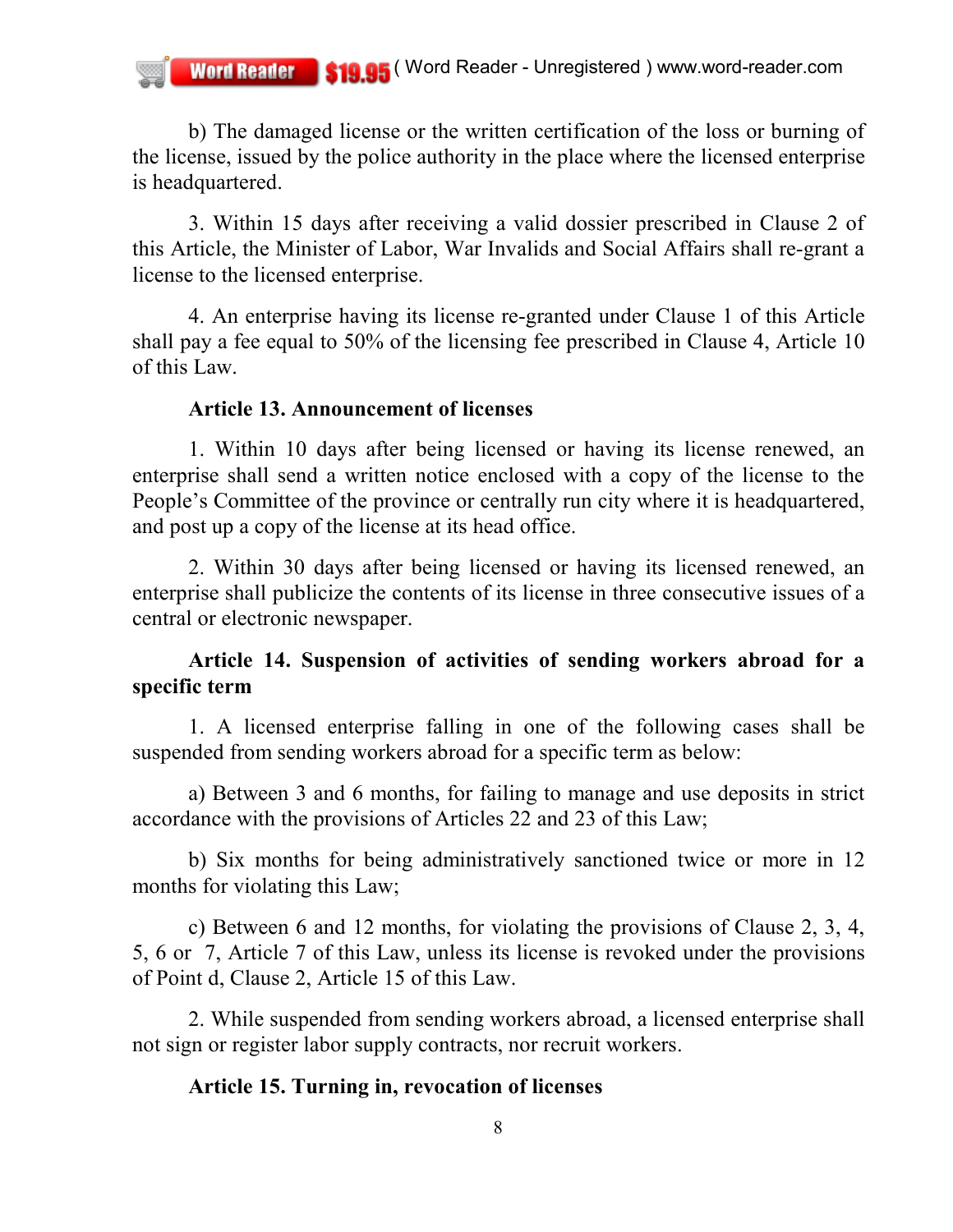b) The damaged license or the written certification of the loss or burning of the license, issued by the police authority in the place where the licensed enterprise is headquartered.

3. Within 15 days after receiving a valid dossier prescribed in Clause 2 of this Article, the Minister of Labor, War Invalids and Social Affairs shall re-grant a license to the licensed enterprise.

4. An enterprise having its license re-granted under Clause 1 of this Article shall pay a fee equal to 50% of the licensing fee prescribed in Clause 4, Article 10 of this Law.

### **Article 13. Announcement of licenses**

1. Within 10 days after being licensed or having its license renewed, an enterprise shall send a written notice enclosed with a copy of the license to the People's Committee of the province or centrally run city where it is headquartered, and post up a copy of the license at its head office.

2. Within 30 days after being licensed or having its licensed renewed, an enterprise shall publicize the contents of its license in three consecutive issues of a central or electronic newspaper.

# **Article 14. Suspension of activities of sending workers abroad for a specific term**

1. A licensed enterprise falling in one of the following cases shall be suspended from sending workers abroad for a specific term as below:

a) Between 3 and 6 months, for failing to manage and use deposits in strict accordance with the provisions of Articles 22 and 23 of this Law;

b) Six months for being administratively sanctioned twice or more in 12 months for violating this Law;

c) Between 6 and 12 months, for violating the provisions of Clause 2, 3, 4, 5, 6 or 7, Article 7 of this Law, unless its license is revoked under the provisions of Point d, Clause 2, Article 15 of this Law.

2. While suspended from sending workers abroad, a licensed enterprise shall not sign or register labor supply contracts, nor recruit workers.

## **Article 15. Turning in, revocation of licenses**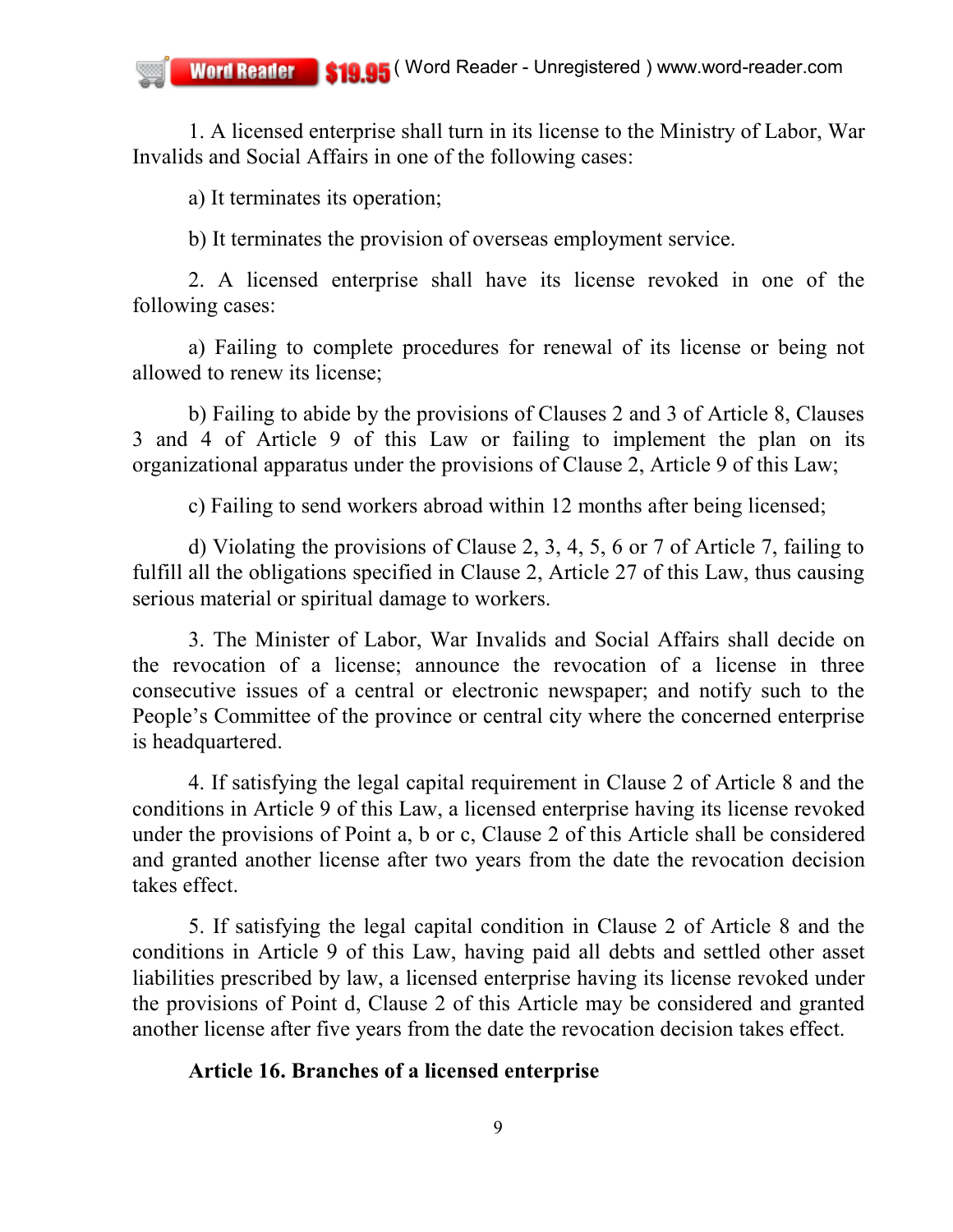1. A licensed enterprise shall turn in its license to the Ministry of Labor, War Invalids and Social Affairs in one of the following cases:

a) It terminates its operation;

b) It terminates the provision of overseas employment service.

2. A licensed enterprise shall have its license revoked in one of the following cases:

a) Failing to complete procedures for renewal of its license or being not allowed to renew its license;

b) Failing to abide by the provisions of Clauses 2 and 3 of Article 8, Clauses 3 and 4 of Article 9 of this Law or failing to implement the plan on its organizational apparatus under the provisions of Clause 2, Article 9 of this Law;

c) Failing to send workers abroad within 12 months after being licensed;

d) Violating the provisions of Clause 2, 3, 4, 5, 6 or 7 of Article 7, failing to fulfill all the obligations specified in Clause 2, Article 27 of this Law, thus causing serious material or spiritual damage to workers.

3. The Minister of Labor, War Invalids and Social Affairs shall decide on the revocation of a license; announce the revocation of a license in three consecutive issues of a central or electronic newspaper; and notify such to the People's Committee of the province or central city where the concerned enterprise is headquartered.

4. If satisfying the legal capital requirement in Clause 2 of Article 8 and the conditions in Article 9 of this Law, a licensed enterprise having its license revoked under the provisions of Point a, b or c, Clause 2 of this Article shall be considered and granted another license after two years from the date the revocation decision takes effect.

5. If satisfying the legal capital condition in Clause 2 of Article 8 and the conditions in Article 9 of this Law, having paid all debts and settled other asset liabilities prescribed by law, a licensed enterprise having its license revoked under the provisions of Point d, Clause 2 of this Article may be considered and granted another license after five years from the date the revocation decision takes effect.

### **Article 16. Branches of a licensed enterprise**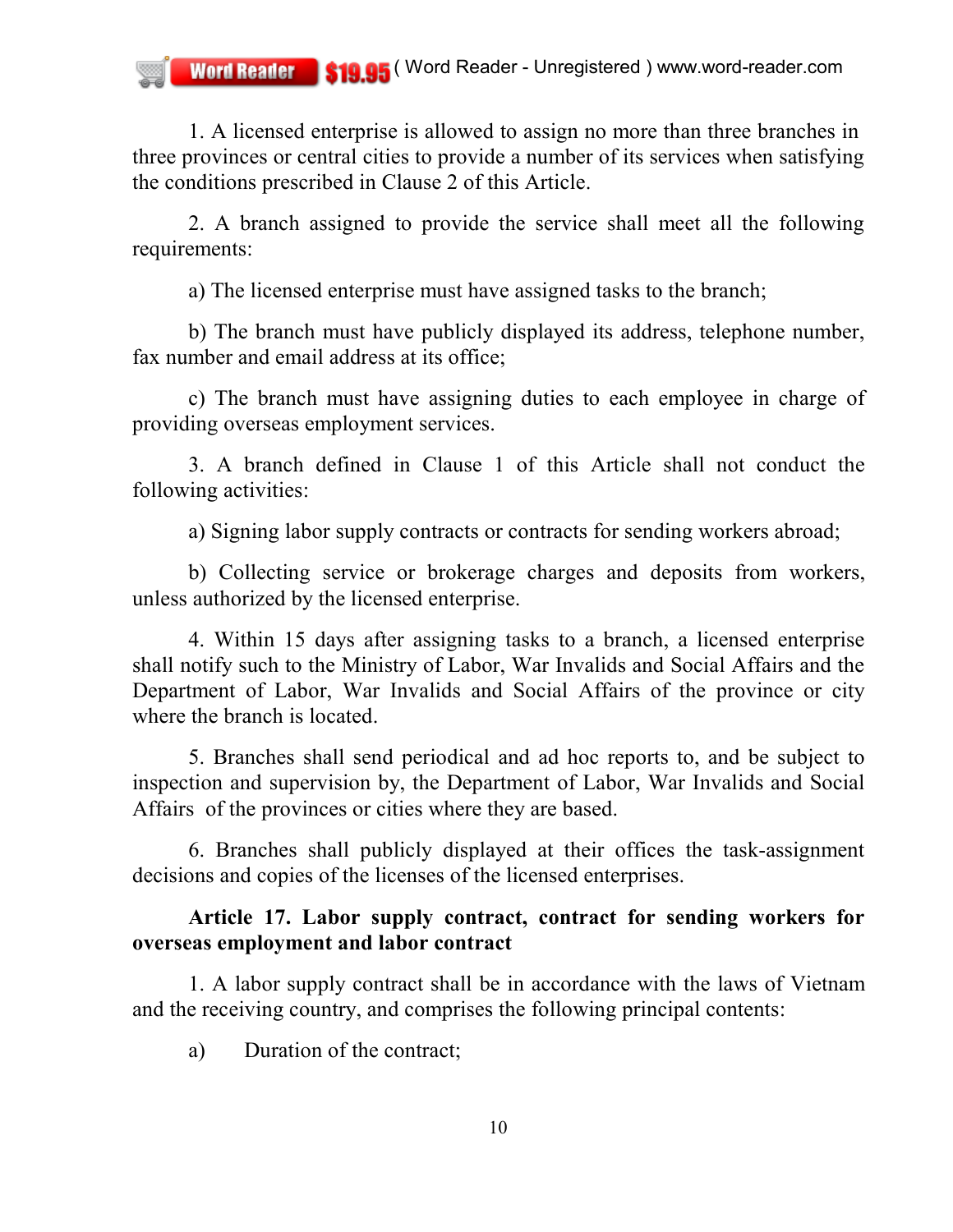1. A licensed enterprise is allowed to assign no more than three branches in three provinces or central cities to provide a number of its services when satisfying the conditions prescribed in Clause 2 of this Article.

2. A branch assigned to provide the service shall meet all the following requirements:

a) The licensed enterprise must have assigned tasks to the branch;

b) The branch must have publicly displayed its address, telephone number, fax number and email address at its office;

c) The branch must have assigning duties to each employee in charge of providing overseas employment services.

3. A branch defined in Clause 1 of this Article shall not conduct the following activities:

a) Signing labor supply contracts or contracts for sending workers abroad;

b) Collecting service or brokerage charges and deposits from workers, unless authorized by the licensed enterprise.

4. Within 15 days after assigning tasks to a branch, a licensed enterprise shall notify such to the Ministry of Labor, War Invalids and Social Affairs and the Department of Labor, War Invalids and Social Affairs of the province or city where the branch is located.

5. Branches shall send periodical and ad hoc reports to, and be subject to inspection and supervision by, the Department of Labor, War Invalids and Social Affairs of the provinces or cities where they are based.

6. Branches shall publicly displayed at their offices the task-assignment decisions and copies of the licenses of the licensed enterprises.

## **Article 17. Labor supply contract, contract for sending workers for overseas employment and labor contract**

1. A labor supply contract shall be in accordance with the laws of Vietnam and the receiving country, and comprises the following principal contents:

a) Duration of the contract;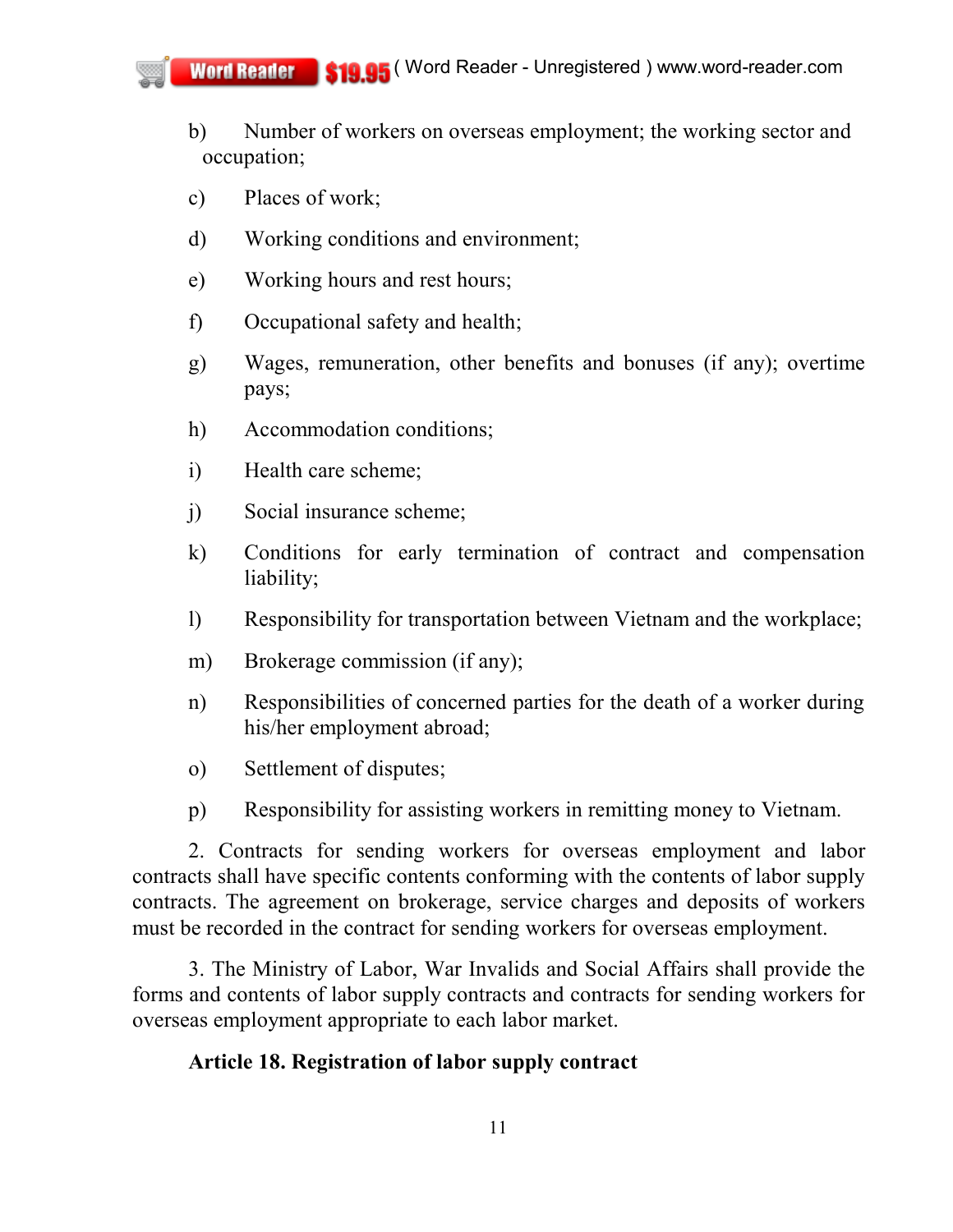- b) Number of workers on overseas employment; the working sector and occupation;
- c) Places of work;
- d) Working conditions and environment;
- e) Working hours and rest hours;
- f) Occupational safety and health;
- g) Wages, remuneration, other benefits and bonuses (if any); overtime pays;
- h) Accommodation conditions;
- i) Health care scheme;
- j) Social insurance scheme;
- k) Conditions for early termination of contract and compensation liability;
- l) Responsibility for transportation between Vietnam and the workplace;
- m) Brokerage commission (if any);
- n) Responsibilities of concerned parties for the death of a worker during his/her employment abroad;
- o) Settlement of disputes;
- p) Responsibility for assisting workers in remitting money to Vietnam.

2. Contracts for sending workers for overseas employment and labor contracts shall have specific contents conforming with the contents of labor supply contracts. The agreement on brokerage, service charges and deposits of workers must be recorded in the contract for sending workers for overseas employment.

3. The Ministry of Labor, War Invalids and Social Affairs shall provide the forms and contents of labor supply contracts and contracts for sending workers for overseas employment appropriate to each labor market.

### **Article 18. Registration of labor supply contract**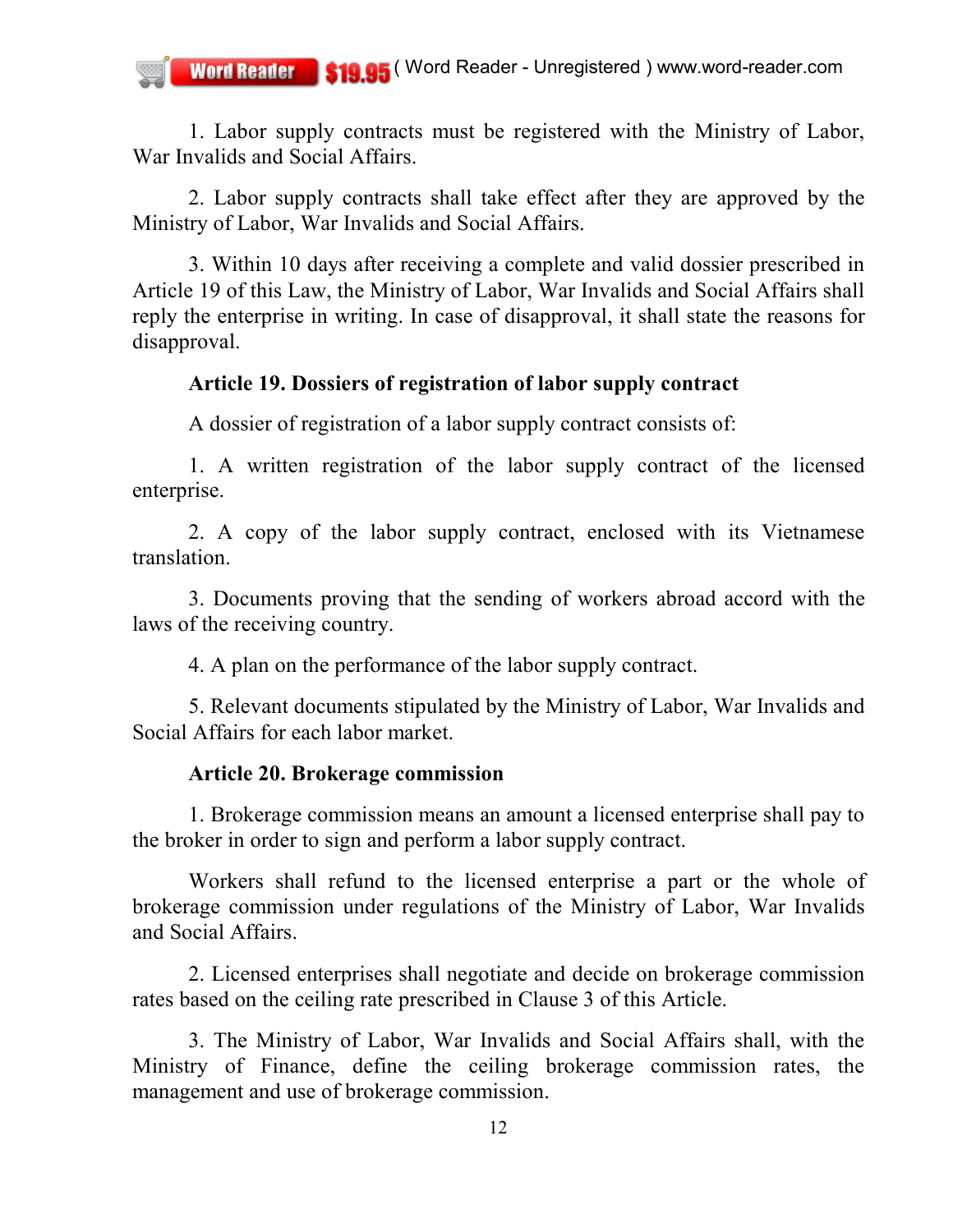1. Labor supply contracts must be registered with the Ministry of Labor, War Invalids and Social Affairs.

2. Labor supply contracts shall take effect after they are approved by the Ministry of Labor, War Invalids and Social Affairs.

3. Within 10 days after receiving a complete and valid dossier prescribed in Article 19 of this Law, the Ministry of Labor, War Invalids and Social Affairs shall reply the enterprise in writing. In case of disapproval, it shall state the reasons for disapproval.

### **Article 19. Dossiers of registration of labor supply contract**

A dossier of registration of a labor supply contract consists of:

1. A written registration of the labor supply contract of the licensed enterprise.

2. A copy of the labor supply contract, enclosed with its Vietnamese translation.

3. Documents proving that the sending of workers abroad accord with the laws of the receiving country.

4. A plan on the performance of the labor supply contract.

5. Relevant documents stipulated by the Ministry of Labor, War Invalids and Social Affairs for each labor market.

#### **Article 20. Brokerage commission**

1. Brokerage commission means an amount a licensed enterprise shall pay to the broker in order to sign and perform a labor supply contract.

Workers shall refund to the licensed enterprise a part or the whole of brokerage commission under regulations of the Ministry of Labor, War Invalids and Social Affairs.

2. Licensed enterprises shall negotiate and decide on brokerage commission rates based on the ceiling rate prescribed in Clause 3 of this Article.

3. The Ministry of Labor, War Invalids and Social Affairs shall, with the Ministry of Finance, define the ceiling brokerage commission rates, the management and use of brokerage commission.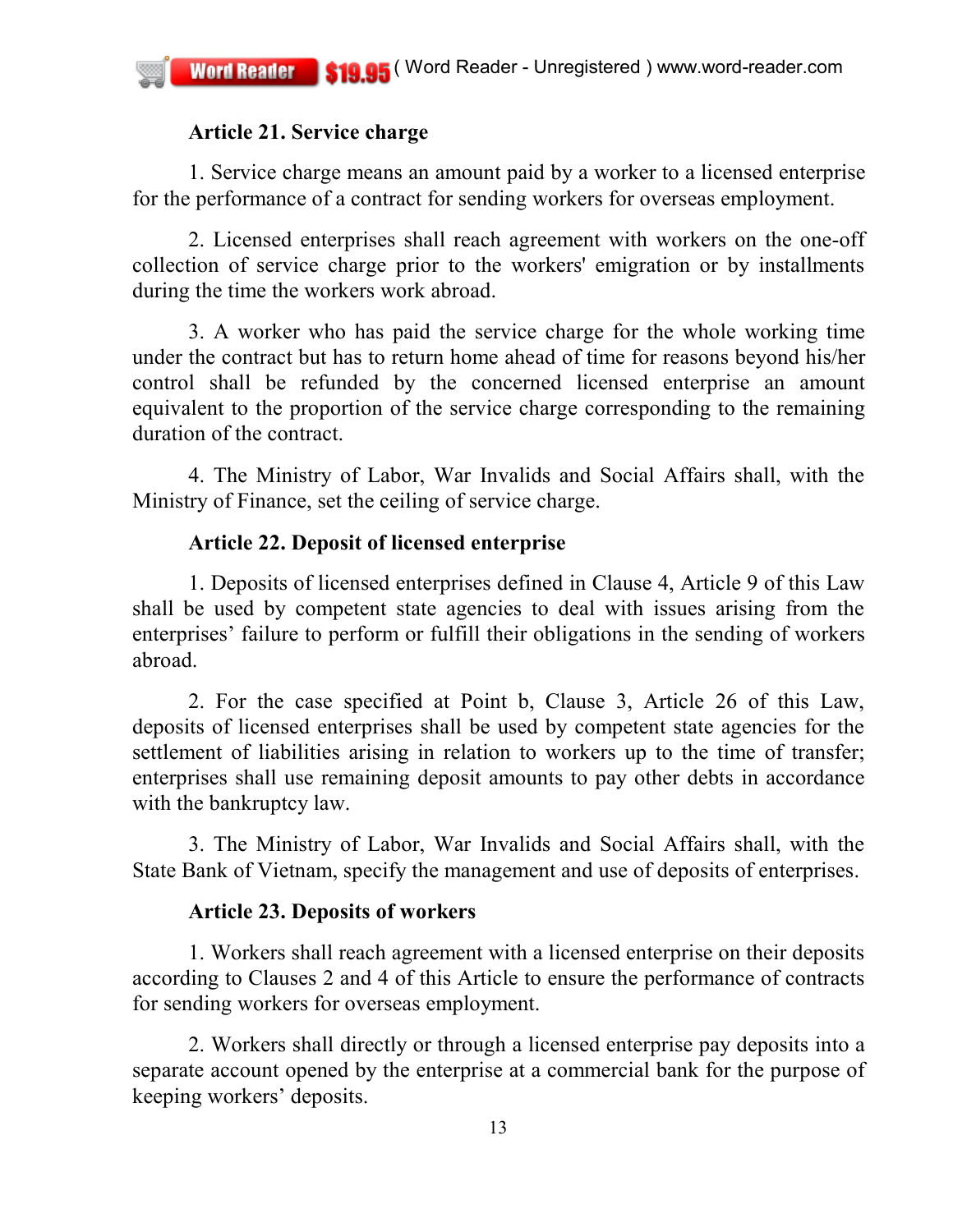## **Article 21. Service charge**

1. Service charge means an amount paid by a worker to a licensed enterprise for the performance of a contract for sending workers for overseas employment.

2. Licensed enterprises shall reach agreement with workers on the one-off collection of service charge prior to the workers' emigration or by installments during the time the workers work abroad.

3. A worker who has paid the service charge for the whole working time under the contract but has to return home ahead of time for reasons beyond his/her control shall be refunded by the concerned licensed enterprise an amount equivalent to the proportion of the service charge corresponding to the remaining duration of the contract.

4. The Ministry of Labor, War Invalids and Social Affairs shall, with the Ministry of Finance, set the ceiling of service charge.

## **Article 22. Deposit of licensed enterprise**

1. Deposits of licensed enterprises defined in Clause 4, Article 9 of this Law shall be used by competent state agencies to deal with issues arising from the enterprises' failure to perform or fulfill their obligations in the sending of workers abroad.

2. For the case specified at Point b, Clause 3, Article 26 of this Law, deposits of licensed enterprises shall be used by competent state agencies for the settlement of liabilities arising in relation to workers up to the time of transfer; enterprises shall use remaining deposit amounts to pay other debts in accordance with the bankruptcy law.

3. The Ministry of Labor, War Invalids and Social Affairs shall, with the State Bank of Vietnam, specify the management and use of deposits of enterprises.

# **Article 23. Deposits of workers**

1. Workers shall reach agreement with a licensed enterprise on their deposits according to Clauses 2 and 4 of this Article to ensure the performance of contracts for sending workers for overseas employment.

2. Workers shall directly or through a licensed enterprise pay deposits into a separate account opened by the enterprise at a commercial bank for the purpose of keeping workers' deposits.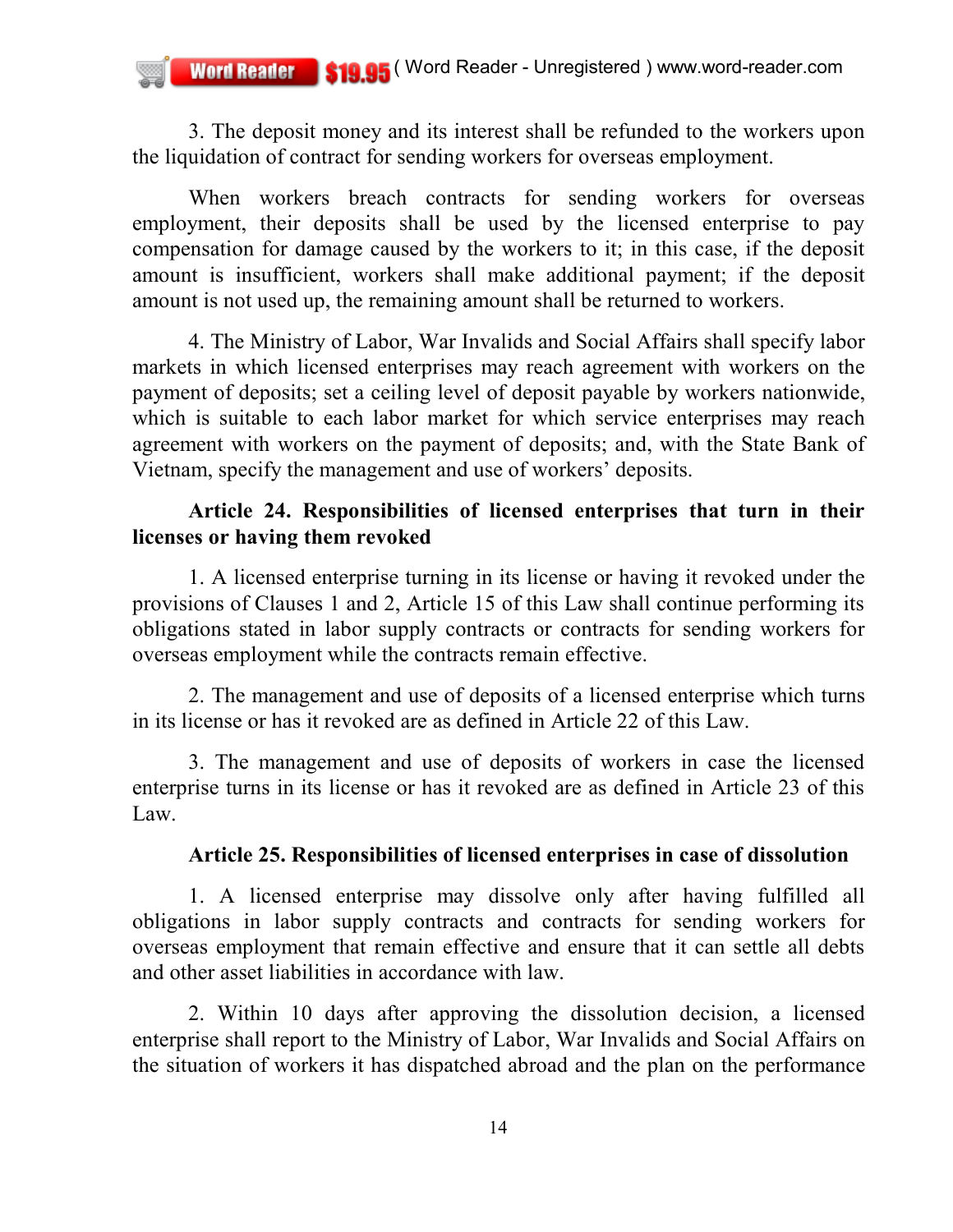3. The deposit money and its interest shall be refunded to the workers upon the liquidation of contract for sending workers for overseas employment.

When workers breach contracts for sending workers for overseas employment, their deposits shall be used by the licensed enterprise to pay compensation for damage caused by the workers to it; in this case, if the deposit amount is insufficient, workers shall make additional payment; if the deposit amount is not used up, the remaining amount shall be returned to workers.

4. The Ministry of Labor, War Invalids and Social Affairs shall specify labor markets in which licensed enterprises may reach agreement with workers on the payment of deposits; set a ceiling level of deposit payable by workers nationwide, which is suitable to each labor market for which service enterprises may reach agreement with workers on the payment of deposits; and, with the State Bank of Vietnam, specify the management and use of workers' deposits.

## **Article 24. Responsibilities of licensed enterprises that turn in their licenses or having them revoked**

1. A licensed enterprise turning in its license or having it revoked under the provisions of Clauses 1 and 2, Article 15 of this Law shall continue performing its obligations stated in labor supply contracts or contracts for sending workers for overseas employment while the contracts remain effective.

2. The management and use of deposits of a licensed enterprise which turns in its license or has it revoked are as defined in Article 22 of this Law.

3. The management and use of deposits of workers in case the licensed enterprise turns in its license or has it revoked are as defined in Article 23 of this Law.

## **Article 25. Responsibilities of licensed enterprises in case of dissolution**

1. A licensed enterprise may dissolve only after having fulfilled all obligations in labor supply contracts and contracts for sending workers for overseas employment that remain effective and ensure that it can settle all debts and other asset liabilities in accordance with law.

2. Within 10 days after approving the dissolution decision, a licensed enterprise shall report to the Ministry of Labor, War Invalids and Social Affairs on the situation of workers it has dispatched abroad and the plan on the performance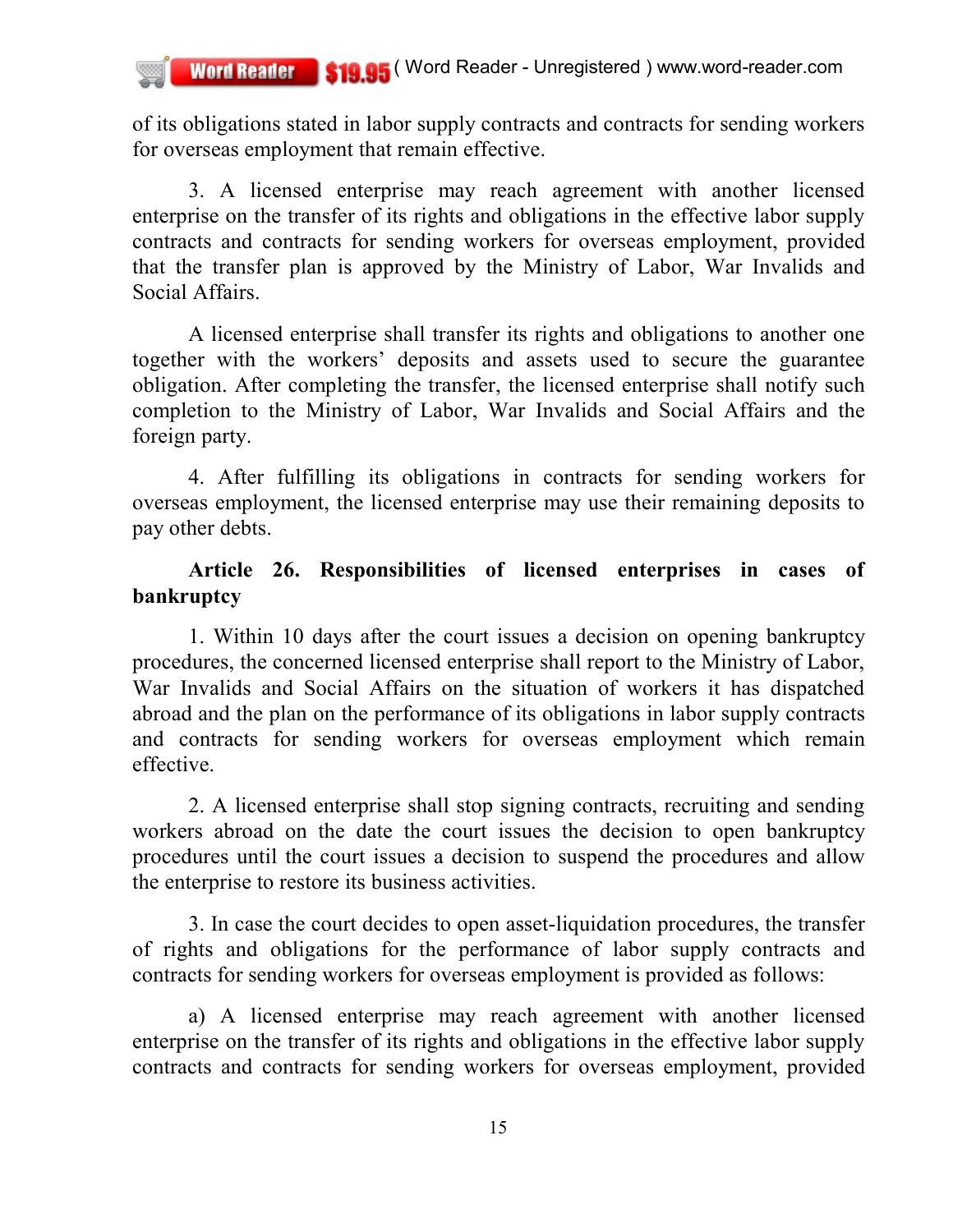of its obligations stated in labor supply contracts and contracts for sending workers for overseas employment that remain effective.

3. A licensed enterprise may reach agreement with another licensed enterprise on the transfer of its rights and obligations in the effective labor supply contracts and contracts for sending workers for overseas employment, provided that the transfer plan is approved by the Ministry of Labor, War Invalids and Social Affairs.

A licensed enterprise shall transfer its rights and obligations to another one together with the workers' deposits and assets used to secure the guarantee obligation. After completing the transfer, the licensed enterprise shall notify such completion to the Ministry of Labor, War Invalids and Social Affairs and the foreign party.

4. After fulfilling its obligations in contracts for sending workers for overseas employment, the licensed enterprise may use their remaining deposits to pay other debts.

## **Article 26. Responsibilities of licensed enterprises in cases of bankruptcy**

1. Within 10 days after the court issues a decision on opening bankruptcy procedures, the concerned licensed enterprise shall report to the Ministry of Labor, War Invalids and Social Affairs on the situation of workers it has dispatched abroad and the plan on the performance of its obligations in labor supply contracts and contracts for sending workers for overseas employment which remain effective.

2. A licensed enterprise shall stop signing contracts, recruiting and sending workers abroad on the date the court issues the decision to open bankruptcy procedures until the court issues a decision to suspend the procedures and allow the enterprise to restore its business activities.

3. In case the court decides to open asset-liquidation procedures, the transfer of rights and obligations for the performance of labor supply contracts and contracts for sending workers for overseas employment is provided as follows:

a) A licensed enterprise may reach agreement with another licensed enterprise on the transfer of its rights and obligations in the effective labor supply contracts and contracts for sending workers for overseas employment, provided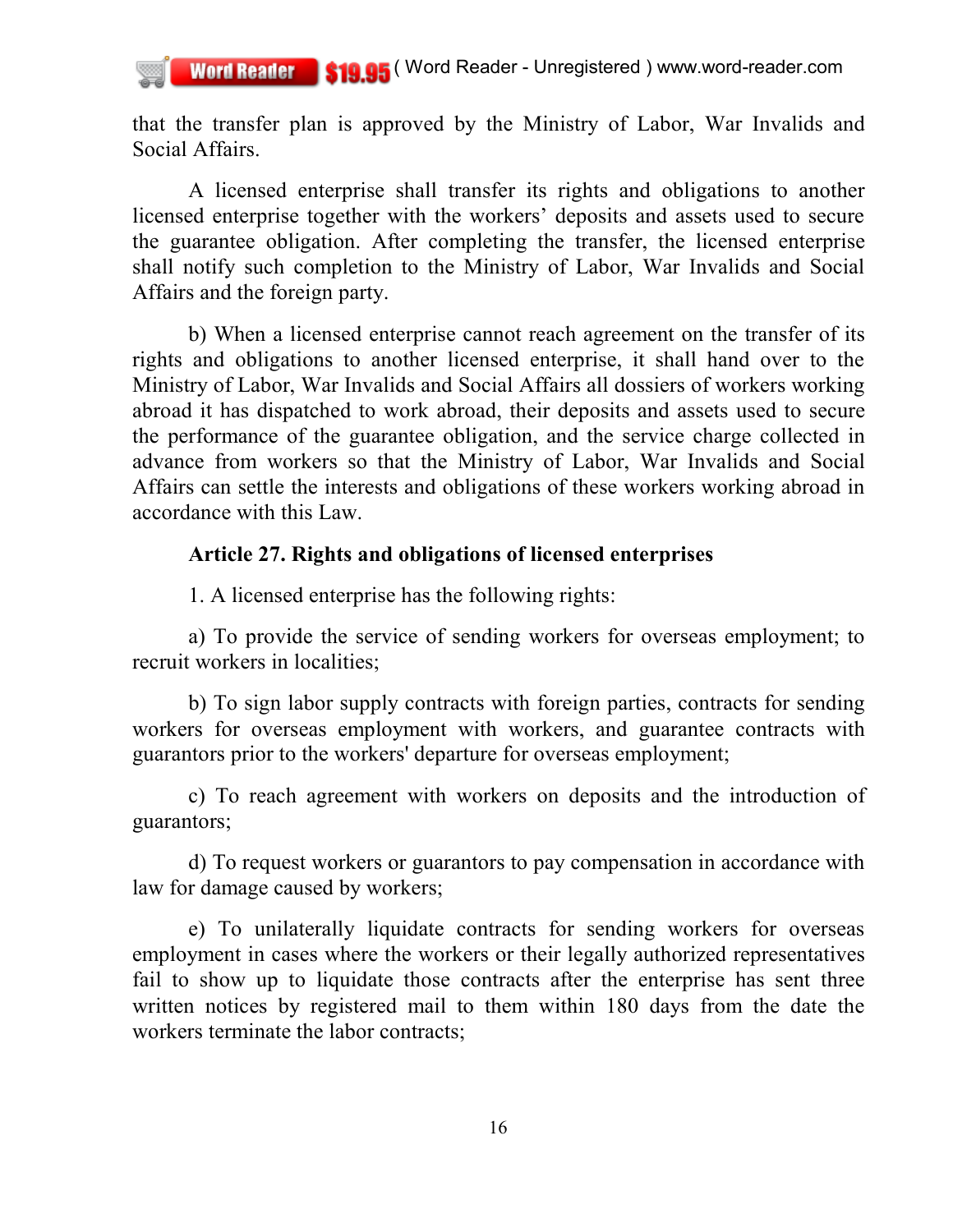that the transfer plan is approved by the Ministry of Labor, War Invalids and Social Affairs.

A licensed enterprise shall transfer its rights and obligations to another licensed enterprise together with the workers' deposits and assets used to secure the guarantee obligation. After completing the transfer, the licensed enterprise shall notify such completion to the Ministry of Labor, War Invalids and Social Affairs and the foreign party.

b) When a licensed enterprise cannot reach agreement on the transfer of its rights and obligations to another licensed enterprise, it shall hand over to the Ministry of Labor, War Invalids and Social Affairs all dossiers of workers working abroad it has dispatched to work abroad, their deposits and assets used to secure the performance of the guarantee obligation, and the service charge collected in advance from workers so that the Ministry of Labor, War Invalids and Social Affairs can settle the interests and obligations of these workers working abroad in accordance with this Law.

## **Article 27. Rights and obligations of licensed enterprises**

1. A licensed enterprise has the following rights:

a) To provide the service of sending workers for overseas employment; to recruit workers in localities;

b) To sign labor supply contracts with foreign parties, contracts for sending workers for overseas employment with workers, and guarantee contracts with guarantors prior to the workers' departure for overseas employment;

c) To reach agreement with workers on deposits and the introduction of guarantors;

d) To request workers or guarantors to pay compensation in accordance with law for damage caused by workers;

e) To unilaterally liquidate contracts for sending workers for overseas employment in cases where the workers or their legally authorized representatives fail to show up to liquidate those contracts after the enterprise has sent three written notices by registered mail to them within 180 days from the date the workers terminate the labor contracts;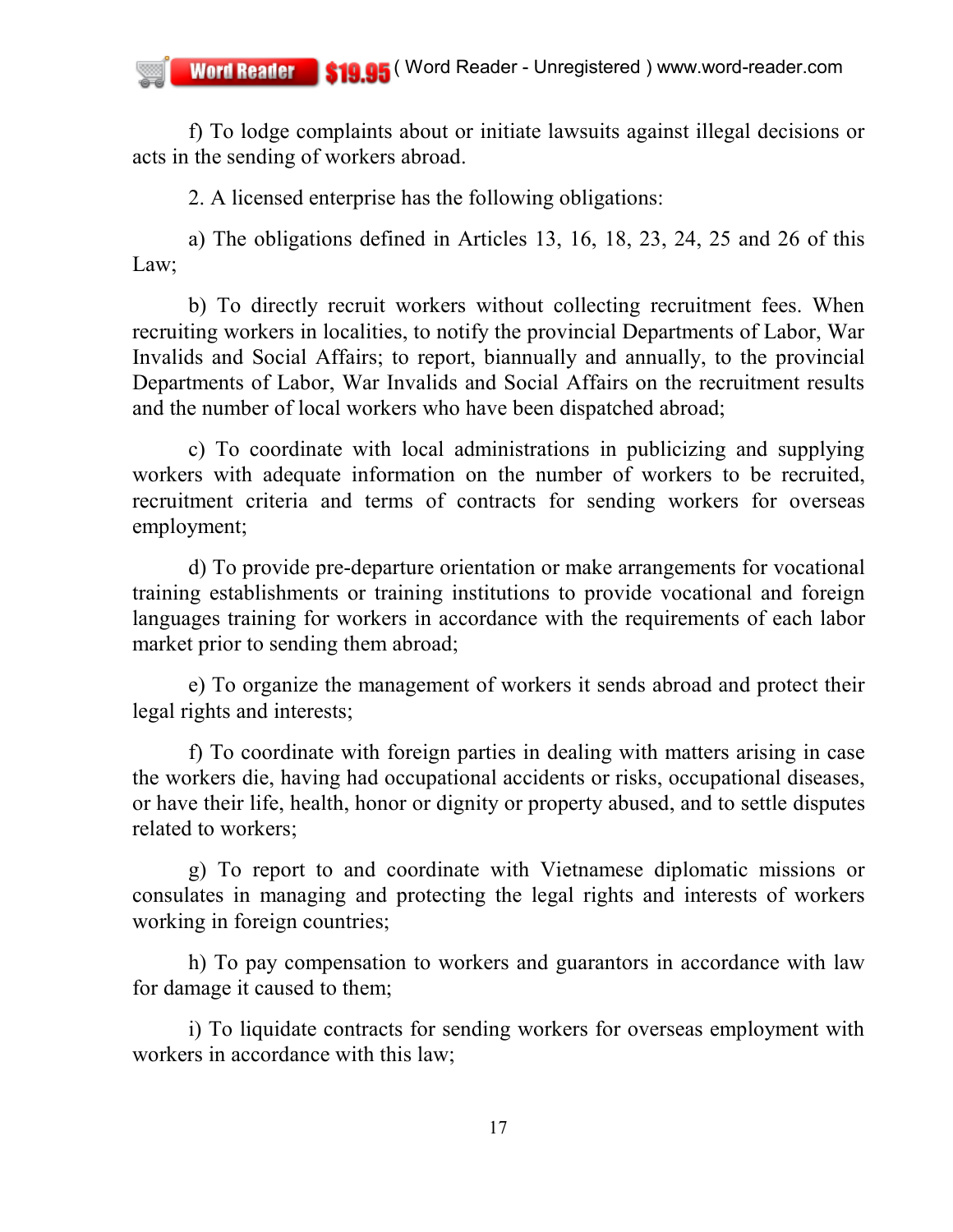f) To lodge complaints about or initiate lawsuits against illegal decisions or acts in the sending of workers abroad.

2. A licensed enterprise has the following obligations:

a) The obligations defined in Articles 13, 16, 18, 23, 24, 25 and 26 of this Law;

b) To directly recruit workers without collecting recruitment fees. When recruiting workers in localities, to notify the provincial Departments of Labor, War Invalids and Social Affairs; to report, biannually and annually, to the provincial Departments of Labor, War Invalids and Social Affairs on the recruitment results and the number of local workers who have been dispatched abroad;

c) To coordinate with local administrations in publicizing and supplying workers with adequate information on the number of workers to be recruited, recruitment criteria and terms of contracts for sending workers for overseas employment;

d) To provide pre-departure orientation or make arrangements for vocational training establishments or training institutions to provide vocational and foreign languages training for workers in accordance with the requirements of each labor market prior to sending them abroad;

e) To organize the management of workers it sends abroad and protect their legal rights and interests;

f) To coordinate with foreign parties in dealing with matters arising in case the workers die, having had occupational accidents or risks, occupational diseases, or have their life, health, honor or dignity or property abused, and to settle disputes related to workers;

g) To report to and coordinate with Vietnamese diplomatic missions or consulates in managing and protecting the legal rights and interests of workers working in foreign countries;

h) To pay compensation to workers and guarantors in accordance with law for damage it caused to them;

i) To liquidate contracts for sending workers for overseas employment with workers in accordance with this law;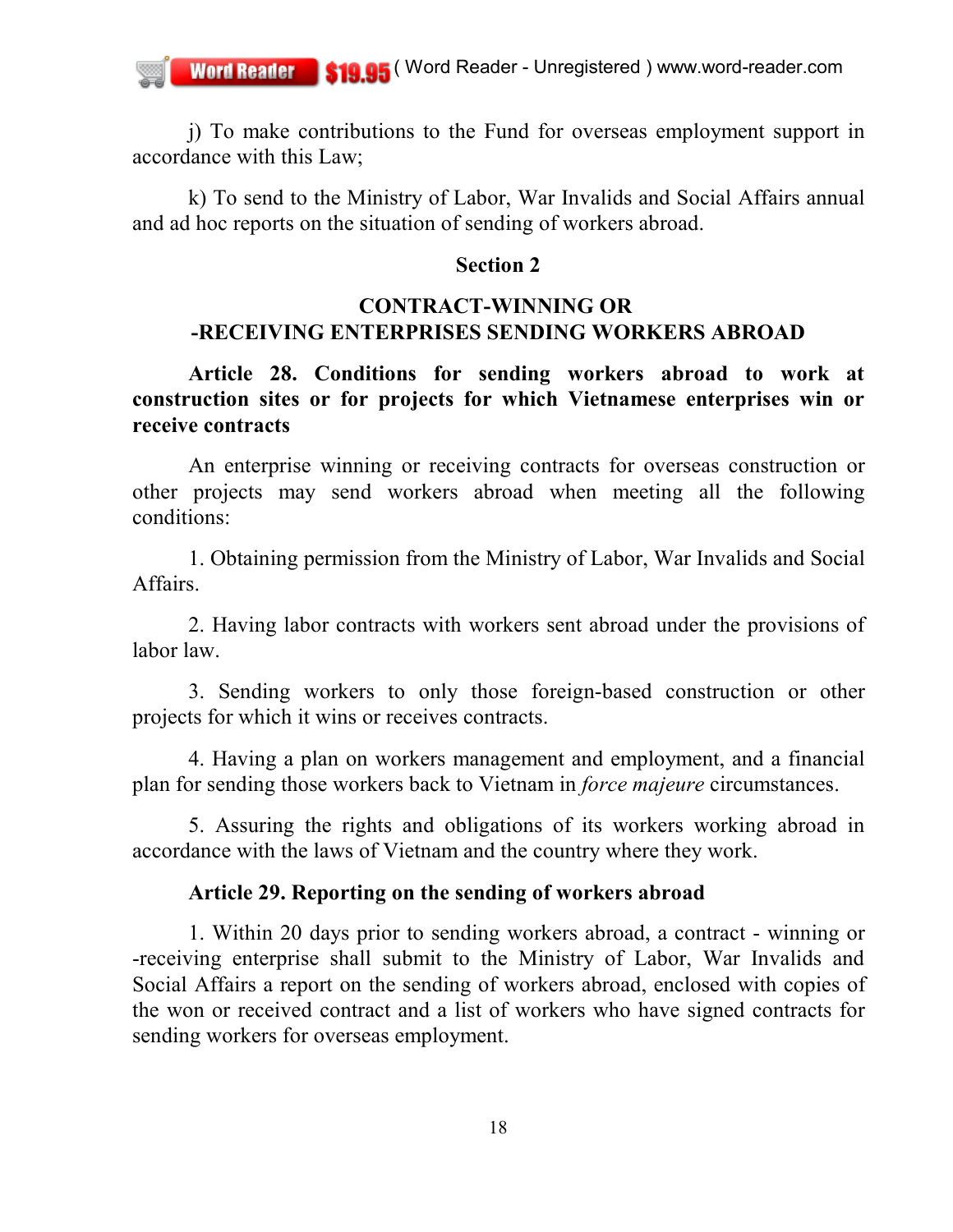j) To make contributions to the Fund for overseas employment support in accordance with this Law;

k) To send to the Ministry of Labor, War Invalids and Social Affairs annual and ad hoc reports on the situation of sending of workers abroad.

### **Section 2**

## **CONTRACT-WINNING OR -RECEIVING ENTERPRISES SENDING WORKERS ABROAD**

**Article 28. Conditions for sending workers abroad to work at construction sites or for projects for which Vietnamese enterprises win or receive contracts**

An enterprise winning or receiving contracts for overseas construction or other projects may send workers abroad when meeting all the following conditions:

1. Obtaining permission from the Ministry of Labor, War Invalids and Social **Affairs** 

2. Having labor contracts with workers sent abroad under the provisions of labor law.

3. Sending workers to only those foreign-based construction or other projects for which it wins or receives contracts.

4. Having a plan on workers management and employment, and a financial plan for sending those workers back to Vietnam in *force majeure* circumstances.

5. Assuring the rights and obligations of its workers working abroad in accordance with the laws of Vietnam and the country where they work.

## **Article 29. Reporting on the sending of workers abroad**

1. Within 20 days prior to sending workers abroad, a contract - winning or -receiving enterprise shall submit to the Ministry of Labor, War Invalids and Social Affairs a report on the sending of workers abroad, enclosed with copies of the won or received contract and a list of workers who have signed contracts for sending workers for overseas employment.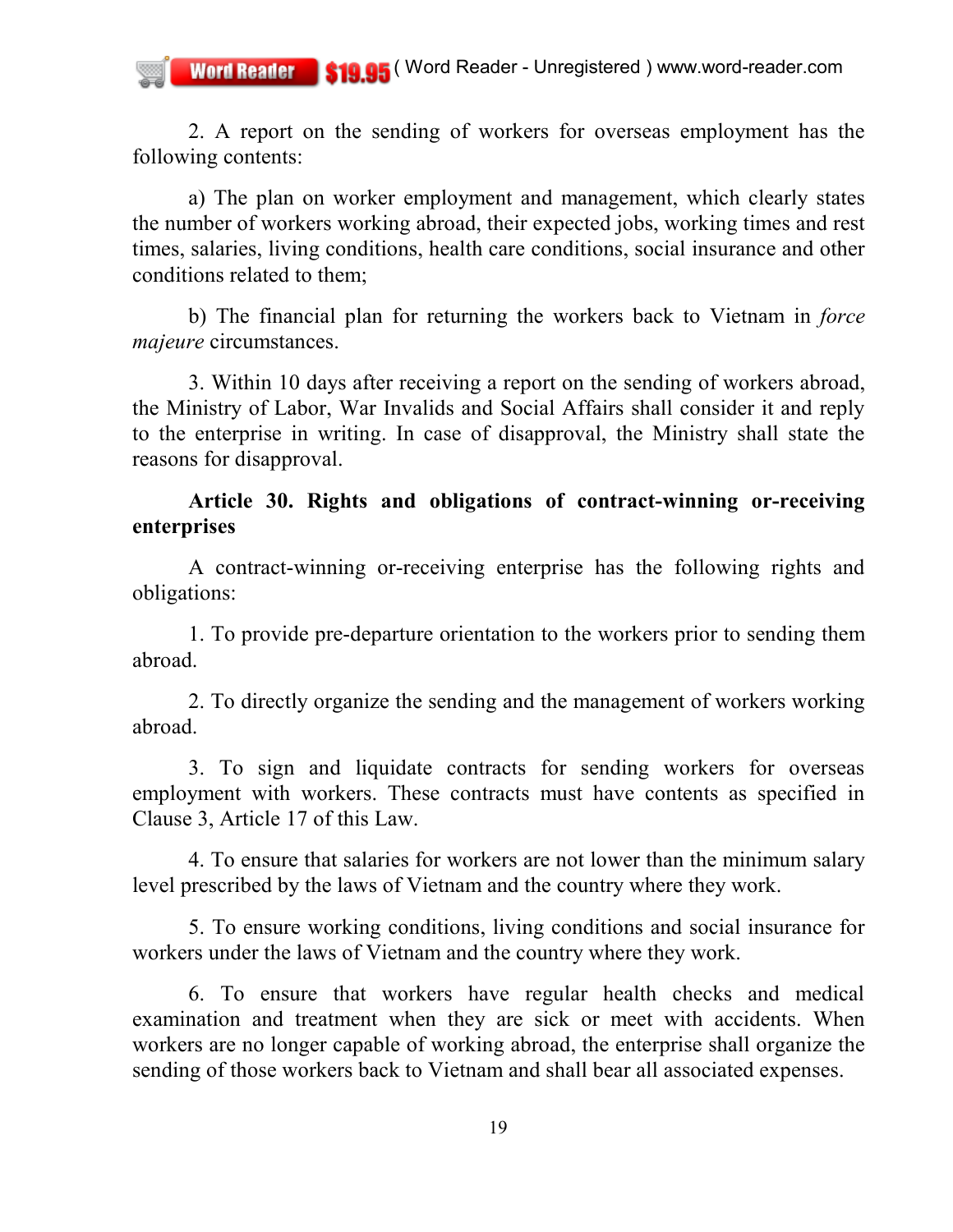2. A report on the sending of workers for overseas employment has the following contents:

a) The plan on worker employment and management, which clearly states the number of workers working abroad, their expected jobs, working times and rest times, salaries, living conditions, health care conditions, social insurance and other conditions related to them;

b) The financial plan for returning the workers back to Vietnam in *force majeure* circumstances.

3. Within 10 days after receiving a report on the sending of workers abroad, the Ministry of Labor, War Invalids and Social Affairs shall consider it and reply to the enterprise in writing. In case of disapproval, the Ministry shall state the reasons for disapproval.

## **Article 30. Rights and obligations of contract-winning or-receiving enterprises**

A contract-winning or-receiving enterprise has the following rights and obligations:

1. To provide pre-departure orientation to the workers prior to sending them abroad.

2. To directly organize the sending and the management of workers working abroad.

3. To sign and liquidate contracts for sending workers for overseas employment with workers. These contracts must have contents as specified in Clause 3, Article 17 of this Law.

4. To ensure that salaries for workers are not lower than the minimum salary level prescribed by the laws of Vietnam and the country where they work.

5. To ensure working conditions, living conditions and social insurance for workers under the laws of Vietnam and the country where they work.

6. To ensure that workers have regular health checks and medical examination and treatment when they are sick or meet with accidents. When workers are no longer capable of working abroad, the enterprise shall organize the sending of those workers back to Vietnam and shall bear all associated expenses.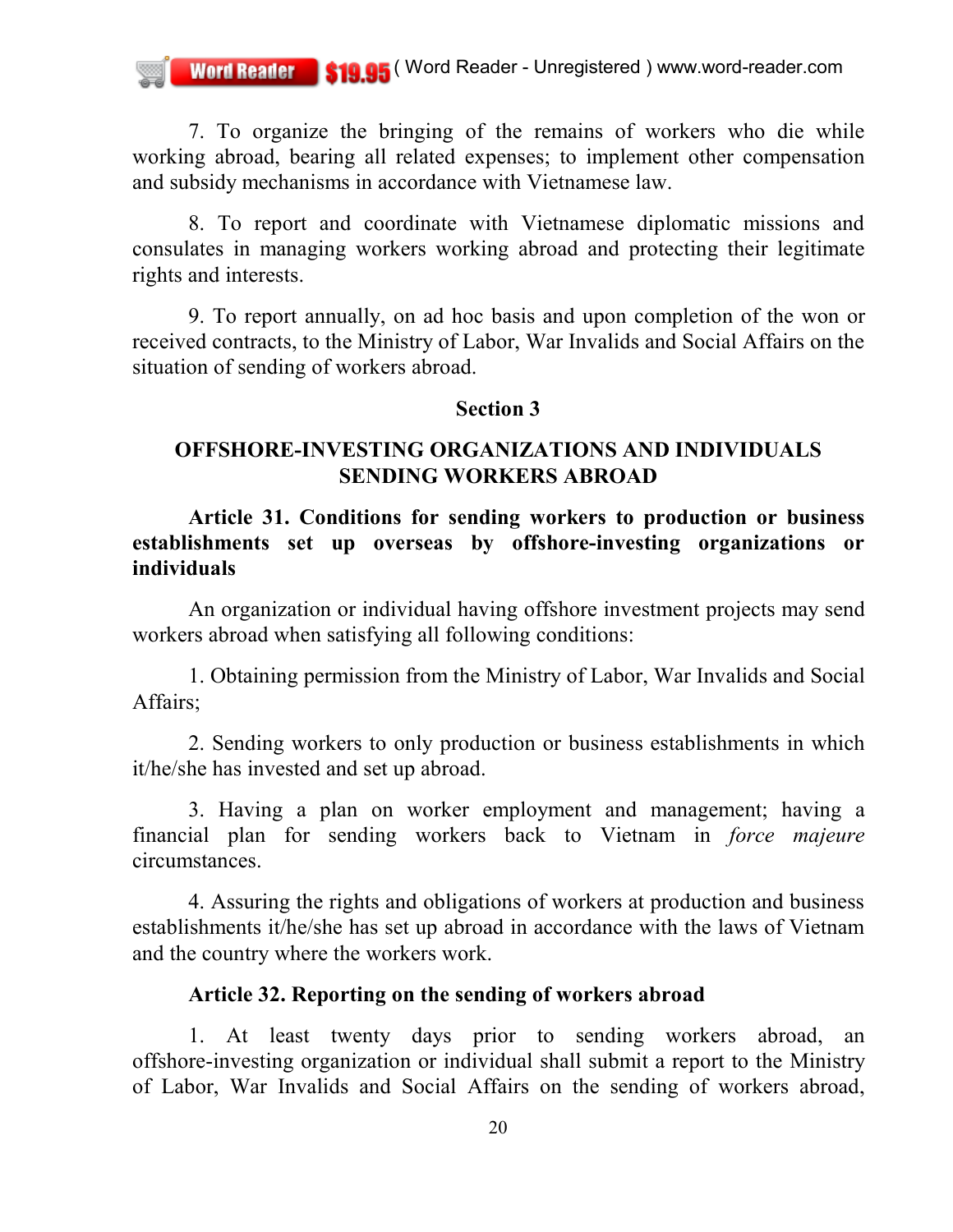7. To organize the bringing of the remains of workers who die while working abroad, bearing all related expenses; to implement other compensation and subsidy mechanisms in accordance with Vietnamese law.

8. To report and coordinate with Vietnamese diplomatic missions and consulates in managing workers working abroad and protecting their legitimate rights and interests.

9. To report annually, on ad hoc basis and upon completion of the won or received contracts, to the Ministry of Labor, War Invalids and Social Affairs on the situation of sending of workers abroad.

### **Section 3**

### **OFFSHORE-INVESTING ORGANIZATIONS AND INDIVIDUALS SENDING WORKERS ABROAD**

**Article 31. Conditions for sending workers to production or business establishments set up overseas by offshore-investing organizations or individuals**

An organization or individual having offshore investment projects may send workers abroad when satisfying all following conditions:

1. Obtaining permission from the Ministry of Labor, War Invalids and Social Affairs;

2. Sending workers to only production or business establishments in which it/he/she has invested and set up abroad.

3. Having a plan on worker employment and management; having a financial plan for sending workers back to Vietnam in *force majeure* circumstances.

4. Assuring the rights and obligations of workers at production and business establishments it/he/she has set up abroad in accordance with the laws of Vietnam and the country where the workers work.

## **Article 32. Reporting on the sending of workers abroad**

1. At least twenty days prior to sending workers abroad, an offshore-investing organization or individual shall submit a report to the Ministry of Labor, War Invalids and Social Affairs on the sending of workers abroad,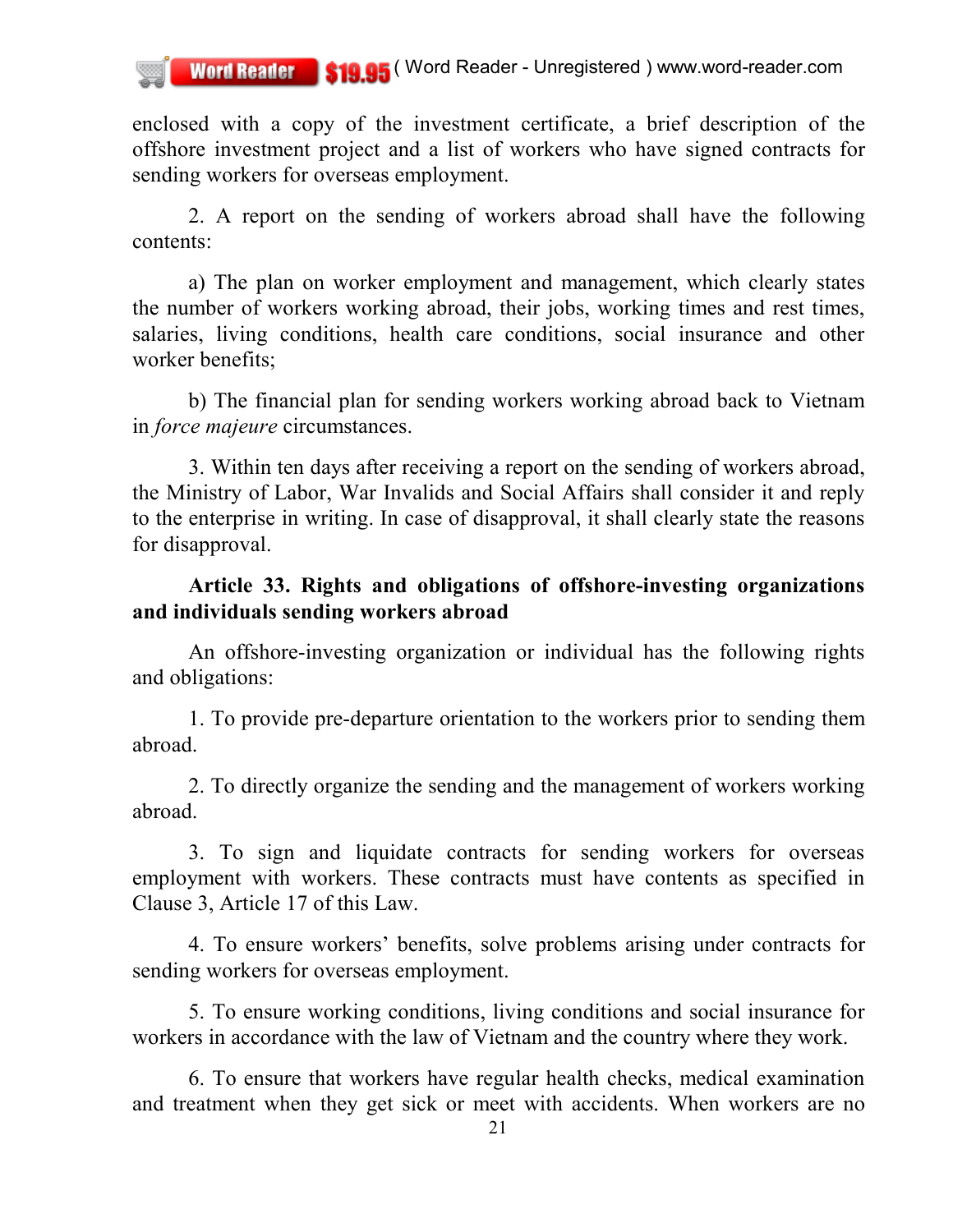enclosed with a copy of the investment certificate, a brief description of the offshore investment project and a list of workers who have signed contracts for sending workers for overseas employment.

2. A report on the sending of workers abroad shall have the following contents:

a) The plan on worker employment and management, which clearly states the number of workers working abroad, their jobs, working times and rest times, salaries, living conditions, health care conditions, social insurance and other worker benefits;

b) The financial plan for sending workers working abroad back to Vietnam in *force majeure* circumstances.

3. Within ten days after receiving a report on the sending of workers abroad, the Ministry of Labor, War Invalids and Social Affairs shall consider it and reply to the enterprise in writing. In case of disapproval, it shall clearly state the reasons for disapproval.

## **Article 33. Rights and obligations of offshore-investing organizations and individuals sending workers abroad**

An offshore-investing organization or individual has the following rights and obligations:

1. To provide pre-departure orientation to the workers prior to sending them abroad.

2. To directly organize the sending and the management of workers working abroad.

3. To sign and liquidate contracts for sending workers for overseas employment with workers. These contracts must have contents as specified in Clause 3, Article 17 of this Law.

4. To ensure workers' benefits, solve problems arising under contracts for sending workers for overseas employment.

5. To ensure working conditions, living conditions and social insurance for workers in accordance with the law of Vietnam and the country where they work.

6. To ensure that workers have regular health checks, medical examination and treatment when they get sick or meet with accidents. When workers are no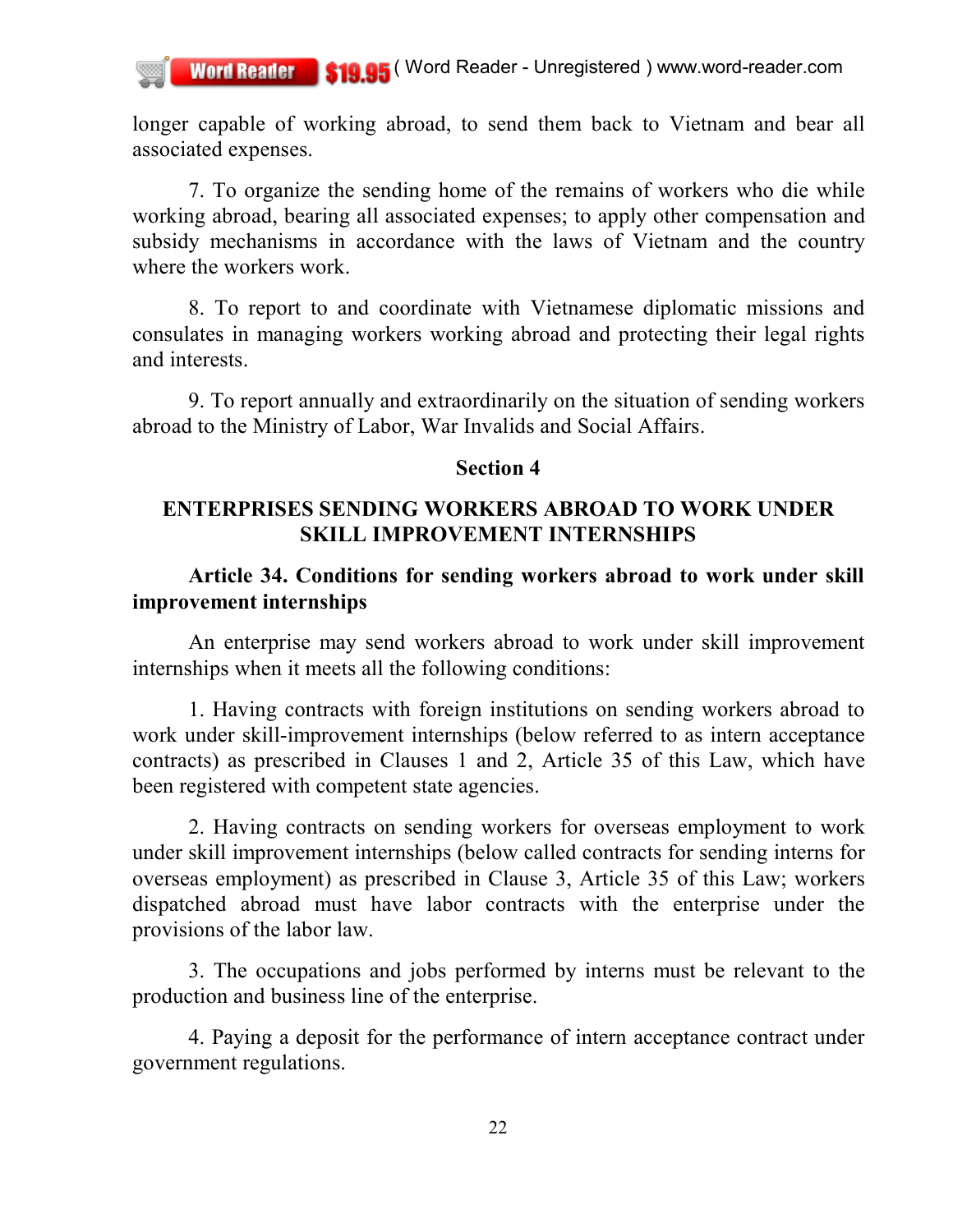longer capable of working abroad, to send them back to Vietnam and bear all associated expenses.

7. To organize the sending home of the remains of workers who die while working abroad, bearing all associated expenses; to apply other compensation and subsidy mechanisms in accordance with the laws of Vietnam and the country where the workers work.

8. To report to and coordinate with Vietnamese diplomatic missions and consulates in managing workers working abroad and protecting their legal rights and interests.

9. To report annually and extraordinarily on the situation of sending workers abroad to the Ministry of Labor, War Invalids and Social Affairs.

#### **Section 4**

## **ENTERPRISES SENDING WORKERS ABROAD TO WORK UNDER SKILL IMPROVEMENT INTERNSHIPS**

## **Article 34. Conditions for sending workers abroad to work under skill improvement internships**

An enterprise may send workers abroad to work under skill improvement internships when it meets all the following conditions:

1. Having contracts with foreign institutions on sending workers abroad to work under skill-improvement internships (below referred to as intern acceptance contracts) as prescribed in Clauses 1 and 2, Article 35 of this Law, which have been registered with competent state agencies.

2. Having contracts on sending workers for overseas employment to work under skill improvement internships (below called contracts for sending interns for overseas employment) as prescribed in Clause 3, Article 35 of this Law; workers dispatched abroad must have labor contracts with the enterprise under the provisions of the labor law.

3. The occupations and jobs performed by interns must be relevant to the production and business line of the enterprise.

4. Paying a deposit for the performance of intern acceptance contract under government regulations.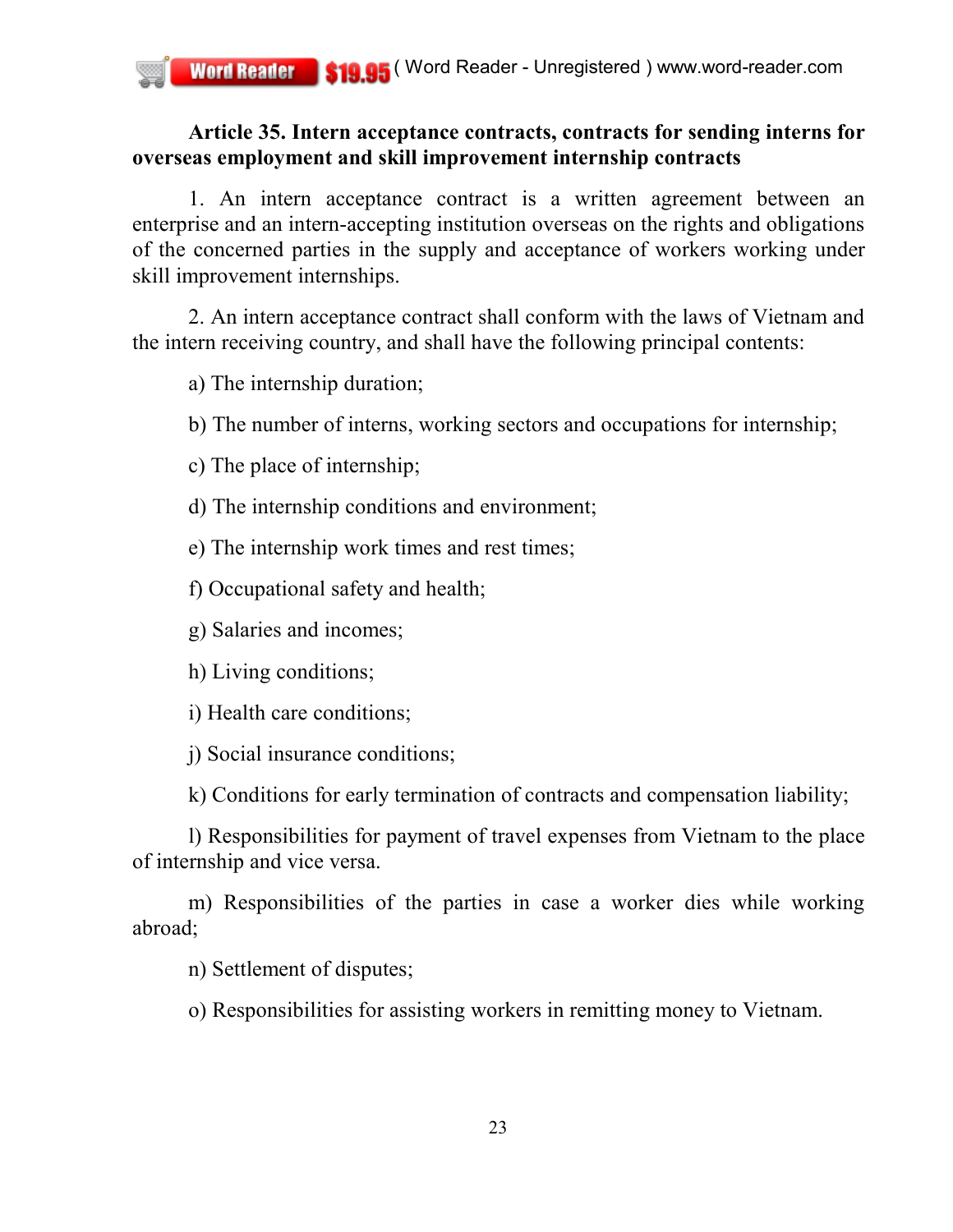## **Article 35. Intern acceptance contracts, contracts for sending interns for overseas employment and skill improvement internship contracts**

1. An intern acceptance contract is a written agreement between an enterprise and an intern-accepting institution overseas on the rights and obligations of the concerned parties in the supply and acceptance of workers working under skill improvement internships.

2. An intern acceptance contract shall conform with the laws of Vietnam and the intern receiving country, and shall have the following principal contents:

a) The internship duration;

b) The number of interns, working sectors and occupations for internship;

c) The place of internship;

d) The internship conditions and environment;

e) The internship work times and rest times;

f) Occupational safety and health;

g) Salaries and incomes;

h) Living conditions;

i) Health care conditions;

j) Social insurance conditions;

k) Conditions for early termination of contracts and compensation liability;

l) Responsibilities for payment of travel expenses from Vietnam to the place of internship and vice versa.

m) Responsibilities of the parties in case a worker dies while working abroad;

n) Settlement of disputes;

o) Responsibilities for assisting workers in remitting money to Vietnam.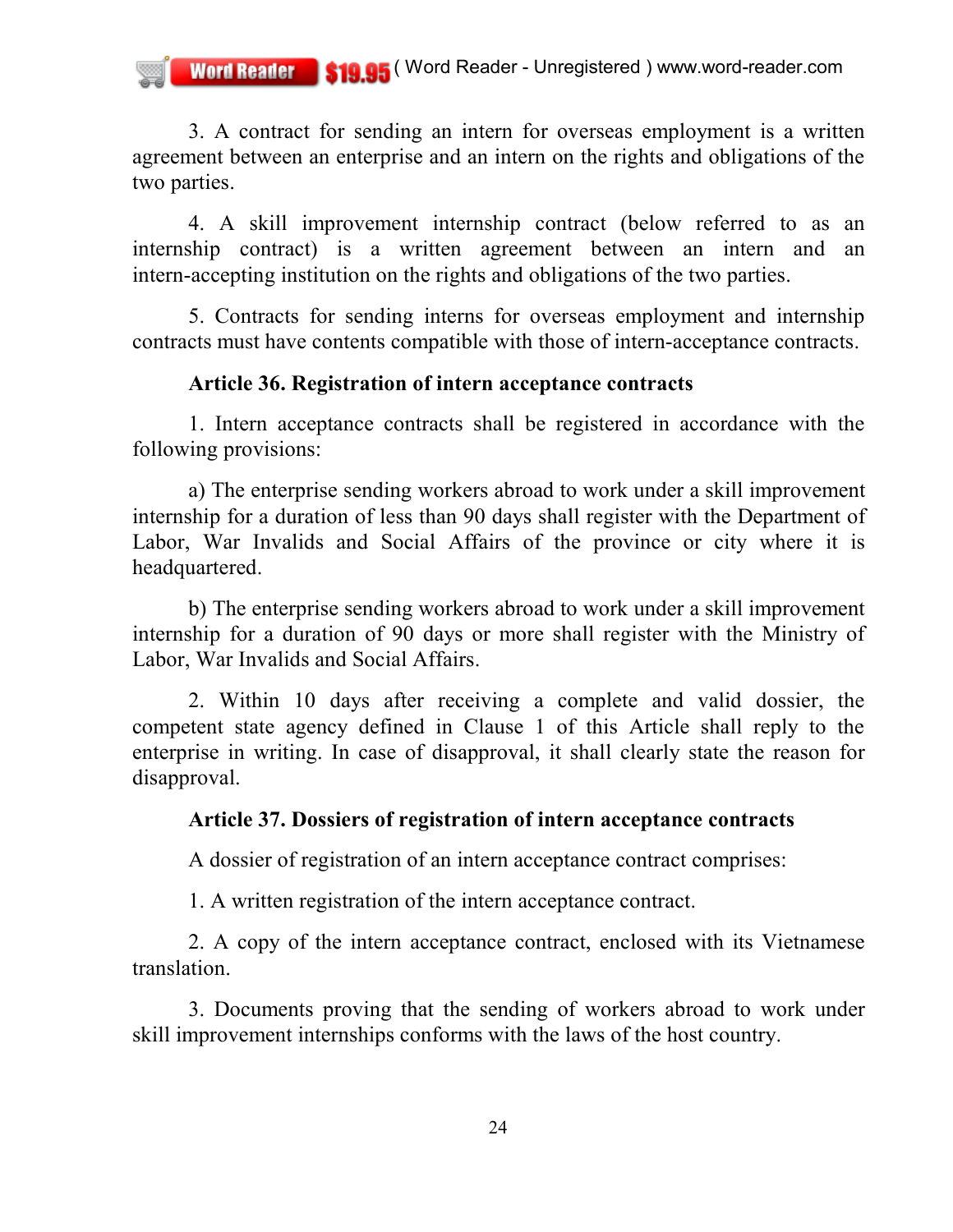3. A contract for sending an intern for overseas employment is a written agreement between an enterprise and an intern on the rights and obligations of the two parties.

4. A skill improvement internship contract (below referred to as an internship contract) is a written agreement between an intern and an intern-accepting institution on the rights and obligations of the two parties.

5. Contracts for sending interns for overseas employment and internship contracts must have contents compatible with those of intern-acceptance contracts.

## **Article 36. Registration of intern acceptance contracts**

1. Intern acceptance contracts shall be registered in accordance with the following provisions:

a) The enterprise sending workers abroad to work under a skill improvement internship for a duration of less than 90 days shall register with the Department of Labor, War Invalids and Social Affairs of the province or city where it is headquartered.

b) The enterprise sending workers abroad to work under a skill improvement internship for a duration of 90 days or more shall register with the Ministry of Labor, War Invalids and Social Affairs.

2. Within 10 days after receiving a complete and valid dossier, the competent state agency defined in Clause 1 of this Article shall reply to the enterprise in writing. In case of disapproval, it shall clearly state the reason for disapproval.

## **Article 37. Dossiers of registration of intern acceptance contracts**

A dossier of registration of an intern acceptance contract comprises:

1. A written registration of the intern acceptance contract.

2. A copy of the intern acceptance contract, enclosed with its Vietnamese translation.

3. Documents proving that the sending of workers abroad to work under skill improvement internships conforms with the laws of the host country.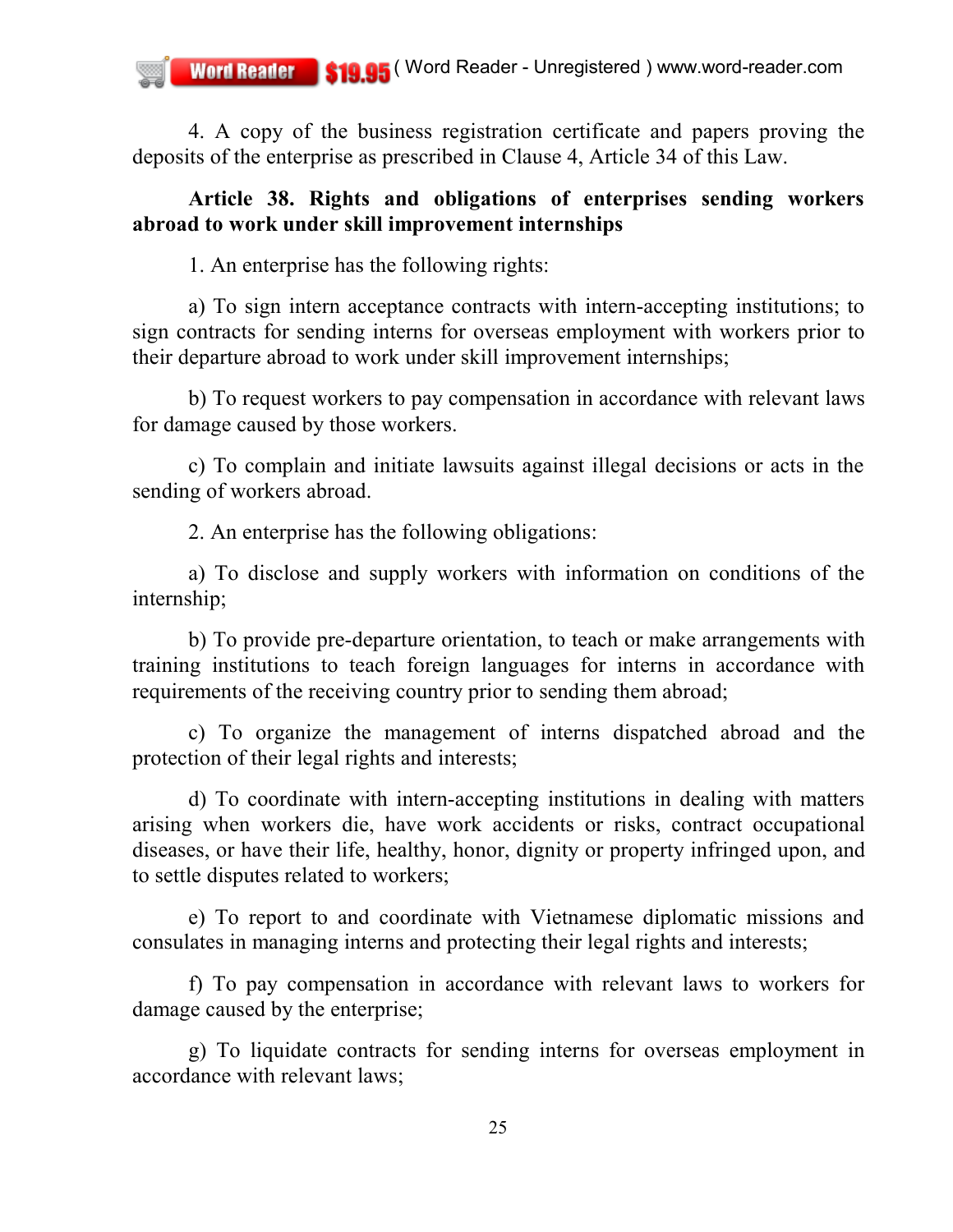4. A copy of the business registration certificate and papers proving the deposits of the enterprise as prescribed in Clause 4, Article 34 of this Law.

### **Article 38. Rights and obligations of enterprises sending workers abroad to work under skill improvement internships**

1. An enterprise has the following rights:

a) To sign intern acceptance contracts with intern-accepting institutions; to sign contracts for sending interns for overseas employment with workers prior to their departure abroad to work under skill improvement internships;

b) To request workers to pay compensation in accordance with relevant laws for damage caused by those workers.

c) To complain and initiate lawsuits against illegal decisions or acts in the sending of workers abroad.

2. An enterprise has the following obligations:

a) To disclose and supply workers with information on conditions of the internship;

b) To provide pre-departure orientation, to teach or make arrangements with training institutions to teach foreign languages for interns in accordance with requirements of the receiving country prior to sending them abroad;

c) To organize the management of interns dispatched abroad and the protection of their legal rights and interests;

d) To coordinate with intern-accepting institutions in dealing with matters arising when workers die, have work accidents or risks, contract occupational diseases, or have their life, healthy, honor, dignity or property infringed upon, and to settle disputes related to workers;

e) To report to and coordinate with Vietnamese diplomatic missions and consulates in managing interns and protecting their legal rights and interests;

f) To pay compensation in accordance with relevant laws to workers for damage caused by the enterprise;

g) To liquidate contracts for sending interns for overseas employment in accordance with relevant laws;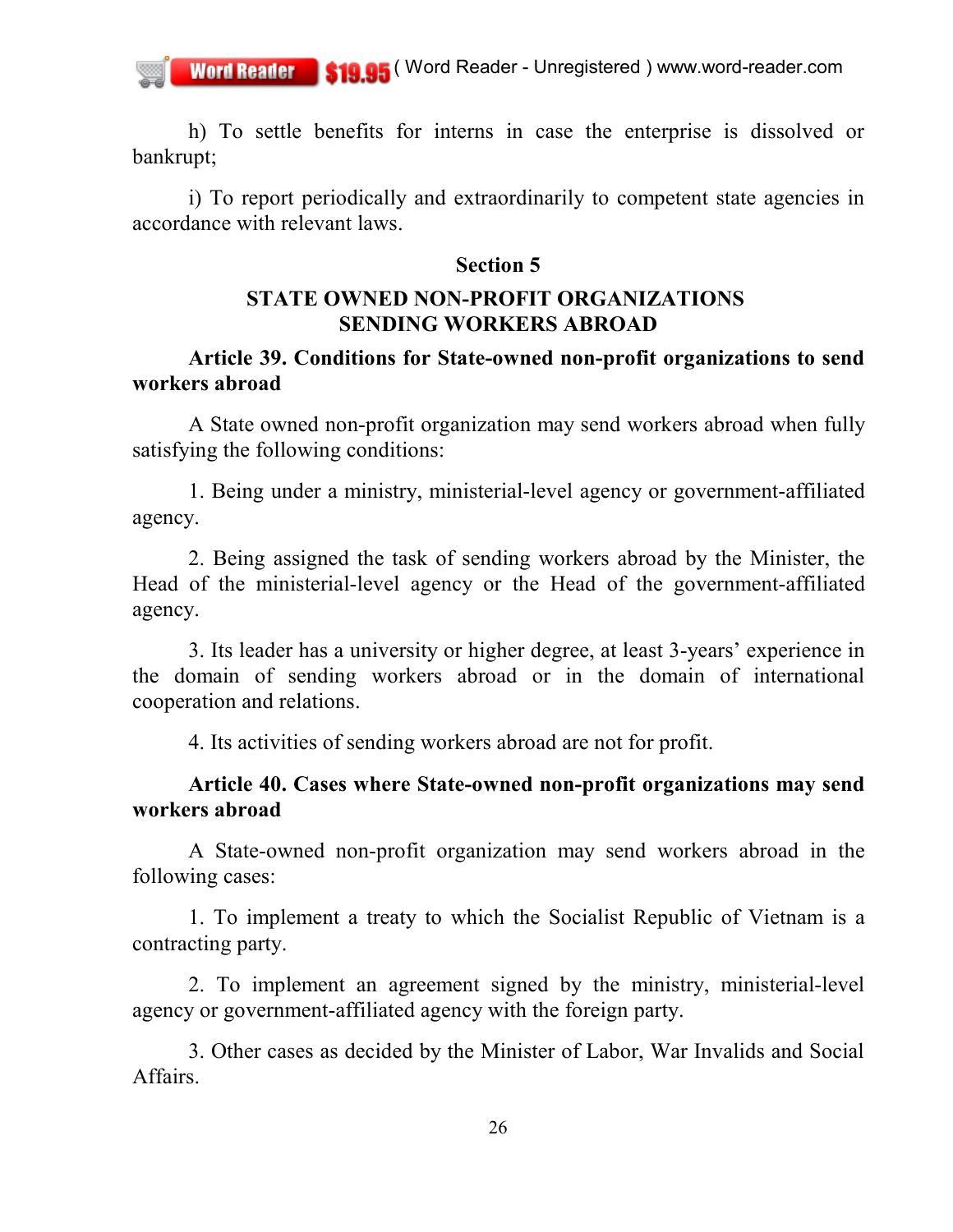h) To settle benefits for interns in case the enterprise is dissolved or bankrupt;

i) To report periodically and extraordinarily to competent state agencies in accordance with relevant laws.

#### **Section 5**

## **STATE OWNED NON-PROFIT ORGANIZATIONS SENDING WORKERS ABROAD**

### **Article 39. Conditions for State-owned non-profit organizations to send workers abroad**

A State owned non-profit organization may send workers abroad when fully satisfying the following conditions:

1. Being under a ministry, ministerial-level agency or government-affiliated agency.

2. Being assigned the task of sending workers abroad by the Minister, the Head of the ministerial-level agency or the Head of the government-affiliated agency.

3. Its leader has a university or higher degree, at least 3-years' experience in the domain of sending workers abroad or in the domain of international cooperation and relations.

4. Its activities of sending workers abroad are not for profit.

## **Article 40. Cases where State-owned non-profit organizations may send workers abroad**

A State-owned non-profit organization may send workers abroad in the following cases:

1. To implement a treaty to which the Socialist Republic of Vietnam is a contracting party.

2. To implement an agreement signed by the ministry, ministerial-level agency or government-affiliated agency with the foreign party.

3. Other cases as decided by the Minister of Labor, War Invalids and Social **Affairs**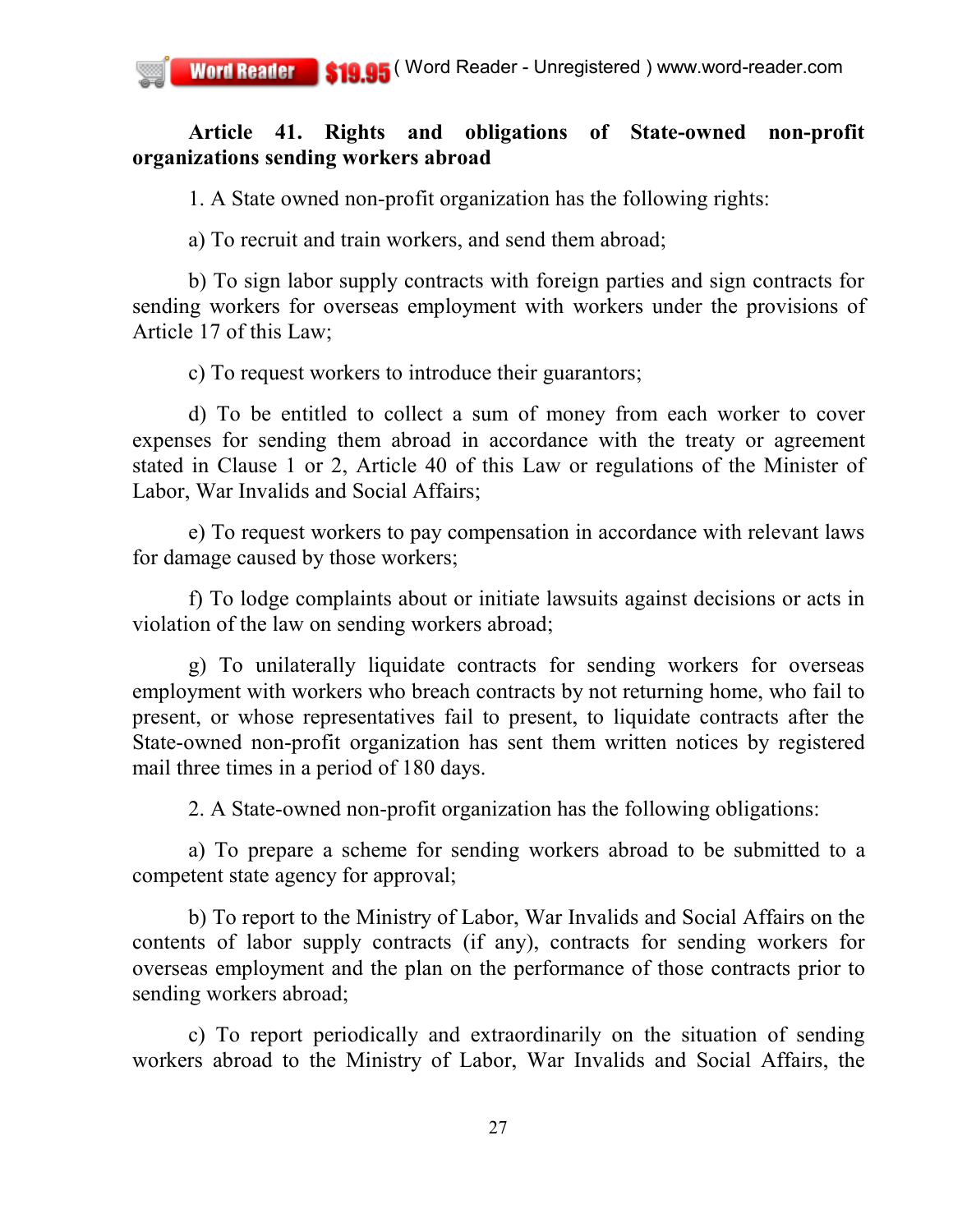## **Article 41. Rights and obligations of State-owned non-profit organizations sending workers abroad**

1. A State owned non-profit organization has the following rights:

a) To recruit and train workers, and send them abroad;

b) To sign labor supply contracts with foreign parties and sign contracts for sending workers for overseas employment with workers under the provisions of Article 17 of this Law;

c) To request workers to introduce their guarantors;

d) To be entitled to collect a sum of money from each worker to cover expenses for sending them abroad in accordance with the treaty or agreement stated in Clause 1 or 2, Article 40 of this Law or regulations of the Minister of Labor, War Invalids and Social Affairs;

e) To request workers to pay compensation in accordance with relevant laws for damage caused by those workers;

f) To lodge complaints about or initiate lawsuits against decisions or acts in violation of the law on sending workers abroad;

g) To unilaterally liquidate contracts for sending workers for overseas employment with workers who breach contracts by not returning home, who fail to present, or whose representatives fail to present, to liquidate contracts after the State-owned non-profit organization has sent them written notices by registered mail three times in a period of 180 days.

2. A State-owned non-profit organization has the following obligations:

a) To prepare a scheme for sending workers abroad to be submitted to a competent state agency for approval;

b) To report to the Ministry of Labor, War Invalids and Social Affairs on the contents of labor supply contracts (if any), contracts for sending workers for overseas employment and the plan on the performance of those contracts prior to sending workers abroad;

c) To report periodically and extraordinarily on the situation of sending workers abroad to the Ministry of Labor, War Invalids and Social Affairs, the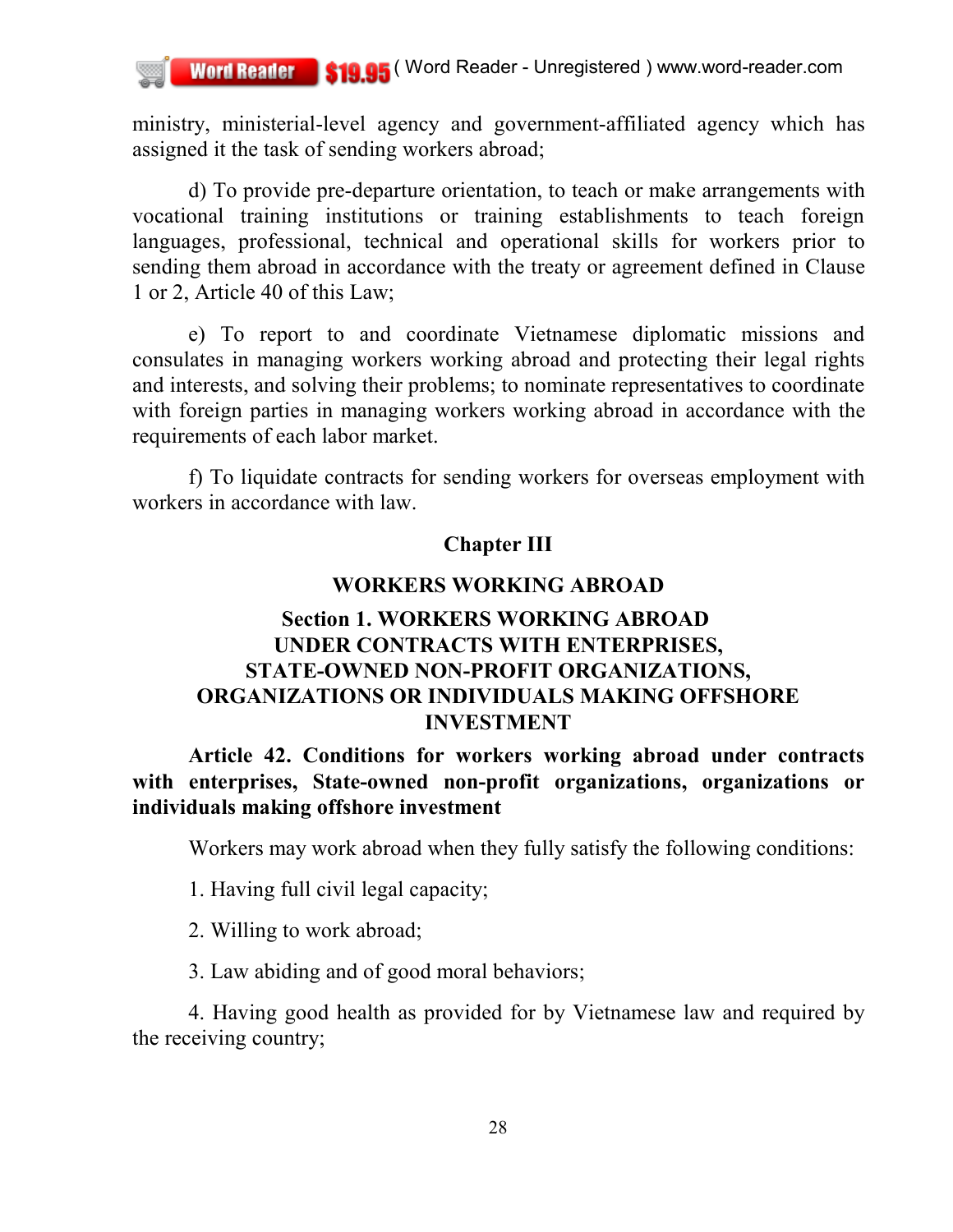ministry, ministerial-level agency and government-affiliated agency which has assigned it the task of sending workers abroad;

d) To provide pre-departure orientation, to teach or make arrangements with vocational training institutions or training establishments to teach foreign languages, professional, technical and operational skills for workers prior to sending them abroad in accordance with the treaty or agreement defined in Clause 1 or 2, Article 40 of this Law;

e) To report to and coordinate Vietnamese diplomatic missions and consulates in managing workers working abroad and protecting their legal rights and interests, and solving their problems; to nominate representatives to coordinate with foreign parties in managing workers working abroad in accordance with the requirements of each labor market.

f) To liquidate contracts for sending workers for overseas employment with workers in accordance with law.

#### **Chapter III**

#### **WORKERS WORKING ABROAD**

# **Section 1. WORKERS WORKING ABROAD UNDER CONTRACTS WITH ENTERPRISES, STATE-OWNED NON-PROFIT ORGANIZATIONS, ORGANIZATIONS OR INDIVIDUALS MAKING OFFSHORE INVESTMENT**

**Article 42. Conditions for workers working abroad under contracts with enterprises, State-owned non-profit organizations, organizations or individuals making offshore investment**

Workers may work abroad when they fully satisfy the following conditions:

1. Having full civil legal capacity;

2. Willing to work abroad;

3. Law abiding and of good moral behaviors;

4. Having good health as provided for by Vietnamese law and required by the receiving country;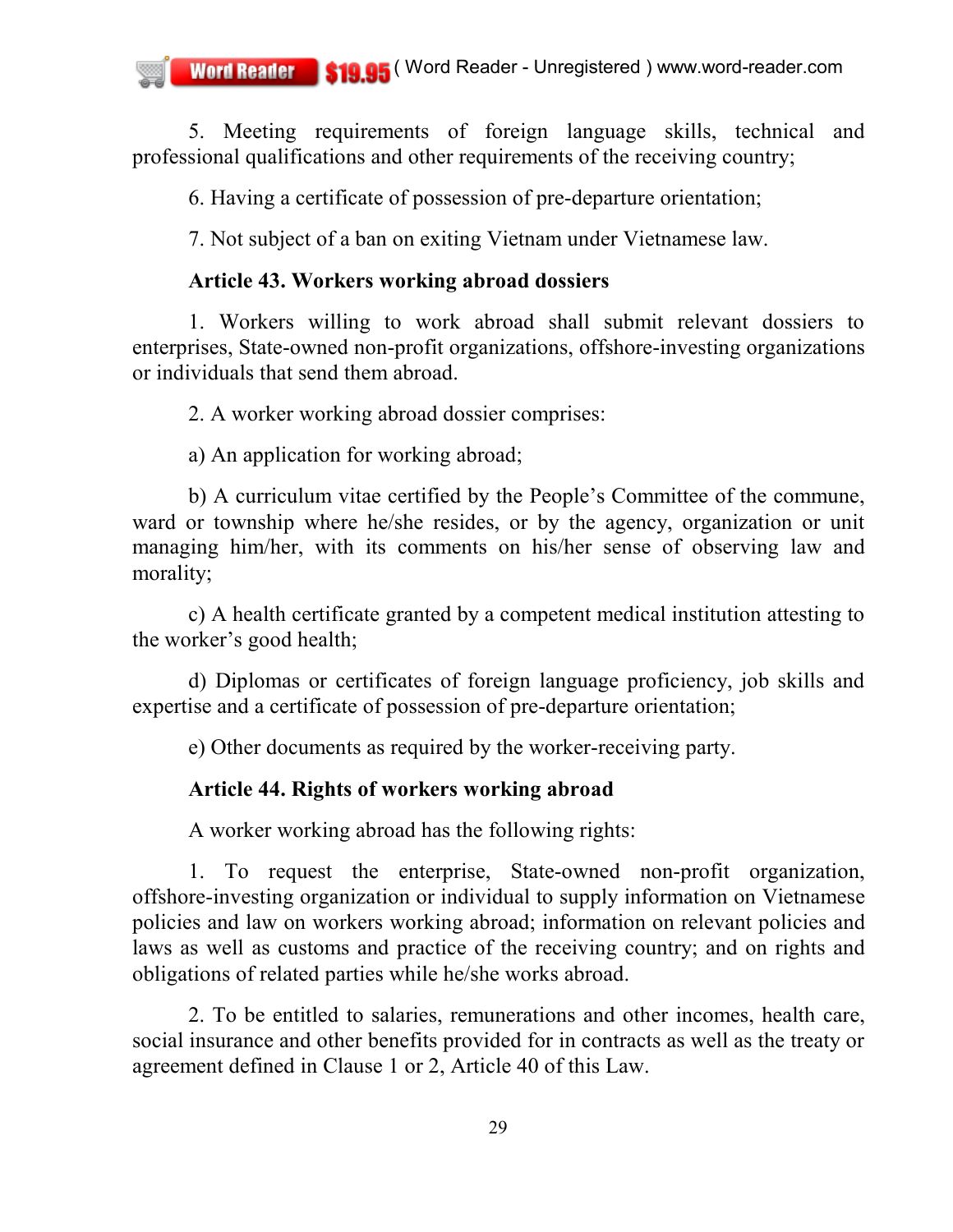5. Meeting requirements of foreign language skills, technical and professional qualifications and other requirements of the receiving country;

6. Having a certificate of possession of pre-departure orientation;

7. Not subject of a ban on exiting Vietnam under Vietnamese law.

# **Article 43. Workers working abroad dossiers**

1. Workers willing to work abroad shall submit relevant dossiers to enterprises, State-owned non-profit organizations, offshore-investing organizations or individuals that send them abroad.

2. A worker working abroad dossier comprises:

a) An application for working abroad;

b) A curriculum vitae certified by the People's Committee of the commune, ward or township where he/she resides, or by the agency, organization or unit managing him/her, with its comments on his/her sense of observing law and morality;

c) A health certificate granted by a competent medical institution attesting to the worker's good health;

d) Diplomas or certificates of foreign language proficiency, job skills and expertise and a certificate of possession of pre-departure orientation;

e) Other documents as required by the worker-receiving party.

# **Article 44. Rights of workers working abroad**

A worker working abroad has the following rights:

1. To request the enterprise, State-owned non-profit organization, offshore-investing organization or individual to supply information on Vietnamese policies and law on workers working abroad; information on relevant policies and laws as well as customs and practice of the receiving country; and on rights and obligations of related parties while he/she works abroad.

2. To be entitled to salaries, remunerations and other incomes, health care, social insurance and other benefits provided for in contracts as well as the treaty or agreement defined in Clause 1 or 2, Article 40 of this Law.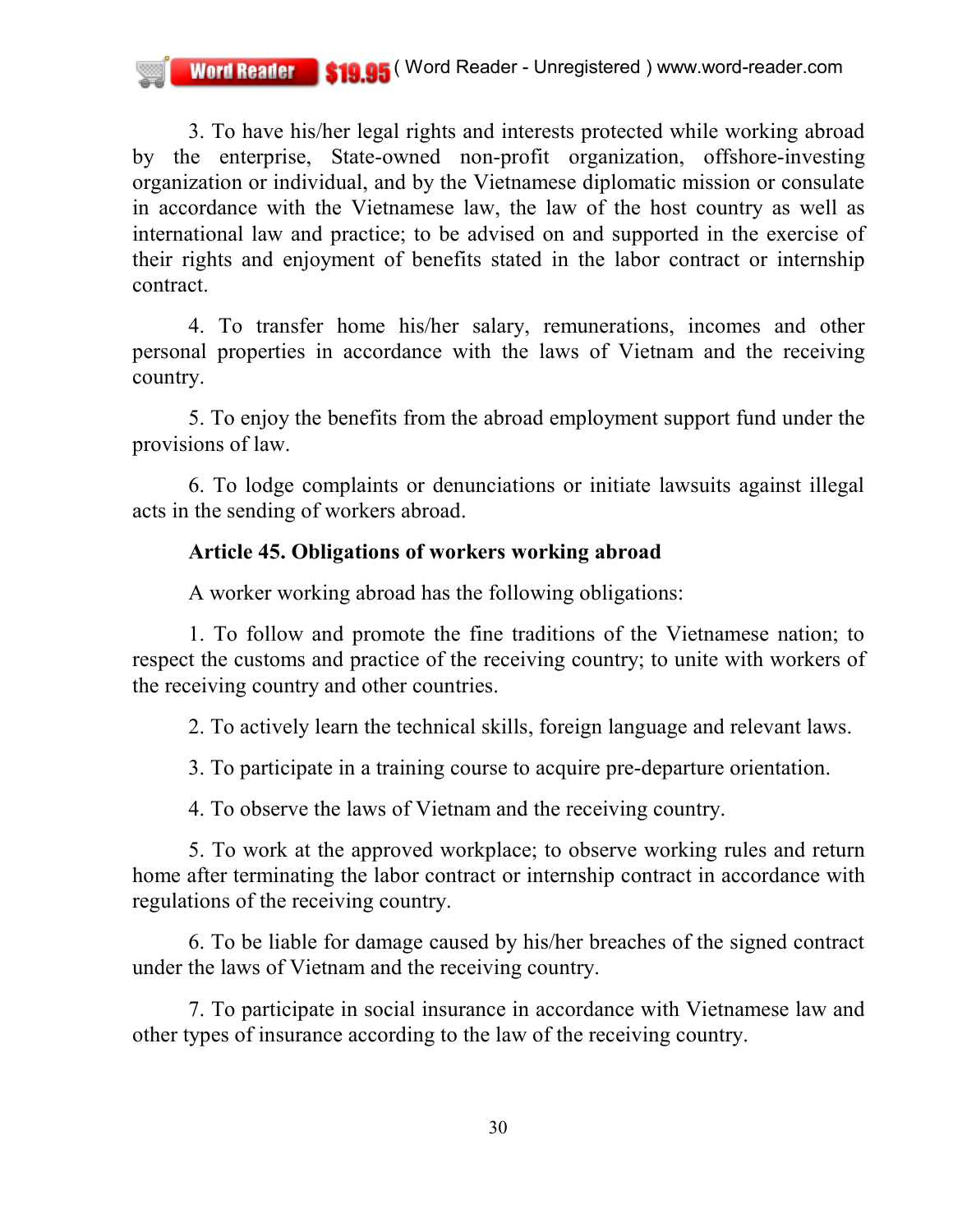3. To have his/her legal rights and interests protected while working abroad by the enterprise, State-owned non-profit organization, offshore-investing organization or individual, and by the Vietnamese diplomatic mission or consulate in accordance with the Vietnamese law, the law of the host country as well as international law and practice; to be advised on and supported in the exercise of their rights and enjoyment of benefits stated in the labor contract or internship contract.

4. To transfer home his/her salary, remunerations, incomes and other personal properties in accordance with the laws of Vietnam and the receiving country.

5. To enjoy the benefits from the abroad employment support fund under the provisions of law.

6. To lodge complaints or denunciations or initiate lawsuits against illegal acts in the sending of workers abroad.

## **Article 45. Obligations of workers working abroad**

A worker working abroad has the following obligations:

1. To follow and promote the fine traditions of the Vietnamese nation; to respect the customs and practice of the receiving country; to unite with workers of the receiving country and other countries.

2. To actively learn the technical skills, foreign language and relevant laws.

3. To participate in a training course to acquire pre-departure orientation.

4. To observe the laws of Vietnam and the receiving country.

5. To work at the approved workplace; to observe working rules and return home after terminating the labor contract or internship contract in accordance with regulations of the receiving country.

6. To be liable for damage caused by his/her breaches of the signed contract under the laws of Vietnam and the receiving country.

7. To participate in social insurance in accordance with Vietnamese law and other types of insurance according to the law of the receiving country.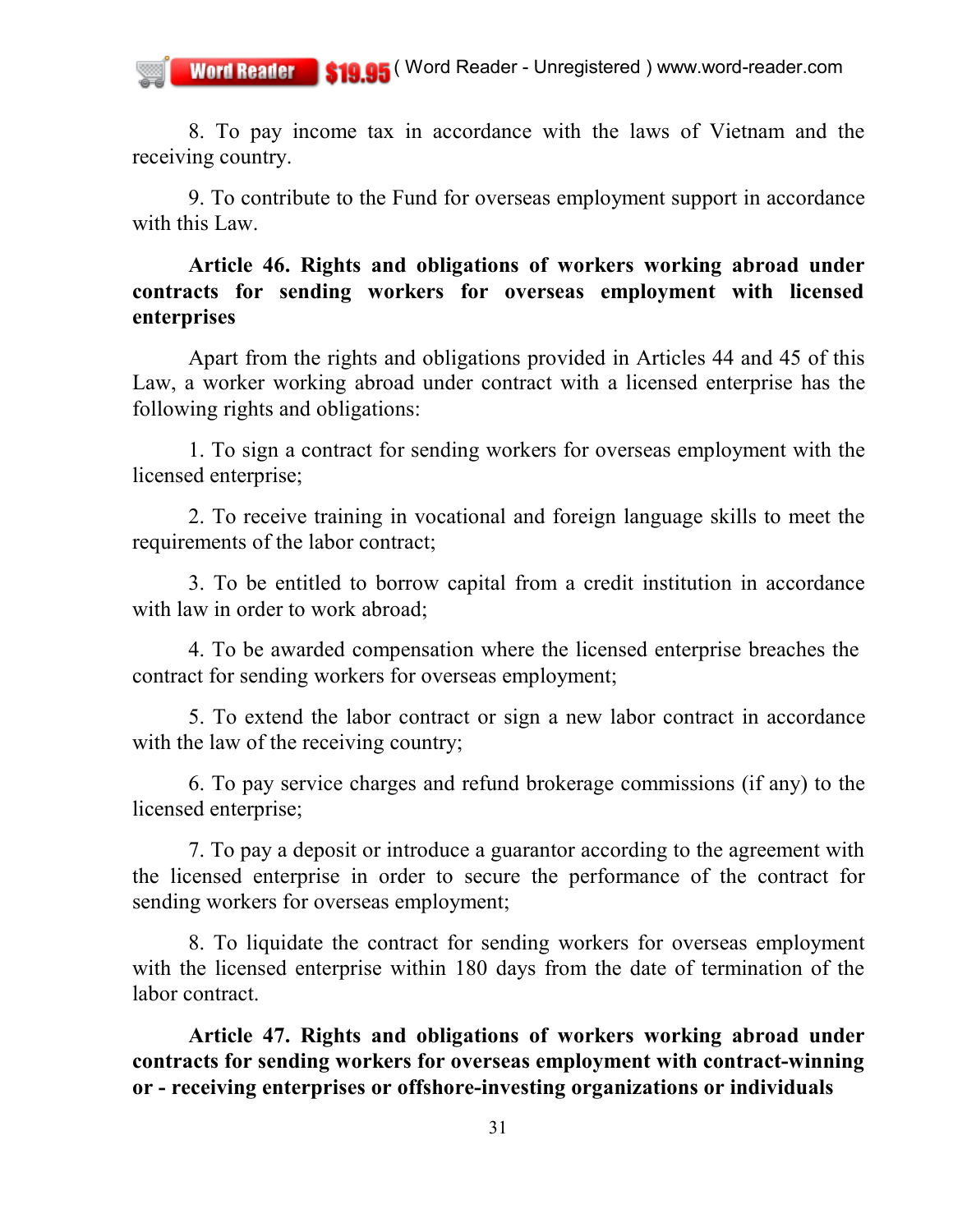8. To pay income tax in accordance with the laws of Vietnam and the receiving country.

9. To contribute to the Fund for overseas employment support in accordance with this Law.

## **Article 46. Rights and obligations of workers working abroad under contracts for sending workers for overseas employment with licensed enterprises**

Apart from the rights and obligations provided in Articles 44 and 45 of this Law, a worker working abroad under contract with a licensed enterprise has the following rights and obligations:

1. To sign a contract for sending workers for overseas employment with the licensed enterprise;

2. To receive training in vocational and foreign language skills to meet the requirements of the labor contract;

3. To be entitled to borrow capital from a credit institution in accordance with law in order to work abroad:

4. To be awarded compensation where the licensed enterprise breaches the contract for sending workers for overseas employment;

5. To extend the labor contract or sign a new labor contract in accordance with the law of the receiving country;

6. To pay service charges and refund brokerage commissions (if any) to the licensed enterprise;

7. To pay a deposit or introduce a guarantor according to the agreement with the licensed enterprise in order to secure the performance of the contract for sending workers for overseas employment;

8. To liquidate the contract for sending workers for overseas employment with the licensed enterprise within 180 days from the date of termination of the labor contract.

**Article 47. Rights and obligations of workers working abroad under contracts for sending workers for overseas employment with contract-winning or - receiving enterprises or offshore-investing organizations or individuals**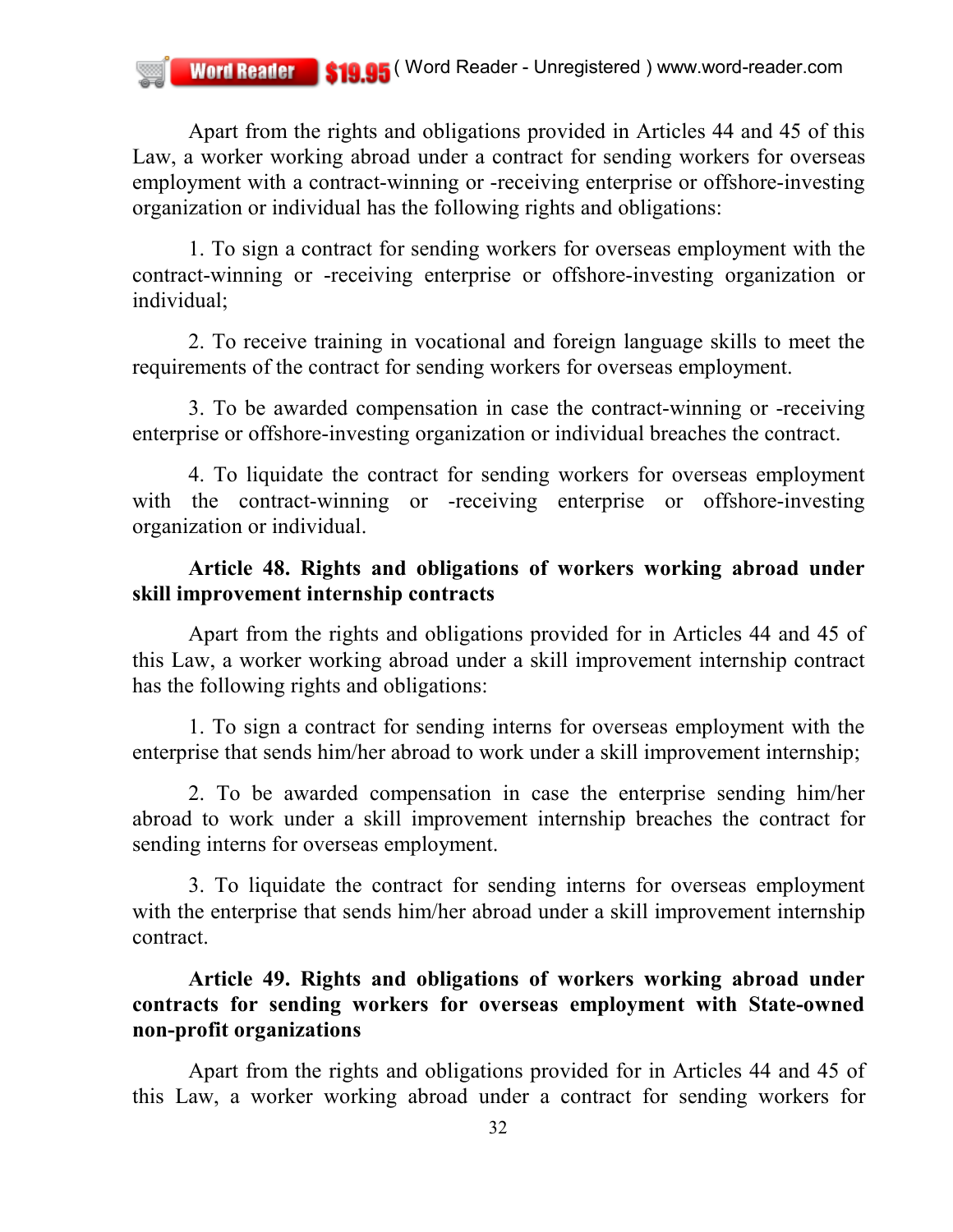Apart from the rights and obligations provided in Articles 44 and 45 of this Law, a worker working abroad under a contract for sending workers for overseas employment with a contract-winning or -receiving enterprise or offshore-investing organization or individual has the following rights and obligations:

1. To sign a contract for sending workers for overseas employment with the contract-winning or -receiving enterprise or offshore-investing organization or individual;

2. To receive training in vocational and foreign language skills to meet the requirements of the contract for sending workers for overseas employment.

3. To be awarded compensation in case the contract-winning or -receiving enterprise or offshore-investing organization or individual breaches the contract.

4. To liquidate the contract for sending workers for overseas employment with the contract-winning or -receiving enterprise or offshore-investing organization or individual.

## **Article 48. Rights and obligations of workers working abroad under skill improvement internship contracts**

Apart from the rights and obligations provided for in Articles 44 and 45 of this Law, a worker working abroad under a skill improvement internship contract has the following rights and obligations:

1. To sign a contract for sending interns for overseas employment with the enterprise that sends him/her abroad to work under a skill improvement internship;

2. To be awarded compensation in case the enterprise sending him/her abroad to work under a skill improvement internship breaches the contract for sending interns for overseas employment.

3. To liquidate the contract for sending interns for overseas employment with the enterprise that sends him/her abroad under a skill improvement internship contract.

## **Article 49. Rights and obligations of workers working abroad under contracts for sending workers for overseas employment with State-owned non-profit organizations**

Apart from the rights and obligations provided for in Articles 44 and 45 of this Law, a worker working abroad under a contract for sending workers for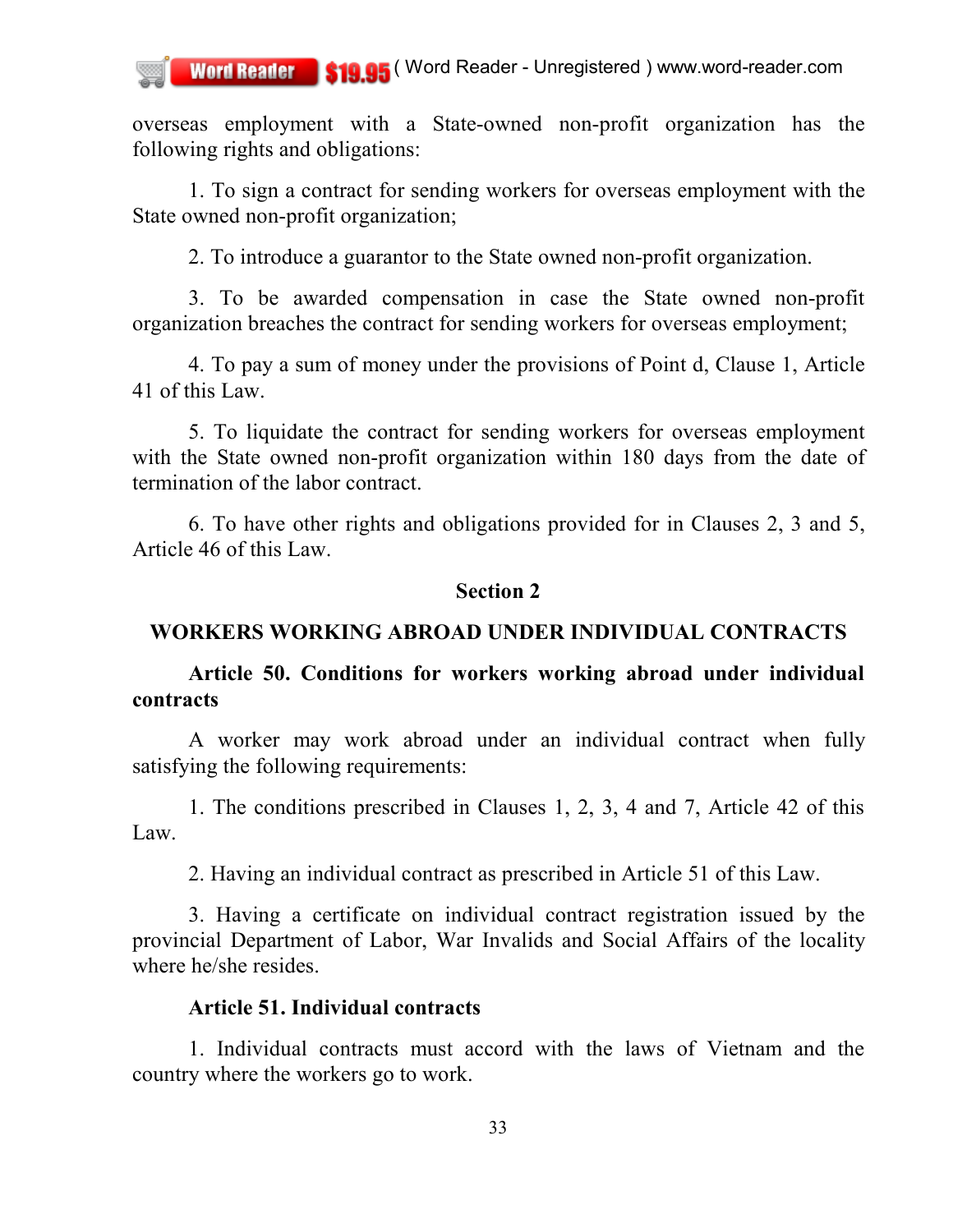overseas employment with a State-owned non-profit organization has the following rights and obligations:

1. To sign a contract for sending workers for overseas employment with the State owned non-profit organization;

2. To introduce a guarantor to the State owned non-profit organization.

3. To be awarded compensation in case the State owned non-profit organization breaches the contract for sending workers for overseas employment;

4. To pay a sum of money under the provisions of Point d, Clause 1, Article 41 of this Law.

5. To liquidate the contract for sending workers for overseas employment with the State owned non-profit organization within 180 days from the date of termination of the labor contract.

6. To have other rights and obligations provided for in Clauses 2, 3 and 5, Article 46 of this Law.

#### **Section 2**

### **WORKERS WORKING ABROAD UNDER INDIVIDUAL CONTRACTS**

**Article 50. Conditions for workers working abroad under individual contracts**

A worker may work abroad under an individual contract when fully satisfying the following requirements:

1. The conditions prescribed in Clauses 1, 2, 3, 4 and 7, Article 42 of this Law.

2. Having an individual contract as prescribed in Article 51 of this Law.

3. Having a certificate on individual contract registration issued by the provincial Department of Labor, War Invalids and Social Affairs of the locality where he/she resides.

#### **Article 51. Individual contracts**

1. Individual contracts must accord with the laws of Vietnam and the country where the workers go to work.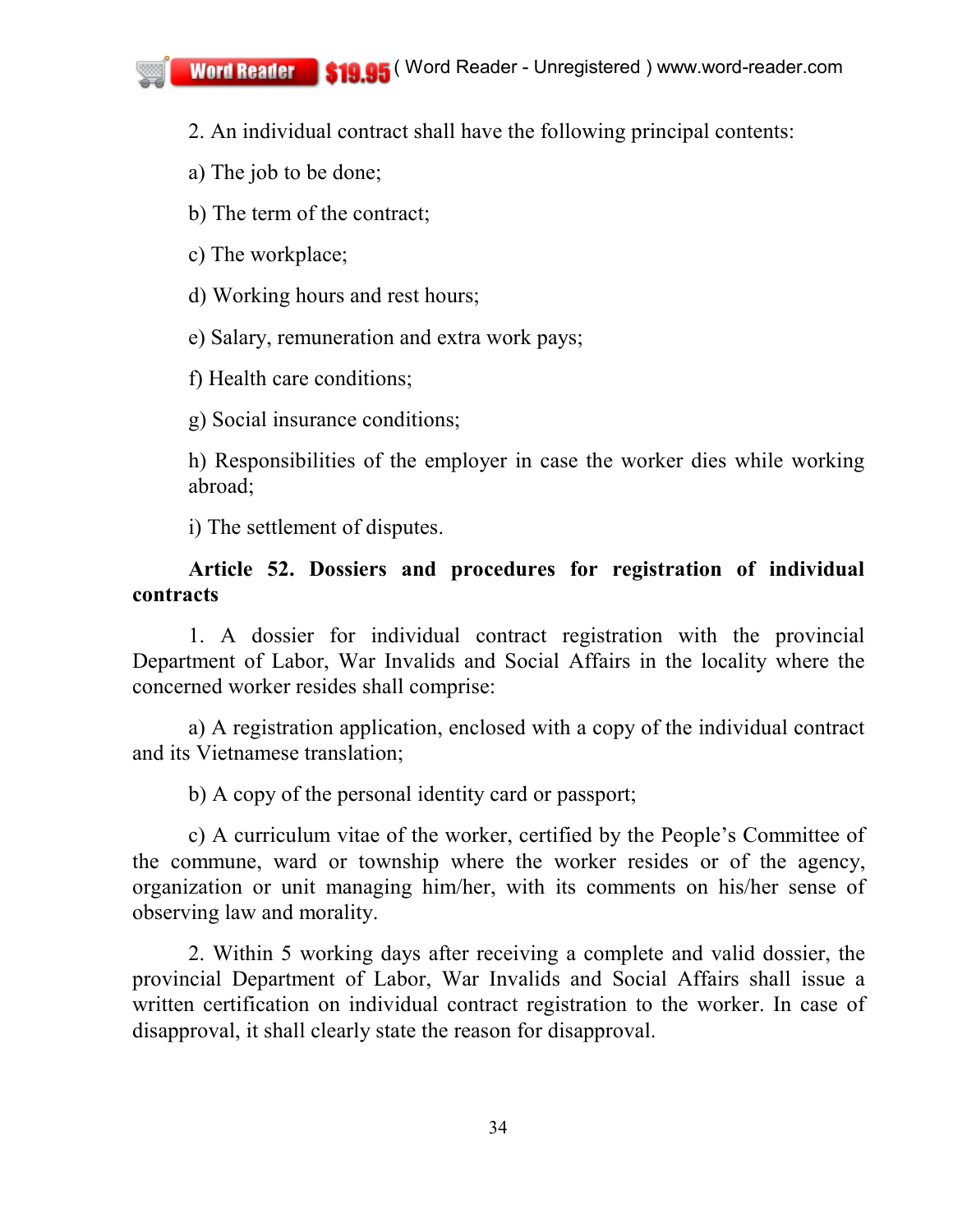2. An individual contract shall have the following principal contents:

a) The job to be done;

b) The term of the contract;

c) The workplace;

d) Working hours and rest hours;

e) Salary, remuneration and extra work pays;

f) Health care conditions;

g) Social insurance conditions;

h) Responsibilities of the employer in case the worker dies while working abroad;

i) The settlement of disputes.

## **Article 52. Dossiers and procedures for registration of individual contracts**

1. A dossier for individual contract registration with the provincial Department of Labor, War Invalids and Social Affairs in the locality where the concerned worker resides shall comprise:

a) A registration application, enclosed with a copy of the individual contract and its Vietnamese translation;

b) A copy of the personal identity card or passport;

c) A curriculum vitae of the worker, certified by the People's Committee of the commune, ward or township where the worker resides or of the agency, organization or unit managing him/her, with its comments on his/her sense of observing law and morality.

2. Within 5 working days after receiving a complete and valid dossier, the provincial Department of Labor, War Invalids and Social Affairs shall issue a written certification on individual contract registration to the worker. In case of disapproval, it shall clearly state the reason for disapproval.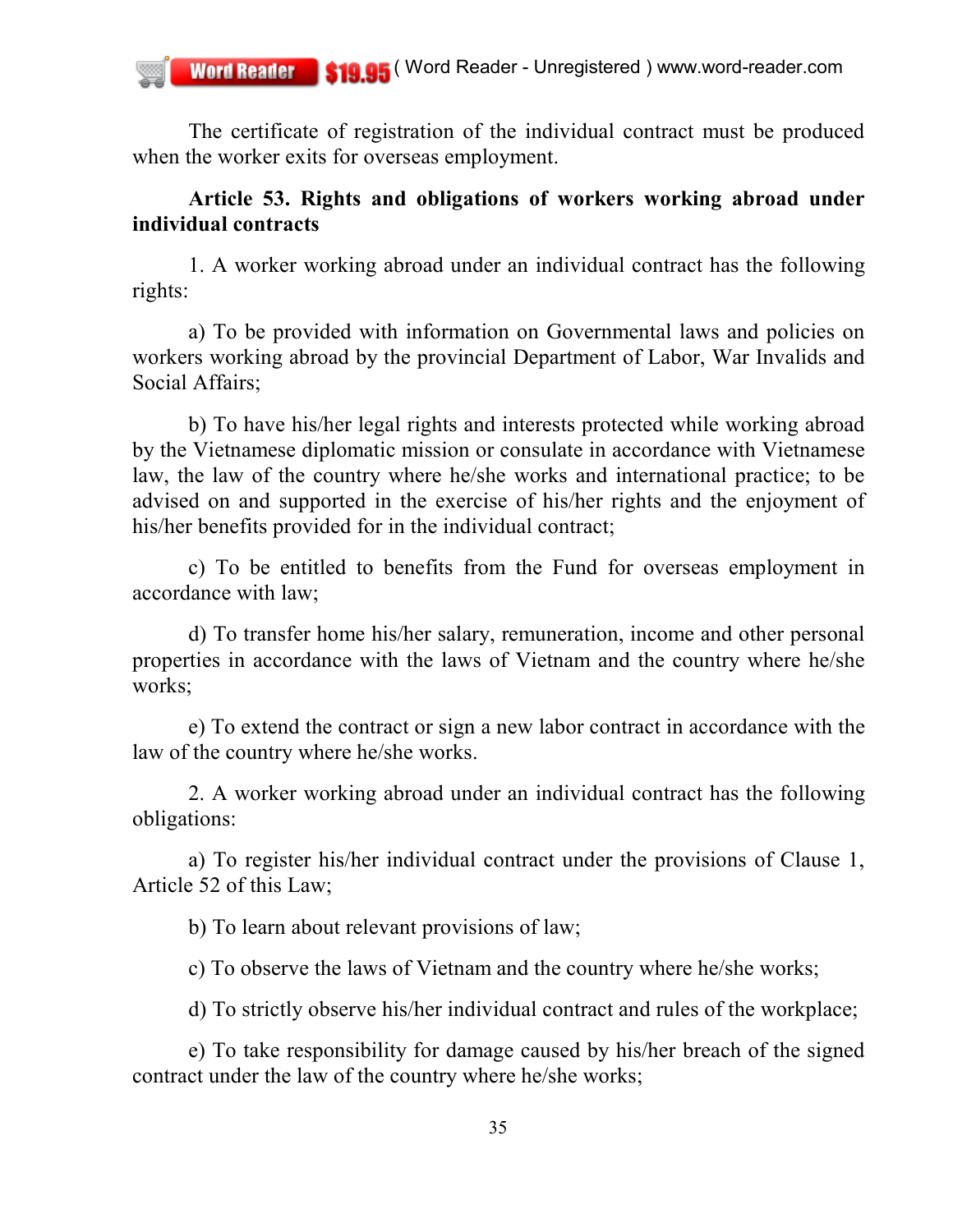The certificate of registration of the individual contract must be produced when the worker exits for overseas employment.

### **Article 53. Rights and obligations of workers working abroad under individual contracts**

1. A worker working abroad under an individual contract has the following rights:

a) To be provided with information on Governmental laws and policies on workers working abroad by the provincial Department of Labor, War Invalids and Social Affairs;

b) To have his/her legal rights and interests protected while working abroad by the Vietnamese diplomatic mission or consulate in accordance with Vietnamese law, the law of the country where he/she works and international practice; to be advised on and supported in the exercise of his/her rights and the enjoyment of his/her benefits provided for in the individual contract;

c) To be entitled to benefits from the Fund for overseas employment in accordance with law;

d) To transfer home his/her salary, remuneration, income and other personal properties in accordance with the laws of Vietnam and the country where he/she works;

e) To extend the contract or sign a new labor contract in accordance with the law of the country where he/she works.

2. A worker working abroad under an individual contract has the following obligations:

a) To register his/her individual contract under the provisions of Clause 1, Article 52 of this Law;

b) To learn about relevant provisions of law;

c) To observe the laws of Vietnam and the country where he/she works;

d) To strictly observe his/her individual contract and rules of the workplace;

e) To take responsibility for damage caused by his/her breach of the signed contract under the law of the country where he/she works;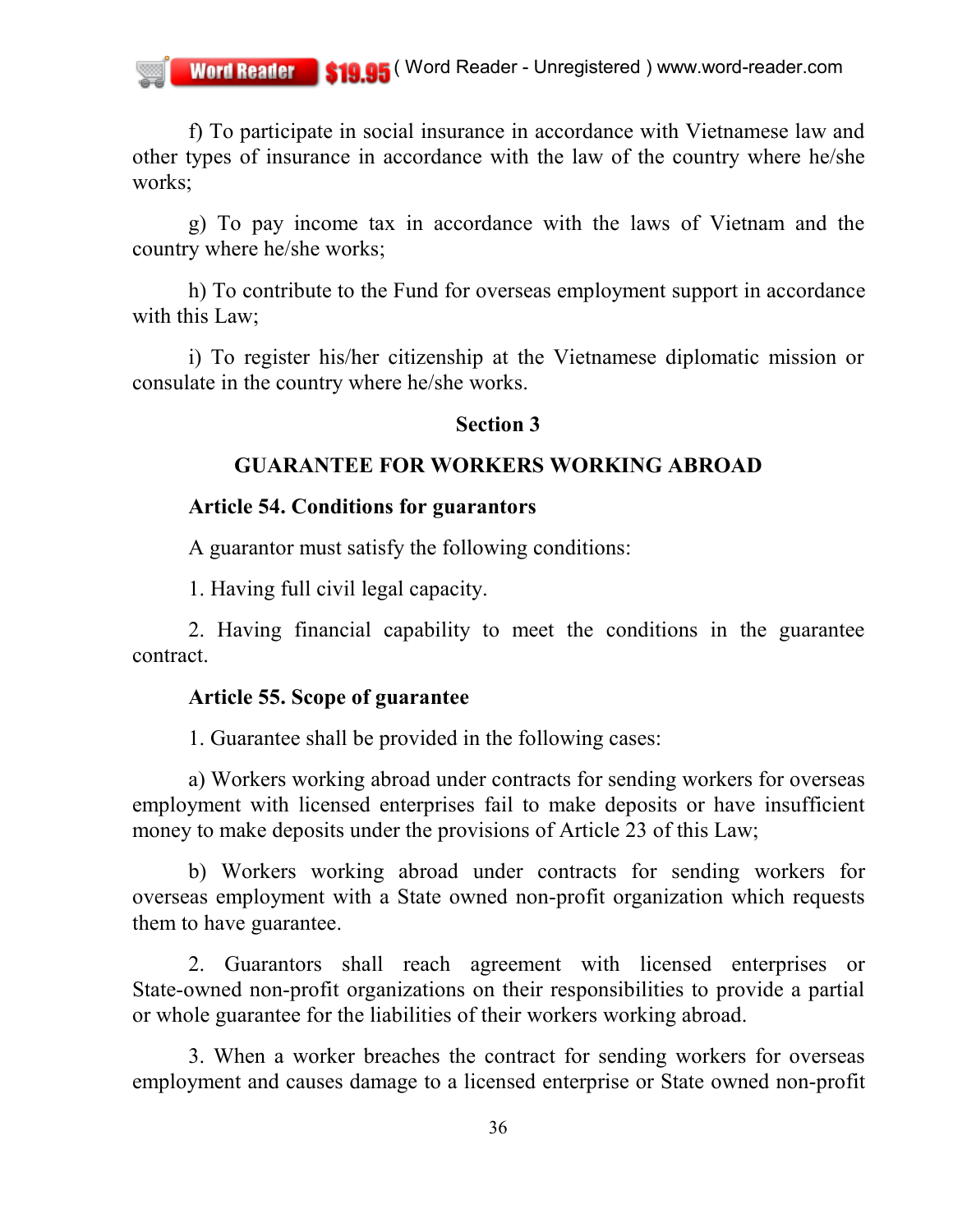f) To participate in social insurance in accordance with Vietnamese law and other types of insurance in accordance with the law of the country where he/she works;

g) To pay income tax in accordance with the laws of Vietnam and the country where he/she works;

h) To contribute to the Fund for overseas employment support in accordance with this Law;

i) To register his/her citizenship at the Vietnamese diplomatic mission or consulate in the country where he/she works.

#### **Section 3**

### **GUARANTEE FOR WORKERS WORKING ABROAD**

## **Article 54. Conditions for guarantors**

A guarantor must satisfy the following conditions:

1. Having full civil legal capacity.

2. Having financial capability to meet the conditions in the guarantee contract.

### **Article 55. Scope of guarantee**

1. Guarantee shall be provided in the following cases:

a) Workers working abroad under contracts for sending workers for overseas employment with licensed enterprises fail to make deposits or have insufficient money to make deposits under the provisions of Article 23 of this Law;

b) Workers working abroad under contracts for sending workers for overseas employment with a State owned non-profit organization which requests them to have guarantee.

2. Guarantors shall reach agreement with licensed enterprises or State-owned non-profit organizations on their responsibilities to provide a partial or whole guarantee for the liabilities of their workers working abroad.

3. When a worker breaches the contract for sending workers for overseas employment and causes damage to a licensed enterprise or State owned non-profit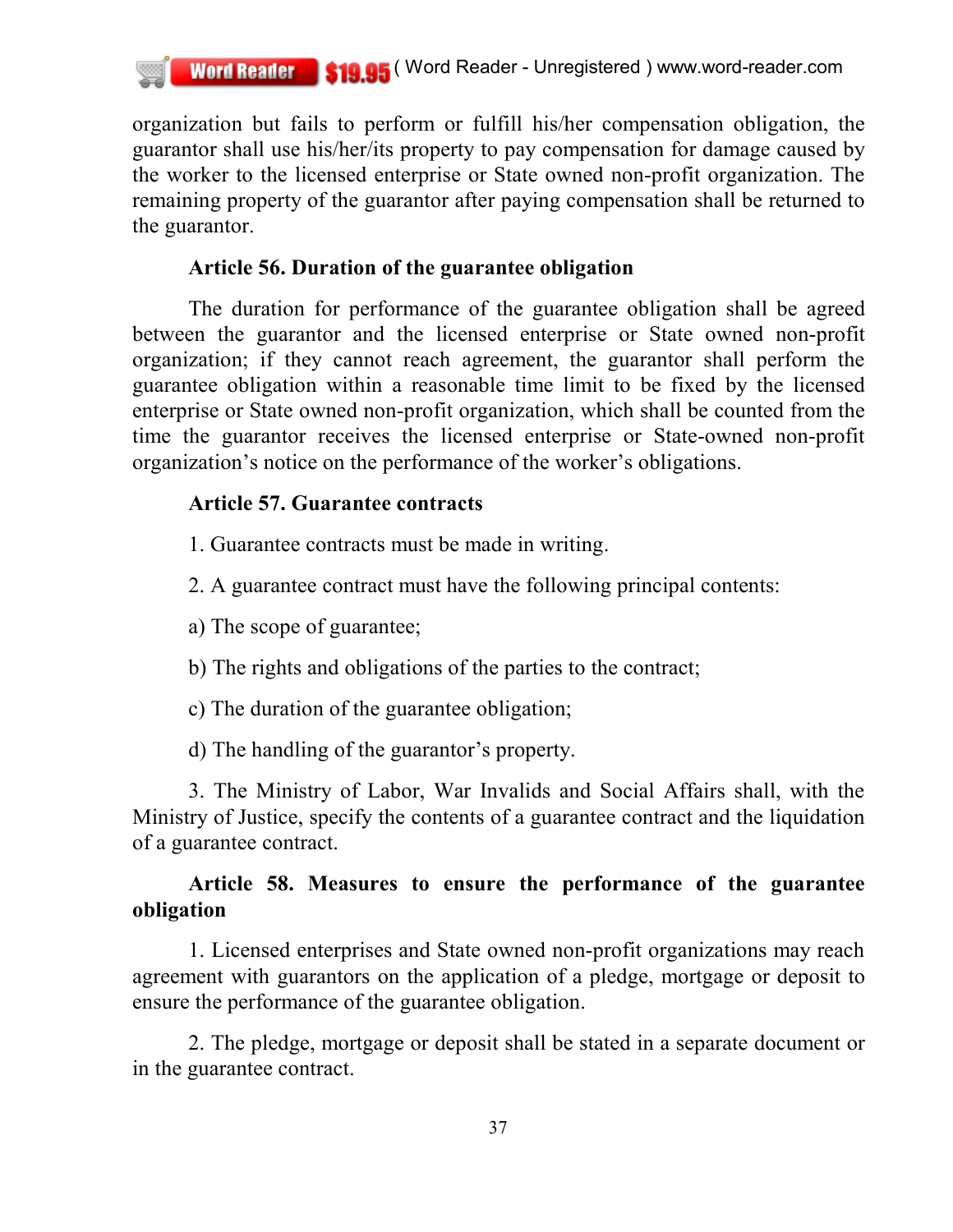organization but fails to perform or fulfill his/her compensation obligation, the guarantor shall use his/her/its property to pay compensation for damage caused by the worker to the licensed enterprise or State owned non-profit organization. The remaining property of the guarantor after paying compensation shall be returned to the guarantor.

## **Article 56. Duration of the guarantee obligation**

The duration for performance of the guarantee obligation shall be agreed between the guarantor and the licensed enterprise or State owned non-profit organization; if they cannot reach agreement, the guarantor shall perform the guarantee obligation within a reasonable time limit to be fixed by the licensed enterprise or State owned non-profit organization, which shall be counted from the time the guarantor receives the licensed enterprise or State-owned non-profit organization's notice on the performance of the worker's obligations.

# **Article 57. Guarantee contracts**

- 1. Guarantee contracts must be made in writing.
- 2. A guarantee contract must have the following principal contents:
- a) The scope of guarantee;
- b) The rights and obligations of the parties to the contract;
- c) The duration of the guarantee obligation;
- d) The handling of the guarantor's property.

3. The Ministry of Labor, War Invalids and Social Affairs shall, with the Ministry of Justice, specify the contents of a guarantee contract and the liquidation of a guarantee contract.

# **Article 58. Measures to ensure the performance of the guarantee obligation**

1. Licensed enterprises and State owned non-profit organizations may reach agreement with guarantors on the application of a pledge, mortgage or deposit to ensure the performance of the guarantee obligation.

2. The pledge, mortgage or deposit shall be stated in a separate document or in the guarantee contract.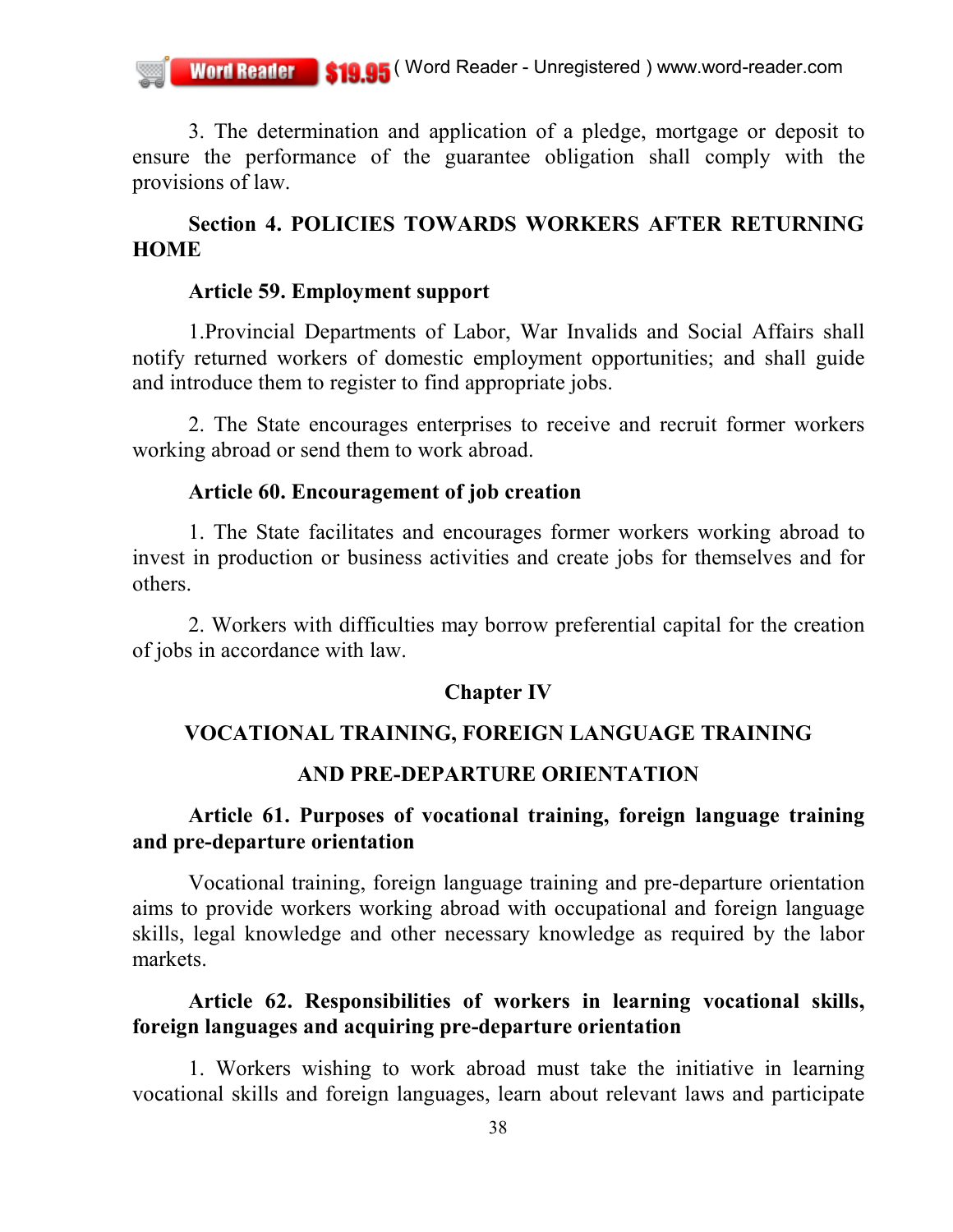3. The determination and application of a pledge, mortgage or deposit to ensure the performance of the guarantee obligation shall comply with the provisions of law.

### **Section 4. POLICIES TOWARDS WORKERS AFTER RETURNING HOME**

#### **Article 59. Employment support**

1.Provincial Departments of Labor, War Invalids and Social Affairs shall notify returned workers of domestic employment opportunities; and shall guide and introduce them to register to find appropriate jobs.

2. The State encourages enterprises to receive and recruit former workers working abroad or send them to work abroad.

#### **Article 60. Encouragement of job creation**

1. The State facilitates and encourages former workers working abroad to invest in production or business activities and create jobs for themselves and for others.

2. Workers with difficulties may borrow preferential capital for the creation of jobs in accordance with law.

### **Chapter IV**

#### **VOCATIONAL TRAINING, FOREIGN LANGUAGE TRAINING**

### **AND PRE-DEPARTURE ORIENTATION**

## **Article 61. Purposes of vocational training, foreign language training and pre-departure orientation**

Vocational training, foreign language training and pre-departure orientation aims to provide workers working abroad with occupational and foreign language skills, legal knowledge and other necessary knowledge as required by the labor markets.

## **Article 62. Responsibilities of workers in learning vocational skills, foreign languages and acquiring pre-departure orientation**

1. Workers wishing to work abroad must take the initiative in learning vocational skills and foreign languages, learn about relevant laws and participate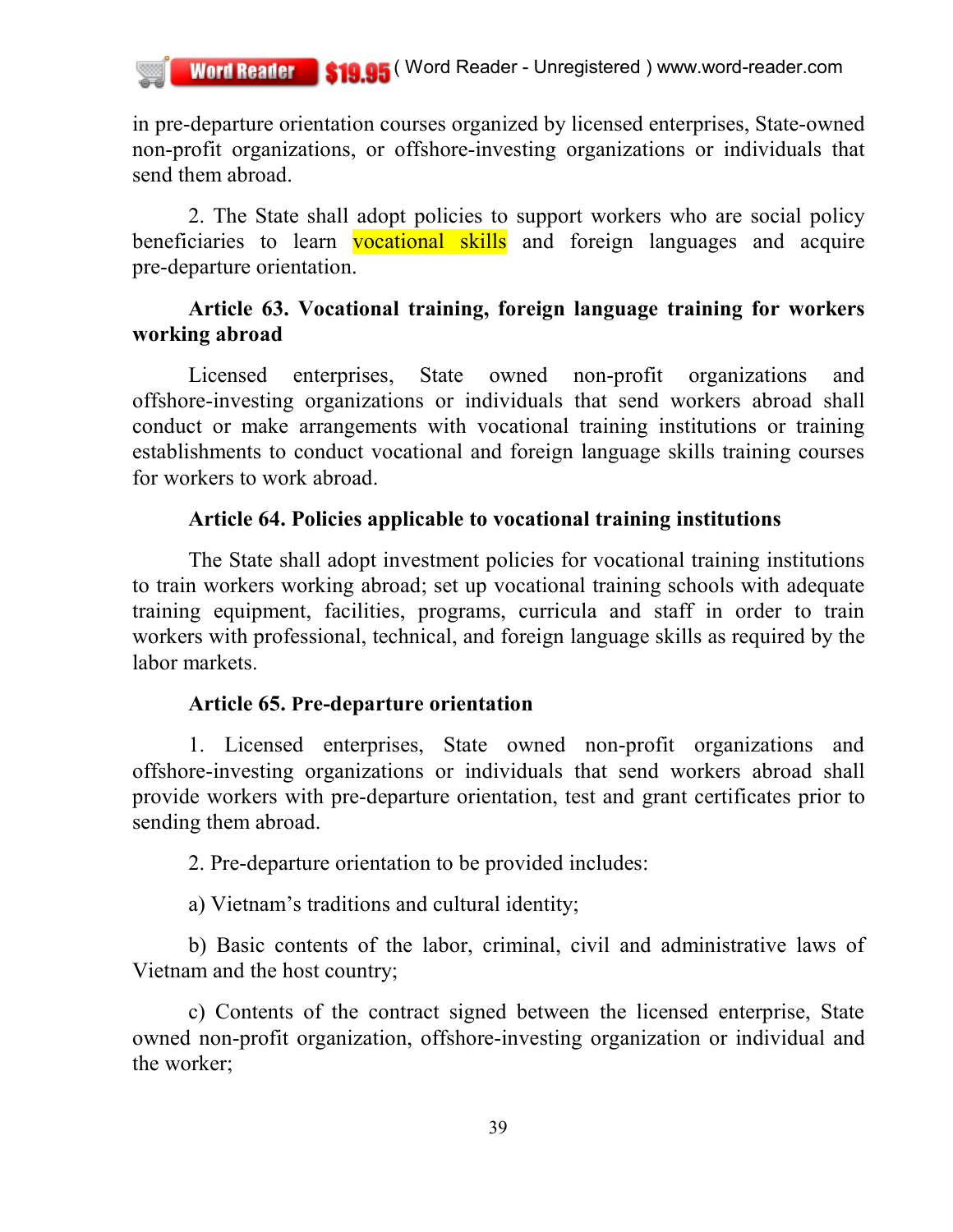in pre-departure orientation courses organized by licensed enterprises, State-owned non-profit organizations, or offshore-investing organizations or individuals that send them abroad.

2. The State shall adopt policies to support workers who are social policy beneficiaries to learn vocational skills and foreign languages and acquire pre-departure orientation.

# **Article 63. Vocational training, foreign language training for workers working abroad**

Licensed enterprises, State owned non-profit organizations and offshore-investing organizations or individuals that send workers abroad shall conduct or make arrangements with vocational training institutions or training establishments to conduct vocational and foreign language skills training courses for workers to work abroad.

## **Article 64. Policies applicable to vocational training institutions**

The State shall adopt investment policies for vocational training institutions to train workers working abroad; set up vocational training schools with adequate training equipment, facilities, programs, curricula and staff in order to train workers with professional, technical, and foreign language skills as required by the labor markets.

# **Article 65. Pre-departure orientation**

1. Licensed enterprises, State owned non-profit organizations and offshore-investing organizations or individuals that send workers abroad shall provide workers with pre-departure orientation, test and grant certificates prior to sending them abroad.

2. Pre-departure orientation to be provided includes:

a) Vietnam's traditions and cultural identity;

b) Basic contents of the labor, criminal, civil and administrative laws of Vietnam and the host country;

c) Contents of the contract signed between the licensed enterprise, State owned non-profit organization, offshore-investing organization or individual and the worker;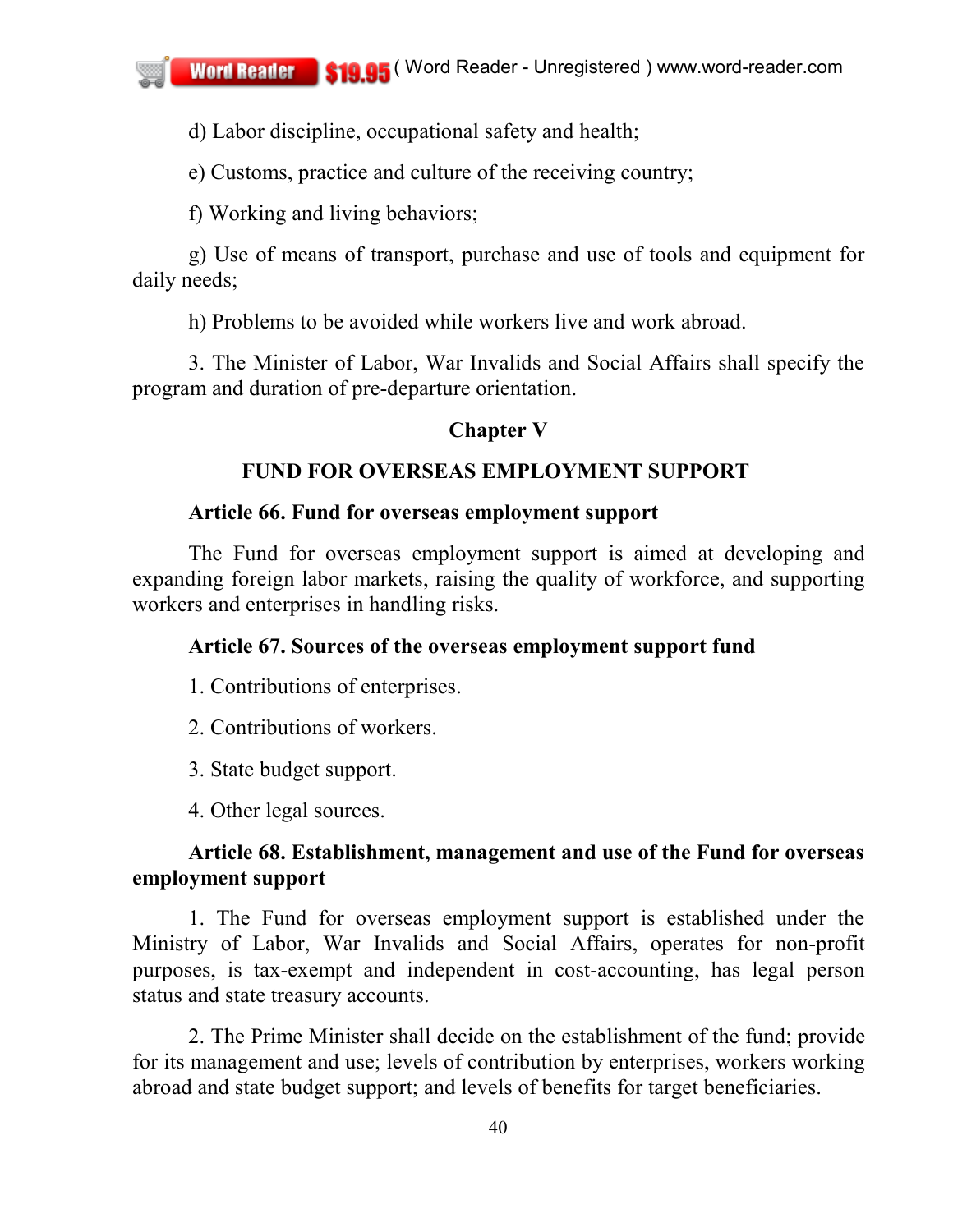d) Labor discipline, occupational safety and health;

e) Customs, practice and culture of the receiving country;

f) Working and living behaviors;

g) Use of means of transport, purchase and use of tools and equipment for daily needs;

h) Problems to be avoided while workers live and work abroad.

3. The Minister of Labor, War Invalids and Social Affairs shall specify the program and duration of pre-departure orientation.

## **Chapter V**

## **FUND FOR OVERSEAS EMPLOYMENT SUPPORT**

### **Article 66. Fund for overseas employment support**

The Fund for overseas employment support is aimed at developing and expanding foreign labor markets, raising the quality of workforce, and supporting workers and enterprises in handling risks.

## **Article 67. Sources of the overseas employment support fund**

- 1. Contributions of enterprises.
- 2. Contributions of workers.
- 3. State budget support.
- 4. Other legal sources.

## **Article 68. Establishment, management and use of the Fund for overseas employment support**

1. The Fund for overseas employment support is established under the Ministry of Labor, War Invalids and Social Affairs, operates for non-profit purposes, is tax-exempt and independent in cost-accounting, has legal person status and state treasury accounts.

2. The Prime Minister shall decide on the establishment of the fund; provide for its management and use; levels of contribution by enterprises, workers working abroad and state budget support; and levels of benefits for target beneficiaries.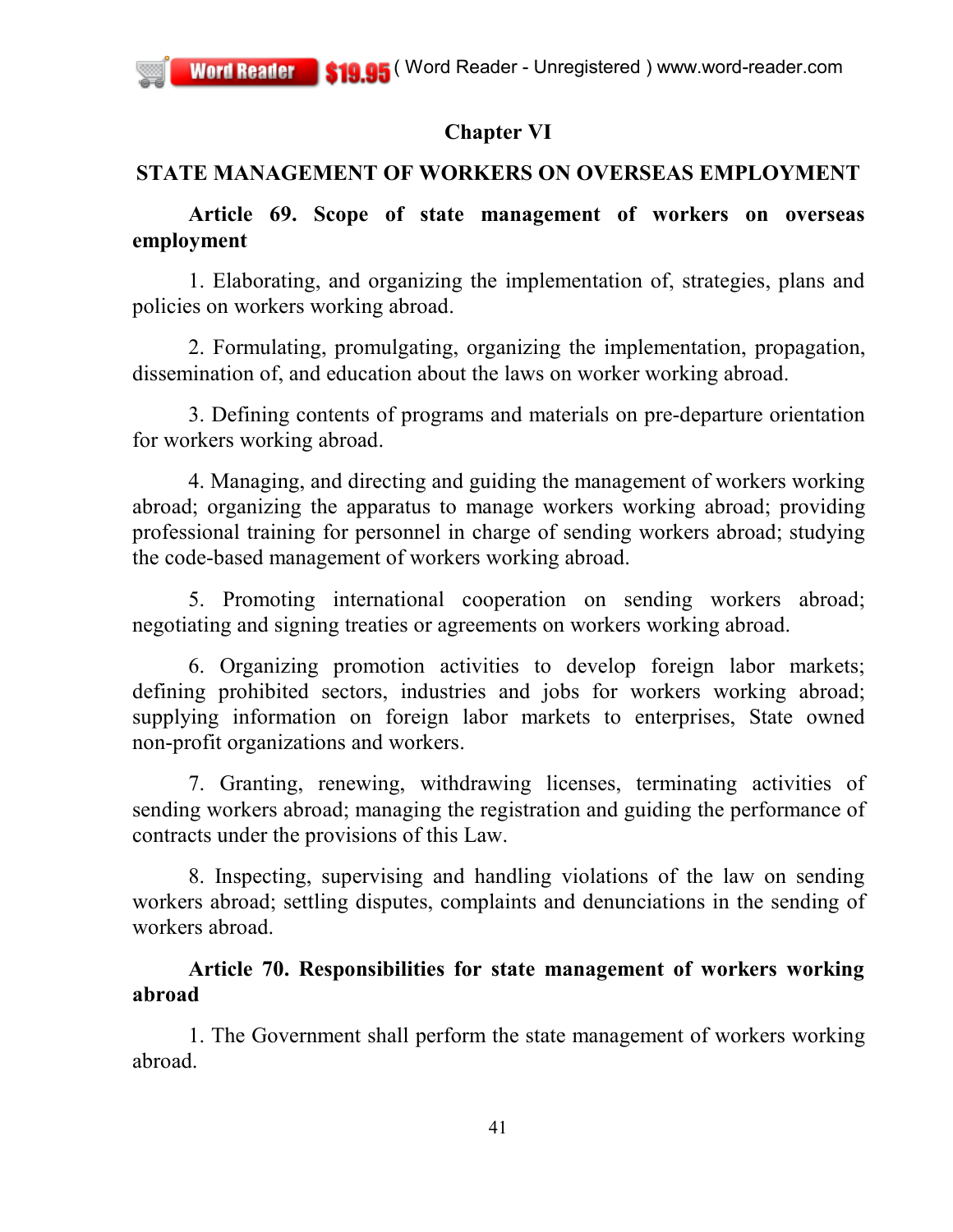# **Chapter VI**

# **STATE MANAGEMENT OF WORKERS ON OVERSEAS EMPLOYMENT**

## **Article 69. Scope of state management of workers on overseas employment**

1. Elaborating, and organizing the implementation of, strategies, plans and policies on workers working abroad.

2. Formulating, promulgating, organizing the implementation, propagation, dissemination of, and education about the laws on worker working abroad.

3. Defining contents of programs and materials on pre-departure orientation for workers working abroad.

4. Managing, and directing and guiding the management of workers working abroad; organizing the apparatus to manage workers working abroad; providing professional training for personnel in charge of sending workers abroad; studying the code-based management of workers working abroad.

5. Promoting international cooperation on sending workers abroad; negotiating and signing treaties or agreements on workers working abroad.

6. Organizing promotion activities to develop foreign labor markets; defining prohibited sectors, industries and jobs for workers working abroad; supplying information on foreign labor markets to enterprises, State owned non-profit organizations and workers.

7. Granting, renewing, withdrawing licenses, terminating activities of sending workers abroad; managing the registration and guiding the performance of contracts under the provisions of this Law.

8. Inspecting, supervising and handling violations of the law on sending workers abroad; settling disputes, complaints and denunciations in the sending of workers abroad.

# **Article 70. Responsibilities for state management of workers working abroad**

1. The Government shall perform the state management of workers working abroad.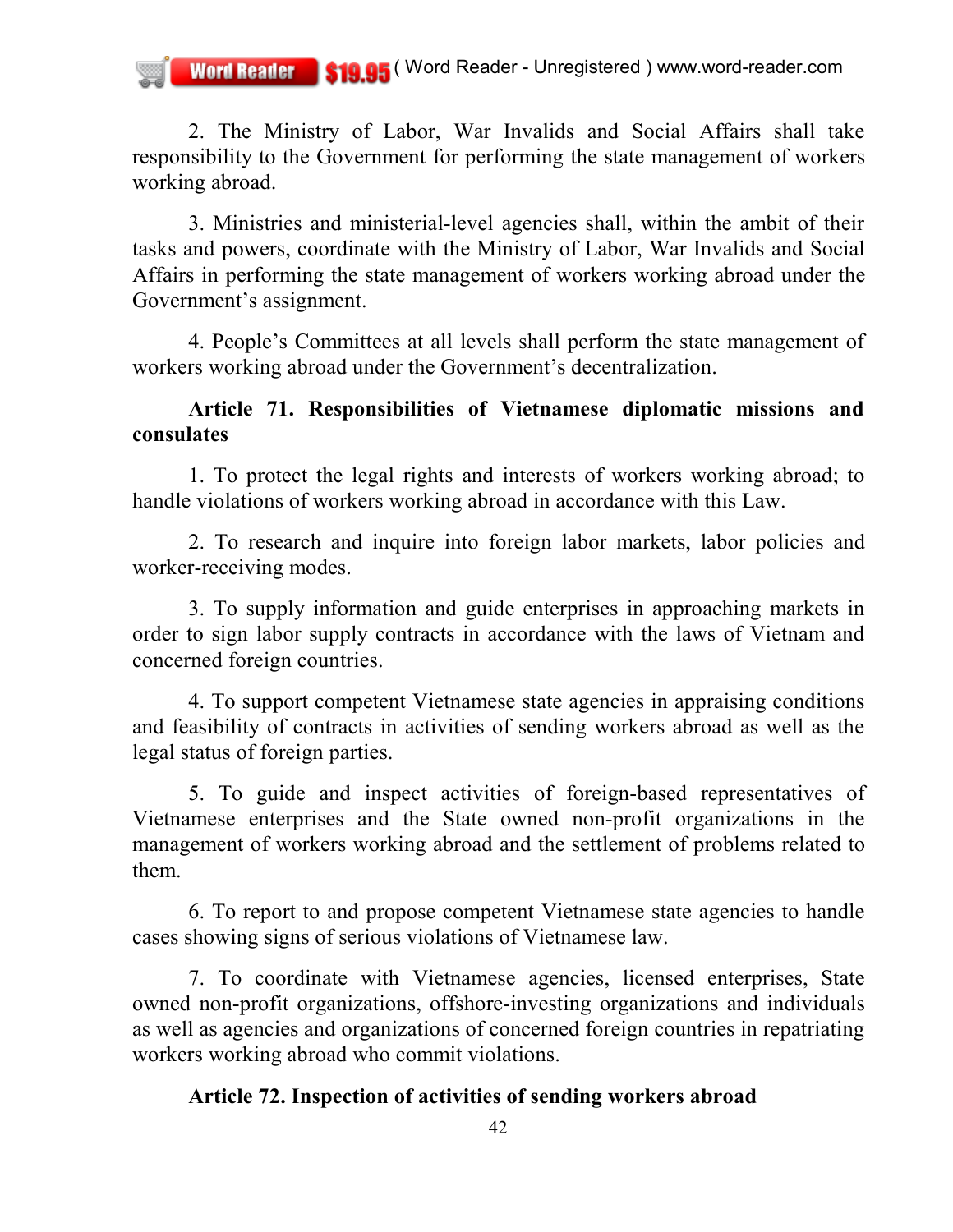2. The Ministry of Labor, War Invalids and Social Affairs shall take responsibility to the Government for performing the state management of workers working abroad.

3. Ministries and ministerial-level agencies shall, within the ambit of their tasks and powers, coordinate with the Ministry of Labor, War Invalids and Social Affairs in performing the state management of workers working abroad under the Government's assignment.

4. People's Committees at all levels shall perform the state management of workers working abroad under the Government's decentralization.

## **Article 71. Responsibilities of Vietnamese diplomatic missions and consulates**

1. To protect the legal rights and interests of workers working abroad; to handle violations of workers working abroad in accordance with this Law.

2. To research and inquire into foreign labor markets, labor policies and worker-receiving modes.

3. To supply information and guide enterprises in approaching markets in order to sign labor supply contracts in accordance with the laws of Vietnam and concerned foreign countries.

4. To support competent Vietnamese state agencies in appraising conditions and feasibility of contracts in activities of sending workers abroad as well as the legal status of foreign parties.

5. To guide and inspect activities of foreign-based representatives of Vietnamese enterprises and the State owned non-profit organizations in the management of workers working abroad and the settlement of problems related to them.

6. To report to and propose competent Vietnamese state agencies to handle cases showing signs of serious violations of Vietnamese law.

7. To coordinate with Vietnamese agencies, licensed enterprises, State owned non-profit organizations, offshore-investing organizations and individuals as well as agencies and organizations of concerned foreign countries in repatriating workers working abroad who commit violations.

## **Article 72. Inspection of activities of sending workers abroad**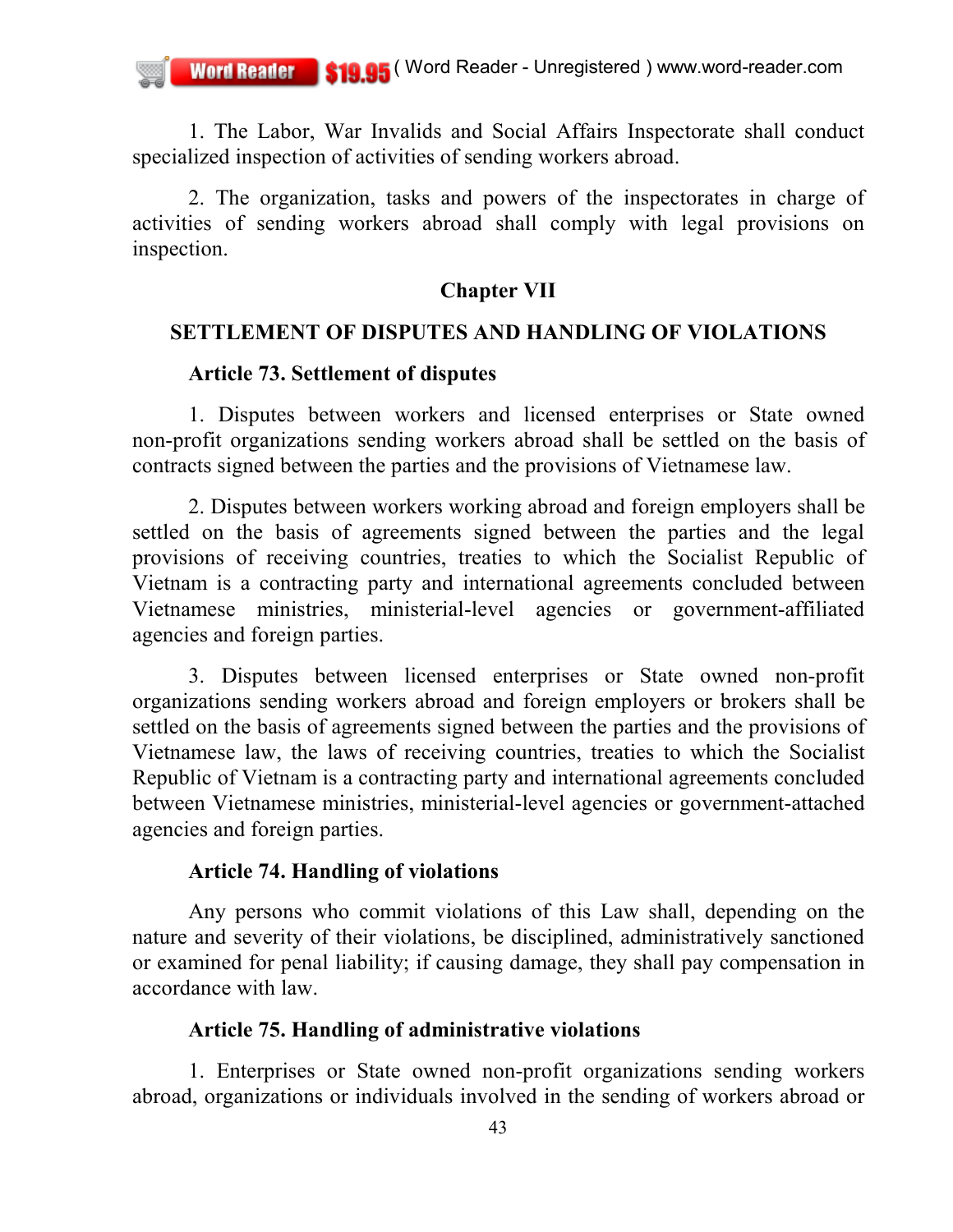1. The Labor, War Invalids and Social Affairs Inspectorate shall conduct specialized inspection of activities of sending workers abroad.

2. The organization, tasks and powers of the inspectorates in charge of activities of sending workers abroad shall comply with legal provisions on inspection.

### **Chapter VII**

#### **SETTLEMENT OF DISPUTES AND HANDLING OF VIOLATIONS**

### **Article 73. Settlement of disputes**

1. Disputes between workers and licensed enterprises or State owned non-profit organizations sending workers abroad shall be settled on the basis of contracts signed between the parties and the provisions of Vietnamese law.

2. Disputes between workers working abroad and foreign employers shall be settled on the basis of agreements signed between the parties and the legal provisions of receiving countries, treaties to which the Socialist Republic of Vietnam is a contracting party and international agreements concluded between Vietnamese ministries, ministerial-level agencies or government-affiliated agencies and foreign parties.

3. Disputes between licensed enterprises or State owned non-profit organizations sending workers abroad and foreign employers or brokers shall be settled on the basis of agreements signed between the parties and the provisions of Vietnamese law, the laws of receiving countries, treaties to which the Socialist Republic of Vietnam is a contracting party and international agreements concluded between Vietnamese ministries, ministerial-level agencies or government-attached agencies and foreign parties.

#### **Article 74. Handling of violations**

Any persons who commit violations of this Law shall, depending on the nature and severity of their violations, be disciplined, administratively sanctioned or examined for penal liability; if causing damage, they shall pay compensation in accordance with law.

### **Article 75. Handling of administrative violations**

1. Enterprises or State owned non-profit organizations sending workers abroad, organizations or individuals involved in the sending of workers abroad or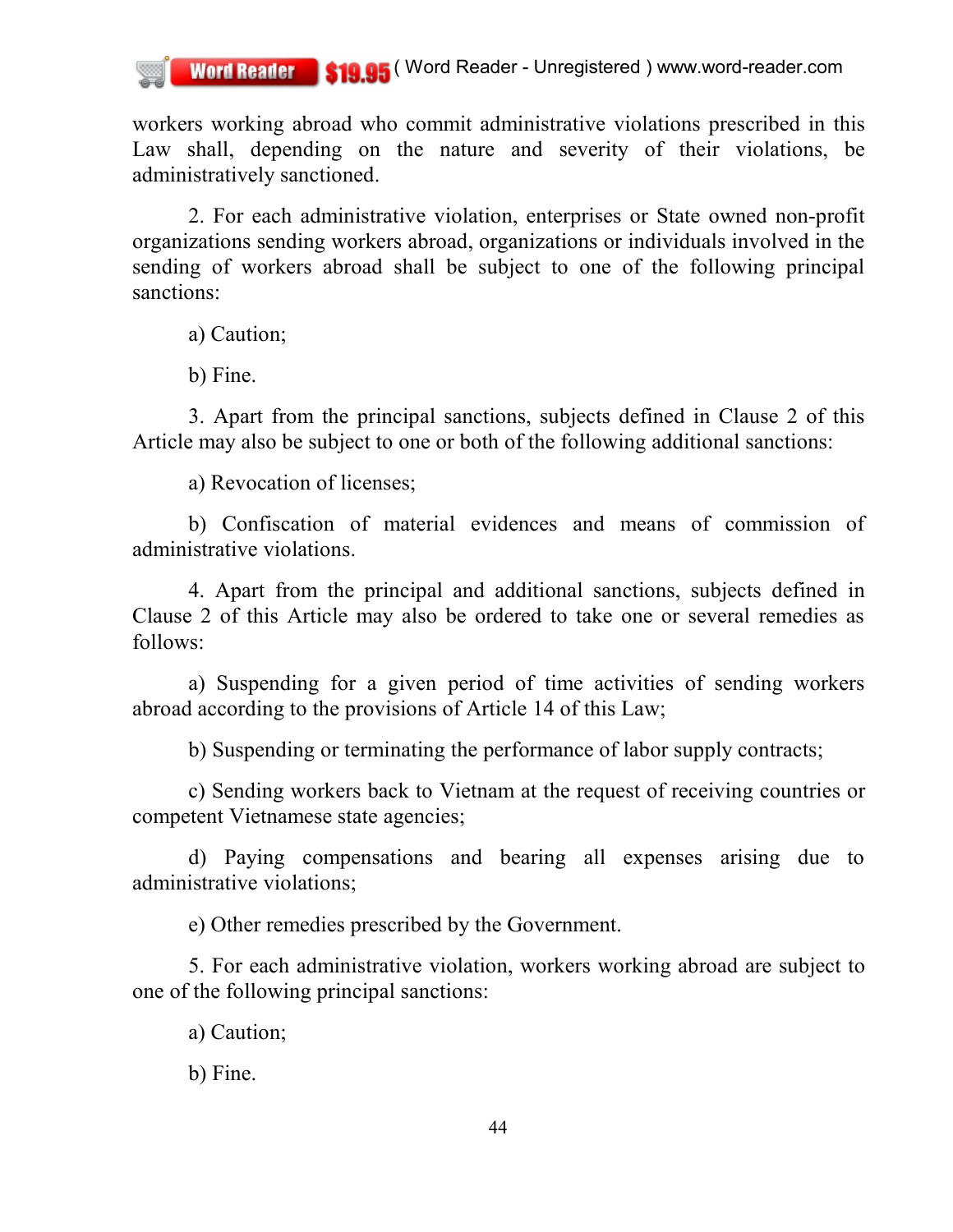workers working abroad who commit administrative violations prescribed in this Law shall, depending on the nature and severity of their violations, be administratively sanctioned.

2. For each administrative violation, enterprises or State owned non-profit organizations sending workers abroad, organizations or individuals involved in the sending of workers abroad shall be subject to one of the following principal sanctions:

a) Caution;

b) Fine.

3. Apart from the principal sanctions, subjects defined in Clause 2 of this Article may also be subject to one or both of the following additional sanctions:

a) Revocation of licenses;

b) Confiscation of material evidences and means of commission of administrative violations.

4. Apart from the principal and additional sanctions, subjects defined in Clause 2 of this Article may also be ordered to take one or several remedies as follows:

a) Suspending for a given period of time activities of sending workers abroad according to the provisions of Article 14 of this Law;

b) Suspending or terminating the performance of labor supply contracts;

c) Sending workers back to Vietnam at the request of receiving countries or competent Vietnamese state agencies;

d) Paying compensations and bearing all expenses arising due to administrative violations;

e) Other remedies prescribed by the Government.

5. For each administrative violation, workers working abroad are subject to one of the following principal sanctions:

a) Caution;

b) Fine.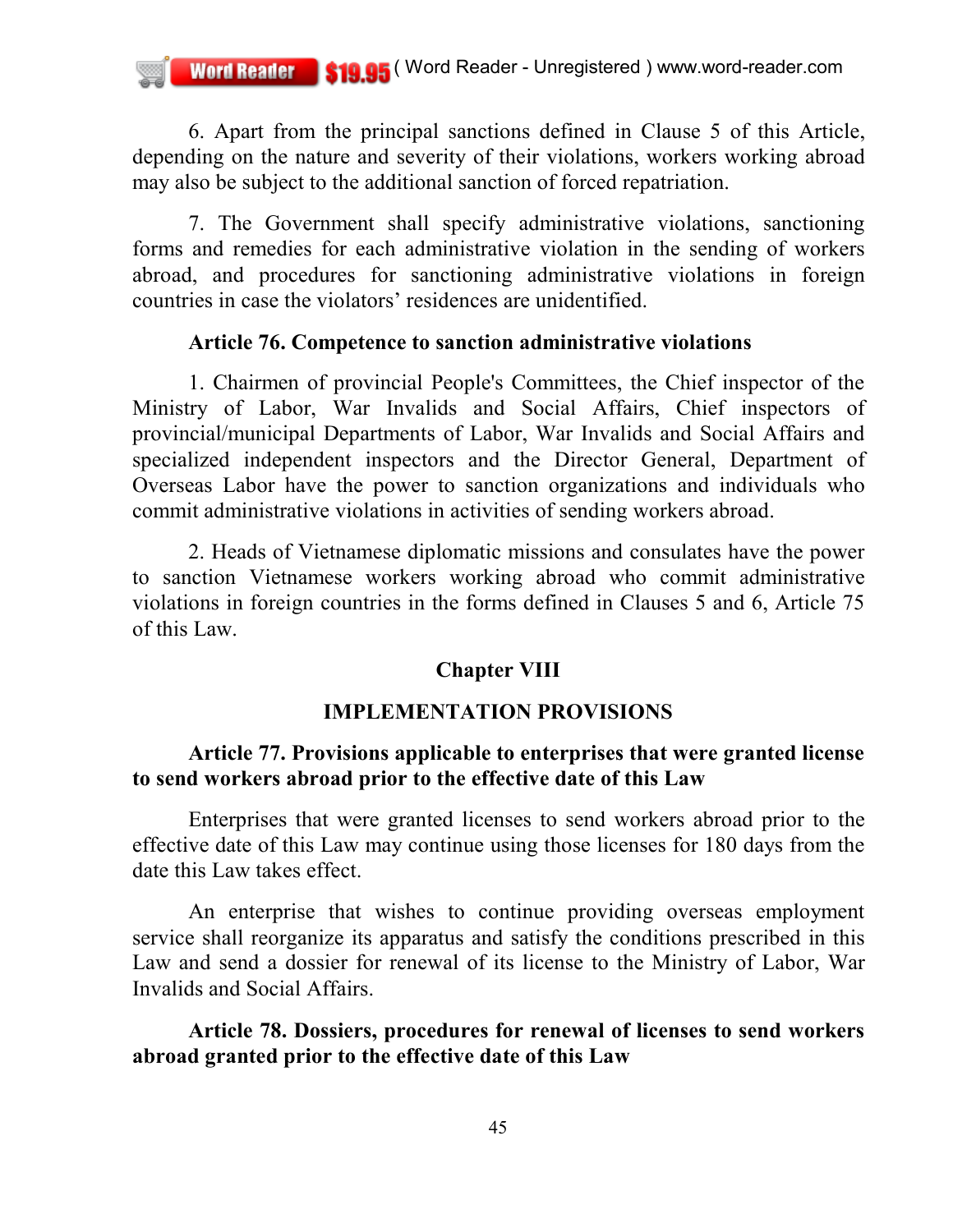6. Apart from the principal sanctions defined in Clause 5 of this Article, depending on the nature and severity of their violations, workers working abroad may also be subject to the additional sanction of forced repatriation.

7. The Government shall specify administrative violations, sanctioning forms and remedies for each administrative violation in the sending of workers abroad, and procedures for sanctioning administrative violations in foreign countries in case the violators' residences are unidentified.

#### **Article 76. Competence to sanction administrative violations**

1. Chairmen of provincial People's Committees, the Chief inspector of the Ministry of Labor, War Invalids and Social Affairs, Chief inspectors of provincial/municipal Departments of Labor, War Invalids and Social Affairs and specialized independent inspectors and the Director General, Department of Overseas Labor have the power to sanction organizations and individuals who commit administrative violations in activities of sending workers abroad.

2. Heads of Vietnamese diplomatic missions and consulates have the power to sanction Vietnamese workers working abroad who commit administrative violations in foreign countries in the forms defined in Clauses 5 and 6, Article 75 of this Law.

## **Chapter VIII**

### **IMPLEMENTATION PROVISIONS**

## **Article 77. Provisions applicable to enterprises that were granted license to send workers abroad prior to the effective date of this Law**

Enterprises that were granted licenses to send workers abroad prior to the effective date of this Law may continue using those licenses for 180 days from the date this Law takes effect.

An enterprise that wishes to continue providing overseas employment service shall reorganize its apparatus and satisfy the conditions prescribed in this Law and send a dossier for renewal of its license to the Ministry of Labor, War Invalids and Social Affairs.

**Article 78. Dossiers, procedures for renewal of licenses to send workers abroad granted prior to the effective date of this Law**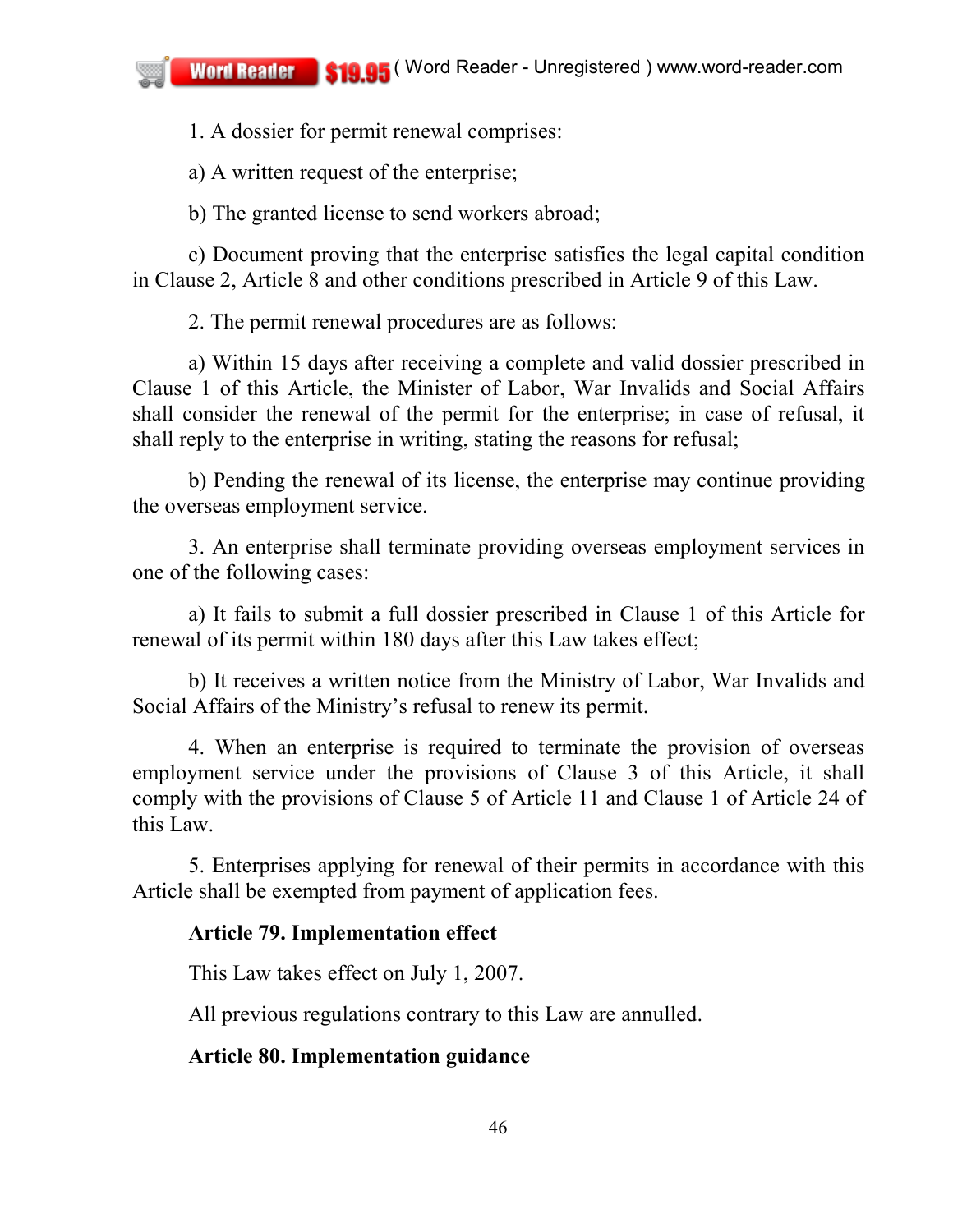1. A dossier for permit renewal comprises:

a) A written request of the enterprise;

b) The granted license to send workers abroad;

c) Document proving that the enterprise satisfies the legal capital condition in Clause 2, Article 8 and other conditions prescribed in Article 9 of this Law.

2. The permit renewal procedures are as follows:

a) Within 15 days after receiving a complete and valid dossier prescribed in Clause 1 of this Article, the Minister of Labor, War Invalids and Social Affairs shall consider the renewal of the permit for the enterprise; in case of refusal, it shall reply to the enterprise in writing, stating the reasons for refusal;

b) Pending the renewal of its license, the enterprise may continue providing the overseas employment service.

3. An enterprise shall terminate providing overseas employment services in one of the following cases:

a) It fails to submit a full dossier prescribed in Clause 1 of this Article for renewal of its permit within 180 days after this Law takes effect;

b) It receives a written notice from the Ministry of Labor, War Invalids and Social Affairs of the Ministry's refusal to renew its permit.

4. When an enterprise is required to terminate the provision of overseas employment service under the provisions of Clause 3 of this Article, it shall comply with the provisions of Clause 5 of Article 11 and Clause 1 of Article 24 of this Law.

5. Enterprises applying for renewal of their permits in accordance with this Article shall be exempted from payment of application fees.

# **Article 79. Implementation effect**

This Law takes effect on July 1, 2007.

All previous regulations contrary to this Law are annulled.

## **Article 80. Implementation guidance**